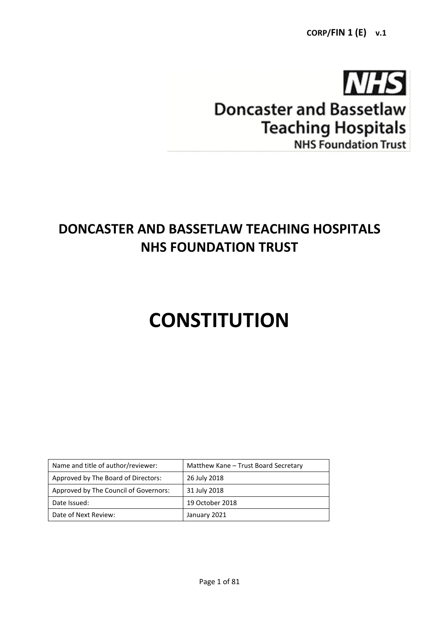

# **Doncaster and Bassetlaw Teaching Hospitals NHS Foundation Trust**

# **DONCASTER AND BASSETLAW TEACHING HOSPITALS NHS FOUNDATION TRUST**

# **CONSTITUTION**

| Name and title of author/reviewer:    | Matthew Kane - Trust Board Secretary |
|---------------------------------------|--------------------------------------|
| Approved by The Board of Directors:   | 26 July 2018                         |
| Approved by The Council of Governors: | 31 July 2018                         |
| Date Issued:                          | 19 October 2018                      |
| Date of Next Review:                  | January 2021                         |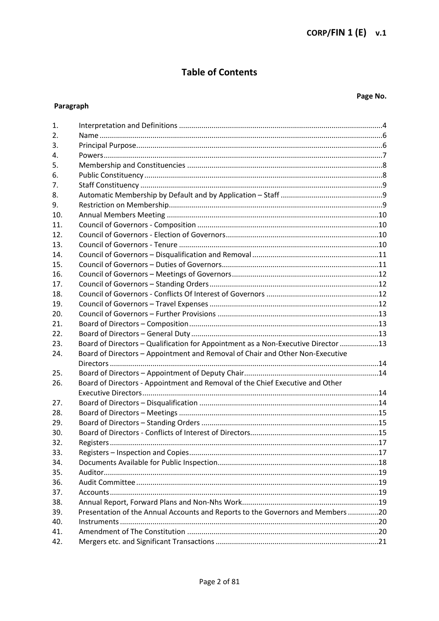## **Table of Contents**

## Paragraph

## Page No.

| 1.  |                                                                                   |  |
|-----|-----------------------------------------------------------------------------------|--|
| 2.  |                                                                                   |  |
| 3.  |                                                                                   |  |
| 4.  |                                                                                   |  |
| 5.  |                                                                                   |  |
| 6.  |                                                                                   |  |
| 7.  |                                                                                   |  |
| 8.  |                                                                                   |  |
| 9.  |                                                                                   |  |
| 10. |                                                                                   |  |
| 11. |                                                                                   |  |
| 12. |                                                                                   |  |
| 13. |                                                                                   |  |
| 14. |                                                                                   |  |
| 15. |                                                                                   |  |
| 16. |                                                                                   |  |
| 17. |                                                                                   |  |
| 18. |                                                                                   |  |
| 19. |                                                                                   |  |
| 20. |                                                                                   |  |
| 21. |                                                                                   |  |
| 22. |                                                                                   |  |
| 23. | Board of Directors - Qualification for Appointment as a Non-Executive Director 13 |  |
| 24. | Board of Directors - Appointment and Removal of Chair and Other Non-Executive     |  |
|     |                                                                                   |  |
| 25. |                                                                                   |  |
| 26. | Board of Directors - Appointment and Removal of the Chief Executive and Other     |  |
|     |                                                                                   |  |
| 27. |                                                                                   |  |
| 28. |                                                                                   |  |
| 29. |                                                                                   |  |
| 30. |                                                                                   |  |
| 32. |                                                                                   |  |
| 33. |                                                                                   |  |
| 34. |                                                                                   |  |
| 35. |                                                                                   |  |
| 36. |                                                                                   |  |
| 37. |                                                                                   |  |
| 38. |                                                                                   |  |
| 39. | Presentation of the Annual Accounts and Reports to the Governors and Members 20   |  |
| 40. |                                                                                   |  |
| 41. |                                                                                   |  |
| 42. |                                                                                   |  |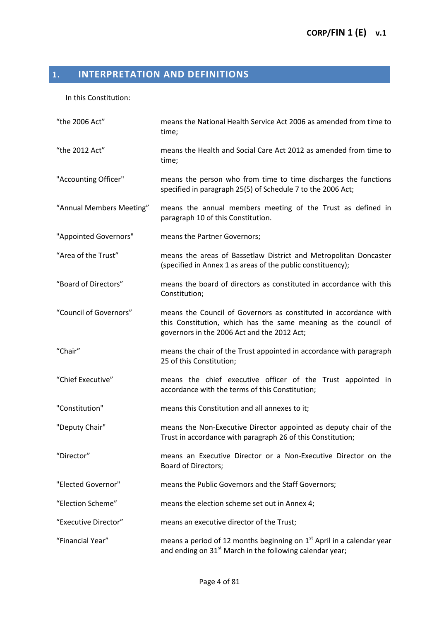# <span id="page-3-0"></span>**1. INTERPRETATION AND DEFINITIONS**

In this Constitution:

| "the 2006 Act"           | means the National Health Service Act 2006 as amended from time to<br>time;                                                                                                        |
|--------------------------|------------------------------------------------------------------------------------------------------------------------------------------------------------------------------------|
| "the 2012 Act"           | means the Health and Social Care Act 2012 as amended from time to<br>time;                                                                                                         |
| "Accounting Officer"     | means the person who from time to time discharges the functions<br>specified in paragraph 25(5) of Schedule 7 to the 2006 Act;                                                     |
| "Annual Members Meeting" | means the annual members meeting of the Trust as defined in<br>paragraph 10 of this Constitution.                                                                                  |
| "Appointed Governors"    | means the Partner Governors;                                                                                                                                                       |
| "Area of the Trust"      | means the areas of Bassetlaw District and Metropolitan Doncaster<br>(specified in Annex 1 as areas of the public constituency);                                                    |
| "Board of Directors"     | means the board of directors as constituted in accordance with this<br>Constitution;                                                                                               |
| "Council of Governors"   | means the Council of Governors as constituted in accordance with<br>this Constitution, which has the same meaning as the council of<br>governors in the 2006 Act and the 2012 Act; |
| "Chair"                  | means the chair of the Trust appointed in accordance with paragraph<br>25 of this Constitution;                                                                                    |
| "Chief Executive"        | means the chief executive officer of the Trust appointed in<br>accordance with the terms of this Constitution;                                                                     |
| "Constitution"           | means this Constitution and all annexes to it;                                                                                                                                     |
| "Deputy Chair"           | means the Non-Executive Director appointed as deputy chair of the<br>Trust in accordance with paragraph 26 of this Constitution;                                                   |
| "Director"               | means an Executive Director or a Non-Executive Director on the<br><b>Board of Directors;</b>                                                                                       |
| "Elected Governor"       | means the Public Governors and the Staff Governors;                                                                                                                                |
| "Election Scheme"        | means the election scheme set out in Annex 4;                                                                                                                                      |
| "Executive Director"     | means an executive director of the Trust;                                                                                                                                          |
| "Financial Year"         | means a period of 12 months beginning on $1st$ April in a calendar year<br>and ending on $31st$ March in the following calendar year;                                              |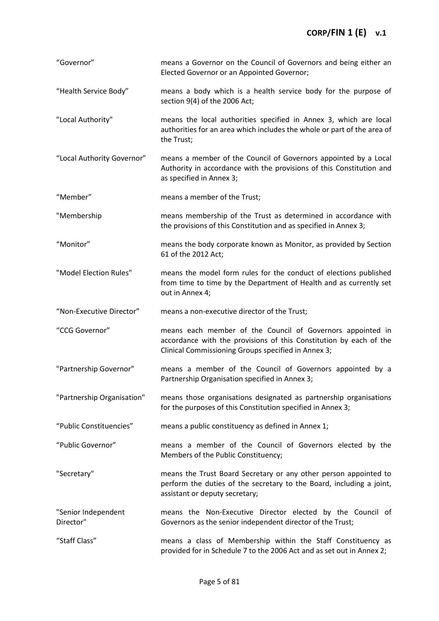| "Governor"                       | means a Governor on the Council of Governors and being either an<br>Elected Governor or an Appointed Governor;                                                                          |
|----------------------------------|-----------------------------------------------------------------------------------------------------------------------------------------------------------------------------------------|
| "Health Service Body"            | means a body which is a health service body for the purpose of<br>section 9(4) of the 2006 Act;                                                                                         |
| "Local Authority"                | means the local authorities specified in Annex 3, which are local<br>authorities for an area which includes the whole or part of the area of<br>the Trust;                              |
| "Local Authority Governor"       | means a member of the Council of Governors appointed by a Local<br>Authority in accordance with the provisions of this Constitution and<br>as specified in Annex 3;                     |
| "Member"                         | means a member of the Trust;                                                                                                                                                            |
| "Membership                      | means membership of the Trust as determined in accordance with<br>the provisions of this Constitution and as specified in Annex 3;                                                      |
| "Monitor"                        | means the body corporate known as Monitor, as provided by Section<br>61 of the 2012 Act;                                                                                                |
| "Model Election Rules"           | means the model form rules for the conduct of elections published<br>from time to time by the Department of Health and as currently set<br>out in Annex 4;                              |
| "Non-Executive Director"         | means a non-executive director of the Trust;                                                                                                                                            |
| "CCG Governor"                   | means each member of the Council of Governors appointed in<br>accordance with the provisions of this Constitution by each of the<br>Clinical Commissioning Groups specified in Annex 3; |
| "Partnership Governor"           | means a member of the Council of Governors appointed by a                                                                                                                               |
|                                  | Partnership Organisation specified in Annex 3;                                                                                                                                          |
| "Partnership Organisation"       | means those organisations designated as partnership organisations<br>for the purposes of this Constitution specified in Annex 3;                                                        |
| "Public Constituencies"          | means a public constituency as defined in Annex 1;                                                                                                                                      |
| "Public Governor"                | means a member of the Council of Governors elected by the<br>Members of the Public Constituency;                                                                                        |
| "Secretary"                      | means the Trust Board Secretary or any other person appointed to<br>perform the duties of the secretary to the Board, including a joint,<br>assistant or deputy secretary;              |
| "Senior Independent<br>Director" | means the Non-Executive Director elected by the Council of<br>Governors as the senior independent director of the Trust;                                                                |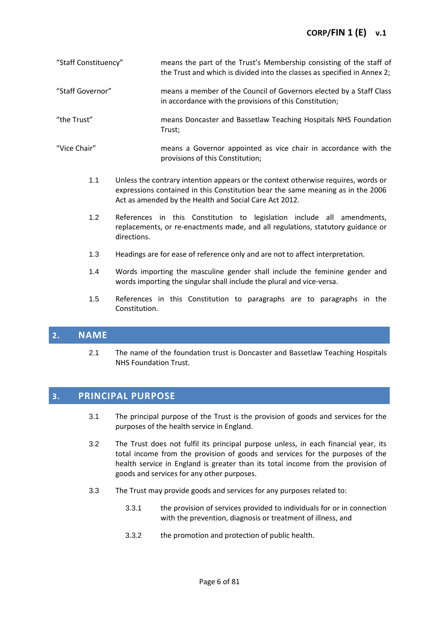## **CORP/FIN 1 (E) v.1**

| "Staff Constituency" | means the part of the Trust's Membership consisting of the staff of      |
|----------------------|--------------------------------------------------------------------------|
|                      | the Trust and which is divided into the classes as specified in Annex 2; |

- "Staff Governor" means a member of the Council of Governors elected by a Staff Class in accordance with the provisions of this Constitution;
- "the Trust" means Doncaster and Bassetlaw Teaching Hospitals NHS Foundation Trust;
- "Vice Chair" means a Governor appointed as vice chair in accordance with the provisions of this Constitution;
	- 1.1 Unless the contrary intention appears or the context otherwise requires, words or expressions contained in this Constitution bear the same meaning as in the 2006 Act as amended by the Health and Social Care Act 2012.
	- 1.2 References in this Constitution to legislation include all amendments, replacements, or re-enactments made, and all regulations, statutory guidance or directions.
	- 1.3 Headings are for ease of reference only and are not to affect interpretation.
	- 1.4 Words importing the masculine gender shall include the feminine gender and words importing the singular shall include the plural and vice-versa.
	- 1.5 References in this Constitution to paragraphs are to paragraphs in the Constitution.

## <span id="page-5-0"></span>**2. NAME**

2.1 The name of the foundation trust is Doncaster and Bassetlaw Teaching Hospitals NHS Foundation Trust.

## <span id="page-5-1"></span>**3. PRINCIPAL PURPOSE**

- 3.1 The principal purpose of the Trust is the provision of goods and services for the purposes of the health service in England.
- 3.2 The Trust does not fulfil its principal purpose unless, in each financial year, its total income from the provision of goods and services for the purposes of the health service in England is greater than its total income from the provision of goods and services for any other purposes.
- 3.3 The Trust may provide goods and services for any purposes related to:
	- 3.3.1 the provision of services provided to individuals for or in connection with the prevention, diagnosis or treatment of illness, and
	- 3.3.2 the promotion and protection of public health.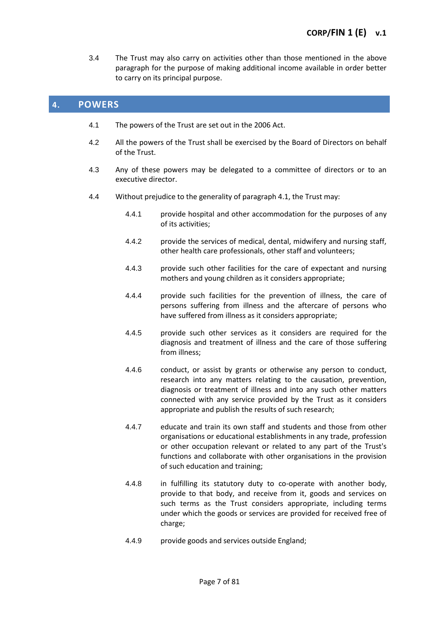3.4 The Trust may also carry on activities other than those mentioned in the above paragraph for the purpose of making additional income available in order better to carry on its principal purpose.

## <span id="page-6-0"></span>**4. POWERS**

- 4.1 The powers of the Trust are set out in the 2006 Act.
- 4.2 All the powers of the Trust shall be exercised by the Board of Directors on behalf of the Trust.
- 4.3 Any of these powers may be delegated to a committee of directors or to an executive director.
- 4.4 Without prejudice to the generality of paragraph 4.1, the Trust may:
	- 4.4.1 provide hospital and other accommodation for the purposes of any of its activities;
	- 4.4.2 provide the services of medical, dental, midwifery and nursing staff, other health care professionals, other staff and volunteers;
	- 4.4.3 provide such other facilities for the care of expectant and nursing mothers and young children as it considers appropriate;
	- 4.4.4 provide such facilities for the prevention of illness, the care of persons suffering from illness and the aftercare of persons who have suffered from illness as it considers appropriate;
	- 4.4.5 provide such other services as it considers are required for the diagnosis and treatment of illness and the care of those suffering from illness;
	- 4.4.6 conduct, or assist by grants or otherwise any person to conduct, research into any matters relating to the causation, prevention, diagnosis or treatment of illness and into any such other matters connected with any service provided by the Trust as it considers appropriate and publish the results of such research;
	- 4.4.7 educate and train its own staff and students and those from other organisations or educational establishments in any trade, profession or other occupation relevant or related to any part of the Trust's functions and collaborate with other organisations in the provision of such education and training;
	- 4.4.8 in fulfilling its statutory duty to co-operate with another body, provide to that body, and receive from it, goods and services on such terms as the Trust considers appropriate, including terms under which the goods or services are provided for received free of charge;
	- 4.4.9 provide goods and services outside England;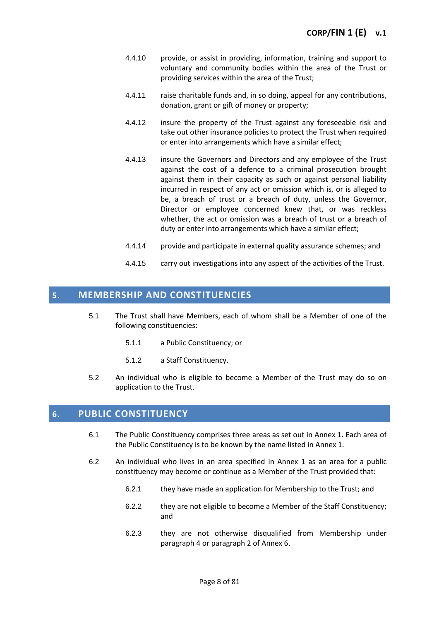- 4.4.10 provide, or assist in providing, information, training and support to voluntary and community bodies within the area of the Trust or providing services within the area of the Trust;
- 4.4.11 raise charitable funds and, in so doing, appeal for any contributions, donation, grant or gift of money or property;
- 4.4.12 insure the property of the Trust against any foreseeable risk and take out other insurance policies to protect the Trust when required or enter into arrangements which have a similar effect;
- 4.4.13 insure the Governors and Directors and any employee of the Trust against the cost of a defence to a criminal prosecution brought against them in their capacity as such or against personal liability incurred in respect of any act or omission which is, or is alleged to be, a breach of trust or a breach of duty, unless the Governor, Director or employee concerned knew that, or was reckless whether, the act or omission was a breach of trust or a breach of duty or enter into arrangements which have a similar effect;
- 4.4.14 provide and participate in external quality assurance schemes; and
- 4.4.15 carry out investigations into any aspect of the activities of the Trust.

## <span id="page-7-0"></span>**5. MEMBERSHIP AND CONSTITUENCIES**

- 5.1 The Trust shall have Members, each of whom shall be a Member of one of the following constituencies:
	- 5.1.1 a Public Constituency; or
	- 5.1.2 a Staff Constituency.
- 5.2 An individual who is eligible to become a Member of the Trust may do so on application to the Trust.

## <span id="page-7-1"></span>**6. PUBLIC CONSTITUENCY**

- 6.1 The Public Constituency comprises three areas as set out in Annex 1. Each area of the Public Constituency is to be known by the name listed in Annex 1.
- 6.2 An individual who lives in an area specified in Annex 1 as an area for a public constituency may become or continue as a Member of the Trust provided that:
	- 6.2.1 they have made an application for Membership to the Trust; and
	- 6.2.2 they are not eligible to become a Member of the Staff Constituency; and
	- 6.2.3 they are not otherwise disqualified from Membership under paragraph 4 or paragraph 2 of Annex 6.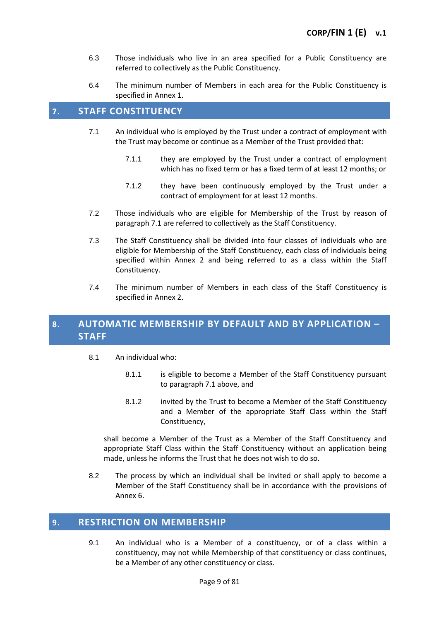- 6.3 Those individuals who live in an area specified for a Public Constituency are referred to collectively as the Public Constituency.
- 6.4 The minimum number of Members in each area for the Public Constituency is specified in Annex 1.

## <span id="page-8-0"></span>**7. STAFF CONSTITUENCY**

- 7.1 An individual who is employed by the Trust under a contract of employment with the Trust may become or continue as a Member of the Trust provided that:
	- 7.1.1 they are employed by the Trust under a contract of employment which has no fixed term or has a fixed term of at least 12 months; or
	- 7.1.2 they have been continuously employed by the Trust under a contract of employment for at least 12 months.
- 7.2 Those individuals who are eligible for Membership of the Trust by reason of paragraph 7.1 are referred to collectively as the Staff Constituency.
- 7.3 The Staff Constituency shall be divided into four classes of individuals who are eligible for Membership of the Staff Constituency, each class of individuals being specified within Annex 2 and being referred to as a class within the Staff Constituency.
- 7.4 The minimum number of Members in each class of the Staff Constituency is specified in Annex 2.

## <span id="page-8-1"></span>**8. AUTOMATIC MEMBERSHIP BY DEFAULT AND BY APPLICATION – STAFF**

- 8.1 An individual who:
	- 8.1.1 is eligible to become a Member of the Staff Constituency pursuant to paragraph 7.1 above, and
	- 8.1.2 invited by the Trust to become a Member of the Staff Constituency and a Member of the appropriate Staff Class within the Staff Constituency,

shall become a Member of the Trust as a Member of the Staff Constituency and appropriate Staff Class within the Staff Constituency without an application being made, unless he informs the Trust that he does not wish to do so.

8.2 The process by which an individual shall be invited or shall apply to become a Member of the Staff Constituency shall be in accordance with the provisions of Annex 6.

## <span id="page-8-2"></span>**9. RESTRICTION ON MEMBERSHIP**

9.1 An individual who is a Member of a constituency, or of a class within a constituency, may not while Membership of that constituency or class continues, be a Member of any other constituency or class.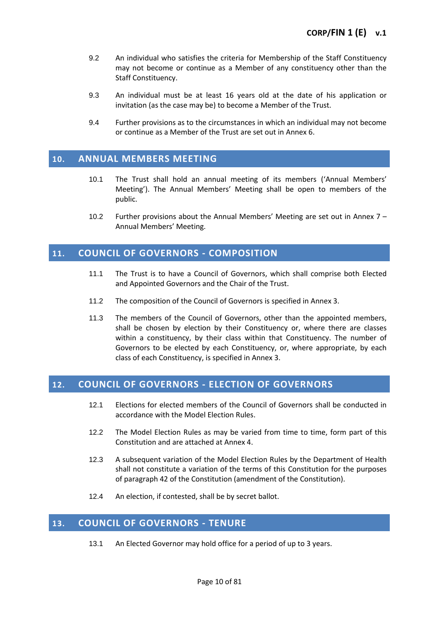- 9.2 An individual who satisfies the criteria for Membership of the Staff Constituency may not become or continue as a Member of any constituency other than the Staff Constituency.
- 9.3 An individual must be at least 16 years old at the date of his application or invitation (as the case may be) to become a Member of the Trust.
- 9.4 Further provisions as to the circumstances in which an individual may not become or continue as a Member of the Trust are set out in Annex 6.

## <span id="page-9-0"></span>**10. ANNUAL MEMBERS MEETING**

- 10.1 The Trust shall hold an annual meeting of its members ('Annual Members' Meeting'). The Annual Members' Meeting shall be open to members of the public.
- 10.2 Further provisions about the Annual Members' Meeting are set out in Annex 7 Annual Members' Meeting.

## <span id="page-9-1"></span>**11. COUNCIL OF GOVERNORS - COMPOSITION**

- 11.1 The Trust is to have a Council of Governors, which shall comprise both Elected and Appointed Governors and the Chair of the Trust.
- 11.2 The composition of the Council of Governors is specified in Annex 3.
- 11.3 The members of the Council of Governors, other than the appointed members, shall be chosen by election by their Constituency or, where there are classes within a constituency, by their class within that Constituency. The number of Governors to be elected by each Constituency, or, where appropriate, by each class of each Constituency, is specified in Annex 3.

## <span id="page-9-2"></span>**12. COUNCIL OF GOVERNORS - ELECTION OF GOVERNORS**

- 12.1 Elections for elected members of the Council of Governors shall be conducted in accordance with the Model Election Rules.
- 12.2 The Model Election Rules as may be varied from time to time, form part of this Constitution and are attached at Annex 4.
- 12.3 A subsequent variation of the Model Election Rules by the Department of Health shall not constitute a variation of the terms of this Constitution for the purposes of paragraph 42 of the Constitution (amendment of the Constitution).
- 12.4 An election, if contested, shall be by secret ballot.

## <span id="page-9-3"></span>**13. COUNCIL OF GOVERNORS - TENURE**

13.1 An Elected Governor may hold office for a period of up to 3 years.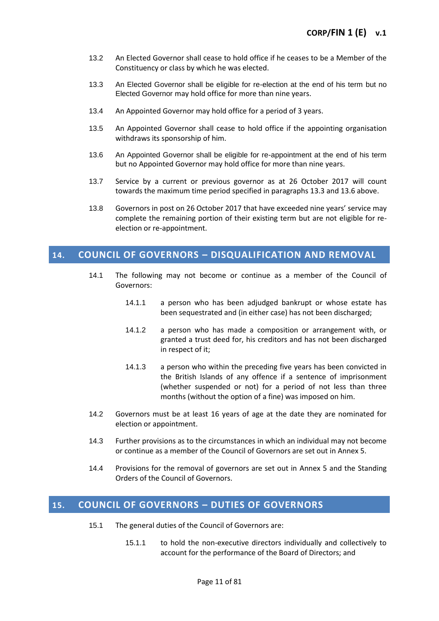- 13.2 An Elected Governor shall cease to hold office if he ceases to be a Member of the Constituency or class by which he was elected.
- 13.3 An Elected Governor shall be eligible for re-election at the end of his term but no Elected Governor may hold office for more than nine years.
- 13.4 An Appointed Governor may hold office for a period of 3 years.
- 13.5 An Appointed Governor shall cease to hold office if the appointing organisation withdraws its sponsorship of him.
- 13.6 An Appointed Governor shall be eligible for re-appointment at the end of his term but no Appointed Governor may hold office for more than nine years.
- 13.7 Service by a current or previous governor as at 26 October 2017 will count towards the maximum time period specified in paragraphs 13.3 and 13.6 above.
- 13.8 Governors in post on 26 October 2017 that have exceeded nine years' service may complete the remaining portion of their existing term but are not eligible for reelection or re-appointment.

## <span id="page-10-0"></span>**14. COUNCIL OF GOVERNORS – DISQUALIFICATION AND REMOVAL**

- 14.1 The following may not become or continue as a member of the Council of Governors:
	- 14.1.1 a person who has been adjudged bankrupt or whose estate has been sequestrated and (in either case) has not been discharged;
	- 14.1.2 a person who has made a composition or arrangement with, or granted a trust deed for, his creditors and has not been discharged in respect of it;
	- 14.1.3 a person who within the preceding five years has been convicted in the British Islands of any offence if a sentence of imprisonment (whether suspended or not) for a period of not less than three months (without the option of a fine) was imposed on him.
- 14.2 Governors must be at least 16 years of age at the date they are nominated for election or appointment.
- 14.3 Further provisions as to the circumstances in which an individual may not become or continue as a member of the Council of Governors are set out in Annex 5.
- 14.4 Provisions for the removal of governors are set out in Annex 5 and the Standing Orders of the Council of Governors.

## <span id="page-10-1"></span>**15. COUNCIL OF GOVERNORS – DUTIES OF GOVERNORS**

- 15.1 The general duties of the Council of Governors are:
	- 15.1.1 to hold the non-executive directors individually and collectively to account for the performance of the Board of Directors; and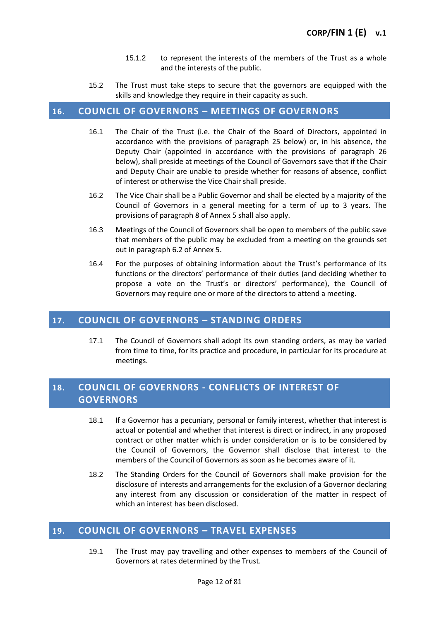- 15.1.2 to represent the interests of the members of the Trust as a whole and the interests of the public.
- 15.2 The Trust must take steps to secure that the governors are equipped with the skills and knowledge they require in their capacity as such.

## <span id="page-11-0"></span>**16. COUNCIL OF GOVERNORS – MEETINGS OF GOVERNORS**

- 16.1 The Chair of the Trust (i.e. the Chair of the Board of Directors, appointed in accordance with the provisions of paragraph 25 below) or, in his absence, the Deputy Chair (appointed in accordance with the provisions of paragraph 26 below), shall preside at meetings of the Council of Governors save that if the Chair and Deputy Chair are unable to preside whether for reasons of absence, conflict of interest or otherwise the Vice Chair shall preside.
- 16.2 The Vice Chair shall be a Public Governor and shall be elected by a majority of the Council of Governors in a general meeting for a term of up to 3 years. The provisions of paragraph 8 of Annex 5 shall also apply.
- 16.3 Meetings of the Council of Governors shall be open to members of the public save that members of the public may be excluded from a meeting on the grounds set out in paragraph 6.2 of Annex 5.
- 16.4 For the purposes of obtaining information about the Trust's performance of its functions or the directors' performance of their duties (and deciding whether to propose a vote on the Trust's or directors' performance), the Council of Governors may require one or more of the directors to attend a meeting.

## <span id="page-11-1"></span>**17. COUNCIL OF GOVERNORS – STANDING ORDERS**

17.1 The Council of Governors shall adopt its own standing orders, as may be varied from time to time, for its practice and procedure, in particular for its procedure at meetings.

## <span id="page-11-2"></span>**18. COUNCIL OF GOVERNORS - CONFLICTS OF INTEREST OF GOVERNORS**

- 18.1 If a Governor has a pecuniary, personal or family interest, whether that interest is actual or potential and whether that interest is direct or indirect, in any proposed contract or other matter which is under consideration or is to be considered by the Council of Governors, the Governor shall disclose that interest to the members of the Council of Governors as soon as he becomes aware of it.
- 18.2 The Standing Orders for the Council of Governors shall make provision for the disclosure of interests and arrangements for the exclusion of a Governor declaring any interest from any discussion or consideration of the matter in respect of which an interest has been disclosed.

## <span id="page-11-3"></span>**19. COUNCIL OF GOVERNORS – TRAVEL EXPENSES**

19.1 The Trust may pay travelling and other expenses to members of the Council of Governors at rates determined by the Trust.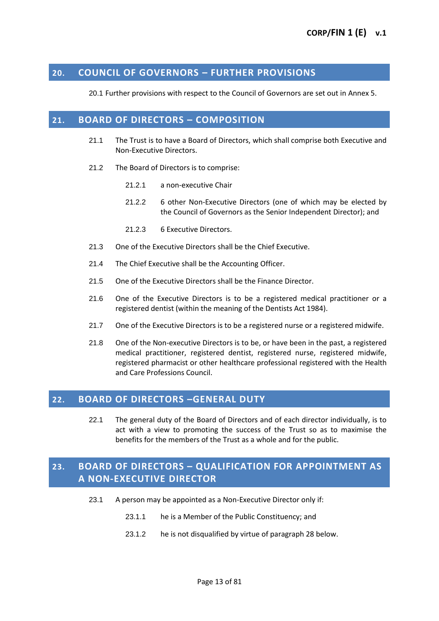## <span id="page-12-0"></span>**20. COUNCIL OF GOVERNORS – FURTHER PROVISIONS**

20.1 Further provisions with respect to the Council of Governors are set out in Annex 5.

## <span id="page-12-1"></span>**21. BOARD OF DIRECTORS – COMPOSITION**

- 21.1 The Trust is to have a Board of Directors, which shall comprise both Executive and Non-Executive Directors.
- 21.2 The Board of Directors is to comprise:
	- 21.2.1 a non-executive Chair
	- 21.2.2 6 other Non-Executive Directors (one of which may be elected by the Council of Governors as the Senior Independent Director); and
	- 21.2.3 6 Executive Directors.
- 21.3 One of the Executive Directors shall be the Chief Executive.
- 21.4 The Chief Executive shall be the Accounting Officer.
- 21.5 One of the Executive Directors shall be the Finance Director.
- 21.6 One of the Executive Directors is to be a registered medical practitioner or a registered dentist (within the meaning of the Dentists Act 1984).
- 21.7 One of the Executive Directors is to be a registered nurse or a registered midwife.
- 21.8 One of the Non-executive Directors is to be, or have been in the past, a registered medical practitioner, registered dentist, registered nurse, registered midwife, registered pharmacist or other healthcare professional registered with the Health and Care Professions Council.

## <span id="page-12-2"></span>**22. BOARD OF DIRECTORS –GENERAL DUTY**

22.1 The general duty of the Board of Directors and of each director individually, is to act with a view to promoting the success of the Trust so as to maximise the benefits for the members of the Trust as a whole and for the public.

## <span id="page-12-3"></span>**23. BOARD OF DIRECTORS – QUALIFICATION FOR APPOINTMENT AS A NON-EXECUTIVE DIRECTOR**

- 23.1 A person may be appointed as a Non-Executive Director only if:
	- 23.1.1 he is a Member of the Public Constituency; and
	- 23.1.2 he is not disqualified by virtue of paragraph 28 below.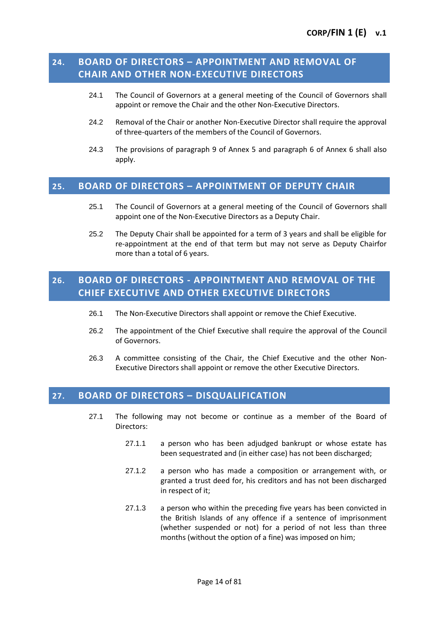## <span id="page-13-0"></span>**24. BOARD OF DIRECTORS – APPOINTMENT AND REMOVAL OF CHAIR AND OTHER NON-EXECUTIVE DIRECTORS**

- 24.1 The Council of Governors at a general meeting of the Council of Governors shall appoint or remove the Chair and the other Non-Executive Directors.
- 24.2 Removal of the Chair or another Non-Executive Director shall require the approval of three-quarters of the members of the Council of Governors.
- 24.3 The provisions of paragraph 9 of Annex 5 and paragraph 6 of Annex 6 shall also apply.

## <span id="page-13-1"></span>**25. BOARD OF DIRECTORS – APPOINTMENT OF DEPUTY CHAIR**

- 25.1 The Council of Governors at a general meeting of the Council of Governors shall appoint one of the Non-Executive Directors as a Deputy Chair.
- 25.2 The Deputy Chair shall be appointed for a term of 3 years and shall be eligible for re-appointment at the end of that term but may not serve as Deputy Chairfor more than a total of 6 years.

## <span id="page-13-2"></span>**26. BOARD OF DIRECTORS - APPOINTMENT AND REMOVAL OF THE CHIEF EXECUTIVE AND OTHER EXECUTIVE DIRECTORS**

- 26.1 The Non-Executive Directors shall appoint or remove the Chief Executive.
- 26.2 The appointment of the Chief Executive shall require the approval of the Council of Governors.
- 26.3 A committee consisting of the Chair, the Chief Executive and the other Non-Executive Directors shall appoint or remove the other Executive Directors.

## <span id="page-13-3"></span>**27. BOARD OF DIRECTORS – DISQUALIFICATION**

- 27.1 The following may not become or continue as a member of the Board of Directors:
	- 27.1.1 a person who has been adjudged bankrupt or whose estate has been sequestrated and (in either case) has not been discharged;
	- 27.1.2 a person who has made a composition or arrangement with, or granted a trust deed for, his creditors and has not been discharged in respect of it;
	- 27.1.3 a person who within the preceding five years has been convicted in the British Islands of any offence if a sentence of imprisonment (whether suspended or not) for a period of not less than three months (without the option of a fine) was imposed on him;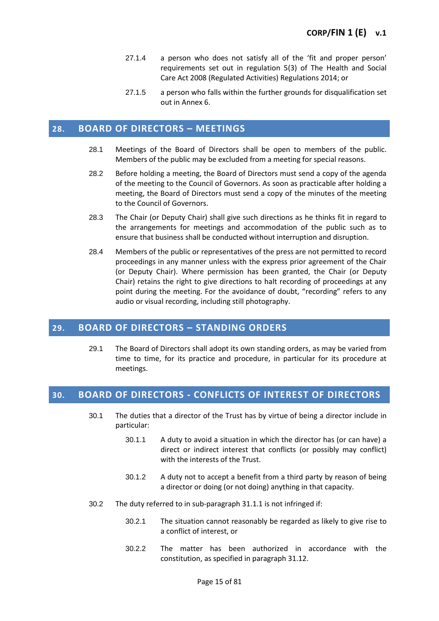- 27.1.4 a person who does not satisfy all of the 'fit and proper person' requirements set out in regulation 5(3) of The Health and Social Care Act 2008 (Regulated Activities) Regulations 2014; or
- 27.1.5 a person who falls within the further grounds for disqualification set out in Annex 6.

## <span id="page-14-0"></span>**28. BOARD OF DIRECTORS – MEETINGS**

- 28.1 Meetings of the Board of Directors shall be open to members of the public. Members of the public may be excluded from a meeting for special reasons.
- 28.2 Before holding a meeting, the Board of Directors must send a copy of the agenda of the meeting to the Council of Governors. As soon as practicable after holding a meeting, the Board of Directors must send a copy of the minutes of the meeting to the Council of Governors.
- 28.3 The Chair (or Deputy Chair) shall give such directions as he thinks fit in regard to the arrangements for meetings and accommodation of the public such as to ensure that business shall be conducted without interruption and disruption.
- 28.4 Members of the public or representatives of the press are not permitted to record proceedings in any manner unless with the express prior agreement of the Chair (or Deputy Chair). Where permission has been granted, the Chair (or Deputy Chair) retains the right to give directions to halt recording of proceedings at any point during the meeting. For the avoidance of doubt, "recording" refers to any audio or visual recording, including still photography.

## <span id="page-14-1"></span>**29. BOARD OF DIRECTORS – STANDING ORDERS**

29.1 The Board of Directors shall adopt its own standing orders, as may be varied from time to time, for its practice and procedure, in particular for its procedure at meetings.

## <span id="page-14-2"></span>**30. BOARD OF DIRECTORS - CONFLICTS OF INTEREST OF DIRECTORS**

- 30.1 The duties that a director of the Trust has by virtue of being a director include in particular:
	- 30.1.1 A duty to avoid a situation in which the director has (or can have) a direct or indirect interest that conflicts (or possibly may conflict) with the interests of the Trust.
	- 30.1.2 A duty not to accept a benefit from a third party by reason of being a director or doing (or not doing) anything in that capacity.
- 30.2 The duty referred to in sub-paragraph 31.1.1 is not infringed if:
	- 30.2.1 The situation cannot reasonably be regarded as likely to give rise to a conflict of interest, or
	- 30.2.2 The matter has been authorized in accordance with the constitution, as specified in paragraph 31.12.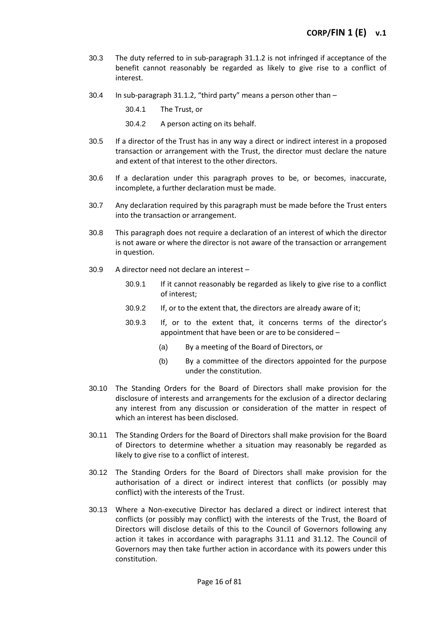- 30.3 The duty referred to in sub-paragraph 31.1.2 is not infringed if acceptance of the benefit cannot reasonably be regarded as likely to give rise to a conflict of interest.
- 30.4 In sub-paragraph 31.1.2, "third party" means a person other than
	- 30.4.1 The Trust, or
	- 30.4.2 A person acting on its behalf.
- 30.5 If a director of the Trust has in any way a direct or indirect interest in a proposed transaction or arrangement with the Trust, the director must declare the nature and extent of that interest to the other directors.
- 30.6 If a declaration under this paragraph proves to be, or becomes, inaccurate, incomplete, a further declaration must be made.
- 30.7 Any declaration required by this paragraph must be made before the Trust enters into the transaction or arrangement.
- 30.8 This paragraph does not require a declaration of an interest of which the director is not aware or where the director is not aware of the transaction or arrangement in question.
- 30.9 A director need not declare an interest
	- 30.9.1 If it cannot reasonably be regarded as likely to give rise to a conflict of interest;
	- 30.9.2 If, or to the extent that, the directors are already aware of it;
	- 30.9.3 If, or to the extent that, it concerns terms of the director's appointment that have been or are to be considered –
		- (a) By a meeting of the Board of Directors, or
		- (b) By a committee of the directors appointed for the purpose under the constitution.
- 30.10 The Standing Orders for the Board of Directors shall make provision for the disclosure of interests and arrangements for the exclusion of a director declaring any interest from any discussion or consideration of the matter in respect of which an interest has been disclosed.
- 30.11 The Standing Orders for the Board of Directors shall make provision for the Board of Directors to determine whether a situation may reasonably be regarded as likely to give rise to a conflict of interest.
- 30.12 The Standing Orders for the Board of Directors shall make provision for the authorisation of a direct or indirect interest that conflicts (or possibly may conflict) with the interests of the Trust.
- 30.13 Where a Non-executive Director has declared a direct or indirect interest that conflicts (or possibly may conflict) with the interests of the Trust, the Board of Directors will disclose details of this to the Council of Governors following any action it takes in accordance with paragraphs 31.11 and 31.12. The Council of Governors may then take further action in accordance with its powers under this constitution.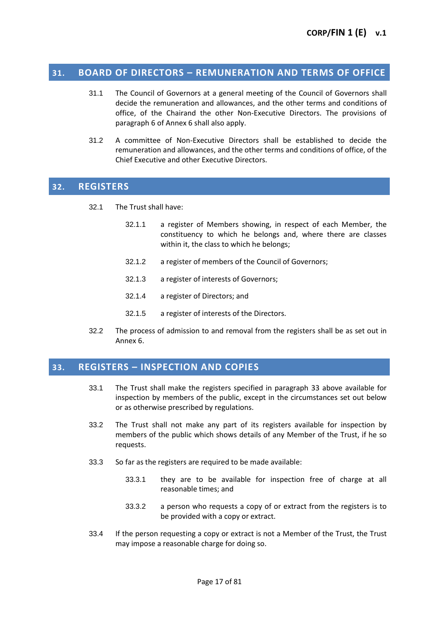## **31. BOARD OF DIRECTORS – REMUNERATION AND TERMS OF OFFICE**

- 31.1 The Council of Governors at a general meeting of the Council of Governors shall decide the remuneration and allowances, and the other terms and conditions of office, of the Chairand the other Non-Executive Directors. The provisions of paragraph 6 of Annex 6 shall also apply.
- 31.2 A committee of Non-Executive Directors shall be established to decide the remuneration and allowances, and the other terms and conditions of office, of the Chief Executive and other Executive Directors.

## <span id="page-16-0"></span>**32. REGISTERS**

- 32.1 The Trust shall have:
	- 32.1.1 a register of Members showing, in respect of each Member, the constituency to which he belongs and, where there are classes within it, the class to which he belongs;
	- 32.1.2 a register of members of the Council of Governors;
	- 32.1.3 a register of interests of Governors;
	- 32.1.4 a register of Directors; and
	- 32.1.5 a register of interests of the Directors.
- 32.2 The process of admission to and removal from the registers shall be as set out in Annex 6.

## <span id="page-16-1"></span>**33. REGISTERS – INSPECTION AND COPIES**

- 33.1 The Trust shall make the registers specified in paragraph 33 above available for inspection by members of the public, except in the circumstances set out below or as otherwise prescribed by regulations.
- 33.2 The Trust shall not make any part of its registers available for inspection by members of the public which shows details of any Member of the Trust, if he so requests.
- 33.3 So far as the registers are required to be made available:
	- 33.3.1 they are to be available for inspection free of charge at all reasonable times; and
	- 33.3.2 a person who requests a copy of or extract from the registers is to be provided with a copy or extract.
- 33.4 If the person requesting a copy or extract is not a Member of the Trust, the Trust may impose a reasonable charge for doing so.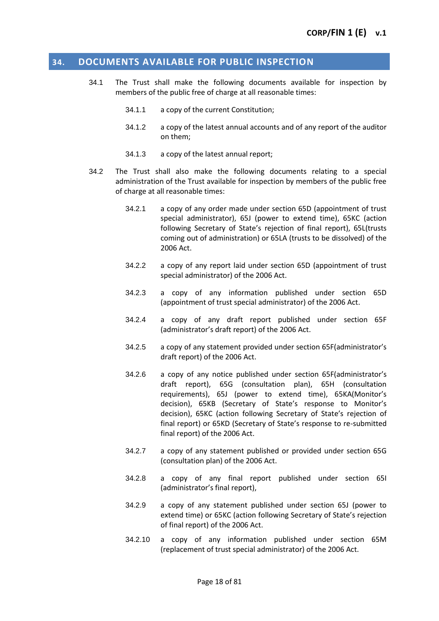## <span id="page-17-0"></span>**34. DOCUMENTS AVAILABLE FOR PUBLIC INSPECTION**

- 34.1 The Trust shall make the following documents available for inspection by members of the public free of charge at all reasonable times:
	- 34.1.1 a copy of the current Constitution;
	- 34.1.2 a copy of the latest annual accounts and of any report of the auditor on them;
	- 34.1.3 a copy of the latest annual report;
- 34.2 The Trust shall also make the following documents relating to a special administration of the Trust available for inspection by members of the public free of charge at all reasonable times:
	- 34.2.1 a copy of any order made under section 65D (appointment of trust special administrator), 65J (power to extend time), 65KC (action following Secretary of State's rejection of final report), 65L(trusts coming out of administration) or 65LA (trusts to be dissolved) of the 2006 Act.
	- 34.2.2 a copy of any report laid under section 65D (appointment of trust special administrator) of the 2006 Act.
	- 34.2.3 a copy of any information published under section 65D (appointment of trust special administrator) of the 2006 Act.
	- 34.2.4 a copy of any draft report published under section 65F (administrator's draft report) of the 2006 Act.
	- 34.2.5 a copy of any statement provided under section 65F(administrator's draft report) of the 2006 Act.
	- 34.2.6 a copy of any notice published under section 65F(administrator's draft report), 65G (consultation plan), 65H (consultation requirements), 65J (power to extend time), 65KA(Monitor's decision), 65KB (Secretary of State's response to Monitor's decision), 65KC (action following Secretary of State's rejection of final report) or 65KD (Secretary of State's response to re-submitted final report) of the 2006 Act.
	- 34.2.7 a copy of any statement published or provided under section 65G (consultation plan) of the 2006 Act.
	- 34.2.8 a copy of any final report published under section 65I (administrator's final report),
	- 34.2.9 a copy of any statement published under section 65J (power to extend time) or 65KC (action following Secretary of State's rejection of final report) of the 2006 Act.
	- 34.2.10 a copy of any information published under section 65M (replacement of trust special administrator) of the 2006 Act.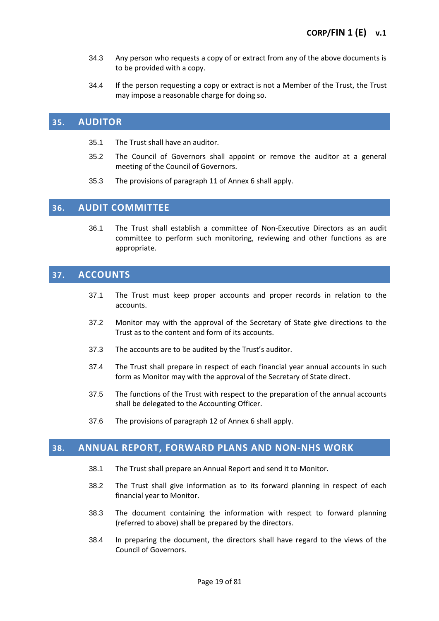- 34.3 Any person who requests a copy of or extract from any of the above documents is to be provided with a copy.
- 34.4 If the person requesting a copy or extract is not a Member of the Trust, the Trust may impose a reasonable charge for doing so.

## <span id="page-18-0"></span>**35. AUDITOR**

- 35.1 The Trust shall have an auditor.
- 35.2 The Council of Governors shall appoint or remove the auditor at a general meeting of the Council of Governors.
- 35.3 The provisions of paragraph 11 of Annex 6 shall apply.

## <span id="page-18-1"></span>**36. AUDIT COMMITTEE**

36.1 The Trust shall establish a committee of Non-Executive Directors as an audit committee to perform such monitoring, reviewing and other functions as are appropriate.

## <span id="page-18-2"></span>**37. ACCOUNTS**

- 37.1 The Trust must keep proper accounts and proper records in relation to the accounts.
- 37.2 Monitor may with the approval of the Secretary of State give directions to the Trust as to the content and form of its accounts.
- 37.3 The accounts are to be audited by the Trust's auditor.
- 37.4 The Trust shall prepare in respect of each financial year annual accounts in such form as Monitor may with the approval of the Secretary of State direct.
- 37.5 The functions of the Trust with respect to the preparation of the annual accounts shall be delegated to the Accounting Officer.
- 37.6 The provisions of paragraph 12 of Annex 6 shall apply.

## <span id="page-18-3"></span>**38. ANNUAL REPORT, FORWARD PLANS AND NON-NHS WORK**

- 38.1 The Trust shall prepare an Annual Report and send it to Monitor.
- 38.2 The Trust shall give information as to its forward planning in respect of each financial year to Monitor.
- 38.3 The document containing the information with respect to forward planning (referred to above) shall be prepared by the directors.
- 38.4 In preparing the document, the directors shall have regard to the views of the Council of Governors.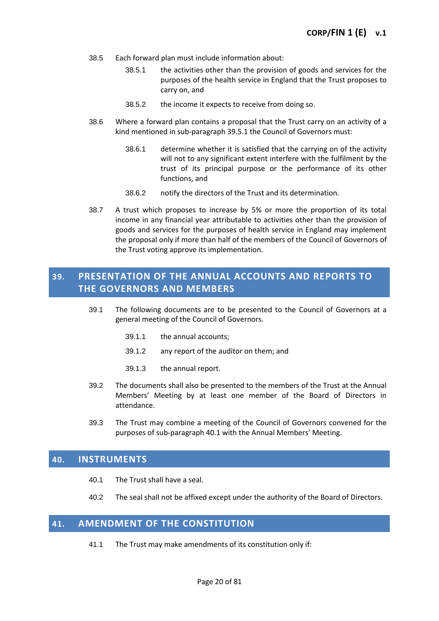- 38.5 Each forward plan must include information about:
	- 38.5.1 the activities other than the provision of goods and services for the purposes of the health service in England that the Trust proposes to carry on, and
	- 38.5.2 the income it expects to receive from doing so.
- 38.6 Where a forward plan contains a proposal that the Trust carry on an activity of a kind mentioned in sub-paragraph 39.5.1 the Council of Governors must:
	- 38.6.1 determine whether it is satisfied that the carrying on of the activity will not to any significant extent interfere with the fulfilment by the trust of its principal purpose or the performance of its other functions, and
	- 38.6.2 notify the directors of the Trust and its determination.
- 38.7 A trust which proposes to increase by 5% or more the proportion of its total income in any financial year attributable to activities other than the provision of goods and services for the purposes of health service in England may implement the proposal only if more than half of the members of the Council of Governors of the Trust voting approve its implementation.

## <span id="page-19-0"></span>**39. PRESENTATION OF THE ANNUAL ACCOUNTS AND REPORTS TO THE GOVERNORS AND MEMBERS**

- 39.1 The following documents are to be presented to the Council of Governors at a general meeting of the Council of Governors.
	- 39.1.1 the annual accounts;
	- 39.1.2 any report of the auditor on them; and
	- 39.1.3 the annual report.
- 39.2 The documents shall also be presented to the members of the Trust at the Annual Members' Meeting by at least one member of the Board of Directors in attendance.
- 39.3 The Trust may combine a meeting of the Council of Governors convened for the purposes of sub-paragraph 40.1 with the Annual Members' Meeting.

## <span id="page-19-1"></span>**40. INSTRUMENTS**

- 40.1 The Trust shall have a seal.
- 40.2 The seal shall not be affixed except under the authority of the Board of Directors.

## <span id="page-19-2"></span>**41. AMENDMENT OF THE CONSTITUTION**

41.1 The Trust may make amendments of its constitution only if: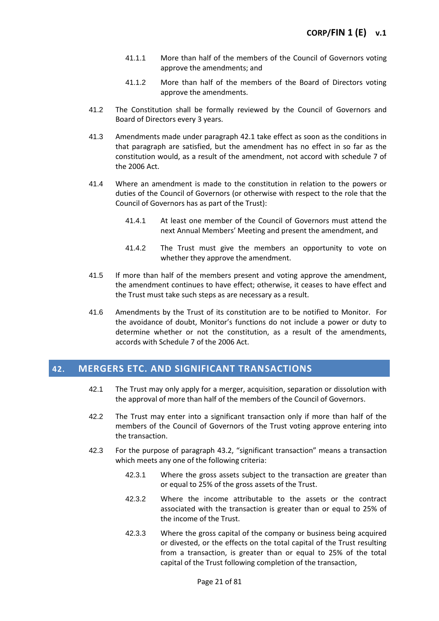- 41.1.1 More than half of the members of the Council of Governors voting approve the amendments; and
- 41.1.2 More than half of the members of the Board of Directors voting approve the amendments.
- 41.2 The Constitution shall be formally reviewed by the Council of Governors and Board of Directors every 3 years.
- 41.3 Amendments made under paragraph 42.1 take effect as soon as the conditions in that paragraph are satisfied, but the amendment has no effect in so far as the constitution would, as a result of the amendment, not accord with schedule 7 of the 2006 Act.
- 41.4 Where an amendment is made to the constitution in relation to the powers or duties of the Council of Governors (or otherwise with respect to the role that the Council of Governors has as part of the Trust):
	- 41.4.1 At least one member of the Council of Governors must attend the next Annual Members' Meeting and present the amendment, and
	- 41.4.2 The Trust must give the members an opportunity to vote on whether they approve the amendment.
- 41.5 If more than half of the members present and voting approve the amendment, the amendment continues to have effect; otherwise, it ceases to have effect and the Trust must take such steps as are necessary as a result.
- 41.6 Amendments by the Trust of its constitution are to be notified to Monitor. For the avoidance of doubt, Monitor's functions do not include a power or duty to determine whether or not the constitution, as a result of the amendments, accords with Schedule 7 of the 2006 Act.

## <span id="page-20-0"></span>**42. MERGERS ETC. AND SIGNIFICANT TRANSACTIONS**

- 42.1 The Trust may only apply for a merger, acquisition, separation or dissolution with the approval of more than half of the members of the Council of Governors.
- 42.2 The Trust may enter into a significant transaction only if more than half of the members of the Council of Governors of the Trust voting approve entering into the transaction.
- 42.3 For the purpose of paragraph 43.2, "significant transaction" means a transaction which meets any one of the following criteria:
	- 42.3.1 Where the gross assets subject to the transaction are greater than or equal to 25% of the gross assets of the Trust.
	- 42.3.2 Where the income attributable to the assets or the contract associated with the transaction is greater than or equal to 25% of the income of the Trust.
	- 42.3.3 Where the gross capital of the company or business being acquired or divested, or the effects on the total capital of the Trust resulting from a transaction, is greater than or equal to 25% of the total capital of the Trust following completion of the transaction,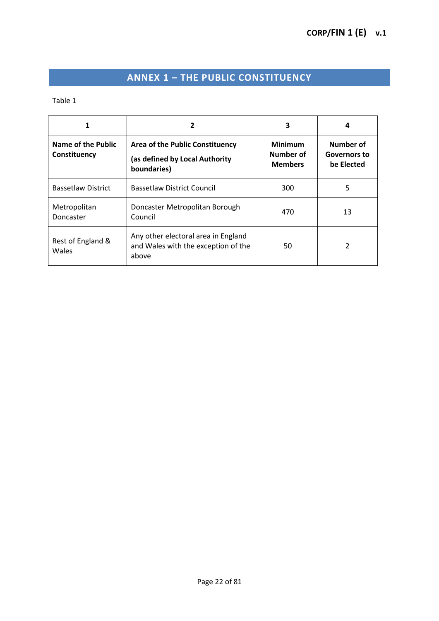# **ANNEX 1 – THE PUBLIC CONSTITUENCY**

<span id="page-21-0"></span>Table 1

|                                    | 2                                                                                   | 3                                             |                                                |
|------------------------------------|-------------------------------------------------------------------------------------|-----------------------------------------------|------------------------------------------------|
| Name of the Public<br>Constituency | Area of the Public Constituency<br>(as defined by Local Authority<br>boundaries)    | <b>Minimum</b><br>Number of<br><b>Members</b> | Number of<br><b>Governors to</b><br>be Elected |
| <b>Bassetlaw District</b>          | <b>Bassetlaw District Council</b>                                                   | 300                                           | 5                                              |
| Metropolitan<br>Doncaster          | Doncaster Metropolitan Borough<br>Council                                           | 470                                           | 13                                             |
| Rest of England &<br>Wales         | Any other electoral area in England<br>and Wales with the exception of the<br>above | 50                                            |                                                |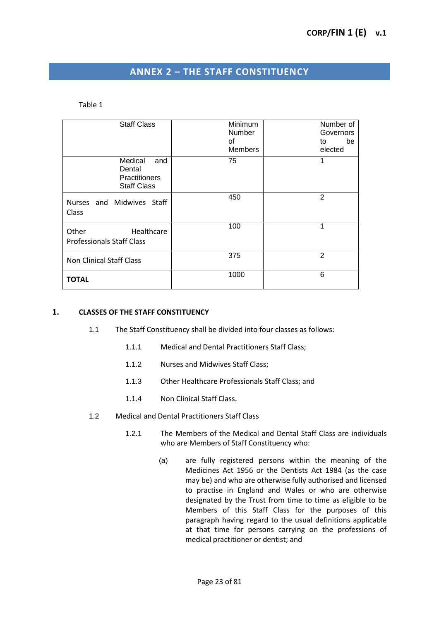## **ANNEX 2 – THE STAFF CONSTITUENCY**

#### <span id="page-22-0"></span>Table 1

| <b>Staff Class</b>                                                     | <b>Minimum</b><br>Number<br>of<br><b>Members</b> | Number of<br>Governors<br>be<br>to<br>elected |
|------------------------------------------------------------------------|--------------------------------------------------|-----------------------------------------------|
| Medical<br>and<br>Dental<br><b>Practitioners</b><br><b>Staff Class</b> | 75                                               | 1                                             |
| Nurses and Midwives Staff<br>Class                                     | 450                                              | $\overline{2}$                                |
| Healthcare<br>Other<br><b>Professionals Staff Class</b>                | 100                                              | 1                                             |
| <b>Non Clinical Staff Class</b>                                        | 375                                              | $\overline{2}$                                |
| <b>TOTAL</b>                                                           | 1000                                             | 6                                             |

### **1. CLASSES OF THE STAFF CONSTITUENCY**

- 1.1 The Staff Constituency shall be divided into four classes as follows:
	- 1.1.1 Medical and Dental Practitioners Staff Class;
	- 1.1.2 Nurses and Midwives Staff Class;
	- 1.1.3 Other Healthcare Professionals Staff Class; and
	- 1.1.4 Non Clinical Staff Class.
- 1.2 Medical and Dental Practitioners Staff Class
	- 1.2.1 The Members of the Medical and Dental Staff Class are individuals who are Members of Staff Constituency who:
		- (a) are fully registered persons within the meaning of the Medicines Act 1956 or the Dentists Act 1984 (as the case may be) and who are otherwise fully authorised and licensed to practise in England and Wales or who are otherwise designated by the Trust from time to time as eligible to be Members of this Staff Class for the purposes of this paragraph having regard to the usual definitions applicable at that time for persons carrying on the professions of medical practitioner or dentist; and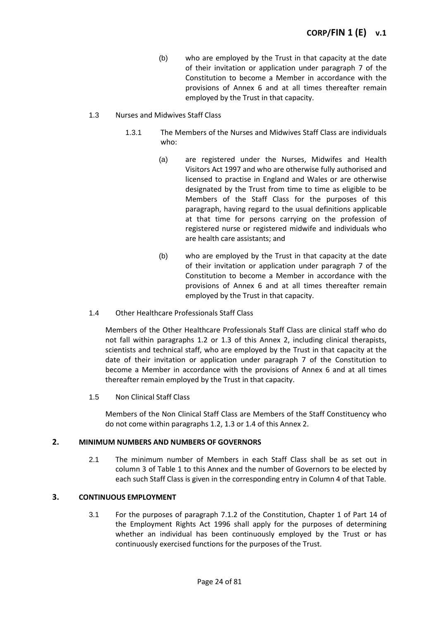(b) who are employed by the Trust in that capacity at the date of their invitation or application under paragraph 7 of the Constitution to become a Member in accordance with the provisions of Annex 6 and at all times thereafter remain employed by the Trust in that capacity.

### 1.3 Nurses and Midwives Staff Class

- 1.3.1 The Members of the Nurses and Midwives Staff Class are individuals who:
	- (a) are registered under the Nurses, Midwifes and Health Visitors Act 1997 and who are otherwise fully authorised and licensed to practise in England and Wales or are otherwise designated by the Trust from time to time as eligible to be Members of the Staff Class for the purposes of this paragraph, having regard to the usual definitions applicable at that time for persons carrying on the profession of registered nurse or registered midwife and individuals who are health care assistants; and
	- (b) who are employed by the Trust in that capacity at the date of their invitation or application under paragraph 7 of the Constitution to become a Member in accordance with the provisions of Annex 6 and at all times thereafter remain employed by the Trust in that capacity.
- 1.4 Other Healthcare Professionals Staff Class

Members of the Other Healthcare Professionals Staff Class are clinical staff who do not fall within paragraphs 1.2 or 1.3 of this Annex 2, including clinical therapists, scientists and technical staff, who are employed by the Trust in that capacity at the date of their invitation or application under paragraph 7 of the Constitution to become a Member in accordance with the provisions of Annex 6 and at all times thereafter remain employed by the Trust in that capacity.

1.5 Non Clinical Staff Class

Members of the Non Clinical Staff Class are Members of the Staff Constituency who do not come within paragraphs 1.2, 1.3 or 1.4 of this Annex 2.

#### **2. MINIMUM NUMBERS AND NUMBERS OF GOVERNORS**

2.1 The minimum number of Members in each Staff Class shall be as set out in column 3 of Table 1 to this Annex and the number of Governors to be elected by each such Staff Class is given in the corresponding entry in Column 4 of that Table.

#### **3. CONTINUOUS EMPLOYMENT**

3.1 For the purposes of paragraph 7.1.2 of the Constitution, Chapter 1 of Part 14 of the Employment Rights Act 1996 shall apply for the purposes of determining whether an individual has been continuously employed by the Trust or has continuously exercised functions for the purposes of the Trust.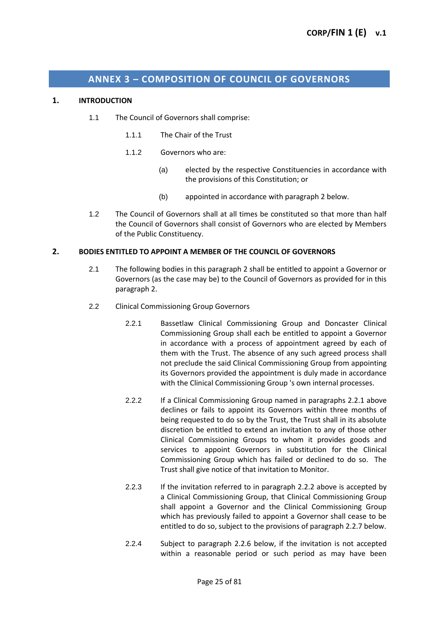## **ANNEX 3 – COMPOSITION OF COUNCIL OF GOVERNORS**

#### <span id="page-24-0"></span>**1. INTRODUCTION**

- 1.1 The Council of Governors shall comprise:
	- 1.1.1 The Chair of the Trust
	- 1.1.2 Governors who are:
		- (a) elected by the respective Constituencies in accordance with the provisions of this Constitution; or
		- (b) appointed in accordance with paragraph 2 below.
- 1.2 The Council of Governors shall at all times be constituted so that more than half the Council of Governors shall consist of Governors who are elected by Members of the Public Constituency.

#### **2. BODIES ENTITLED TO APPOINT A MEMBER OF THE COUNCIL OF GOVERNORS**

- 2.1 The following bodies in this paragraph 2 shall be entitled to appoint a Governor or Governors (as the case may be) to the Council of Governors as provided for in this paragraph 2.
- 2.2 Clinical Commissioning Group Governors
	- 2.2.1 Bassetlaw Clinical Commissioning Group and Doncaster Clinical Commissioning Group shall each be entitled to appoint a Governor in accordance with a process of appointment agreed by each of them with the Trust. The absence of any such agreed process shall not preclude the said Clinical Commissioning Group from appointing its Governors provided the appointment is duly made in accordance with the Clinical Commissioning Group 's own internal processes.
	- 2.2.2 If a Clinical Commissioning Group named in paragraphs 2.2.1 above declines or fails to appoint its Governors within three months of being requested to do so by the Trust, the Trust shall in its absolute discretion be entitled to extend an invitation to any of those other Clinical Commissioning Groups to whom it provides goods and services to appoint Governors in substitution for the Clinical Commissioning Group which has failed or declined to do so. The Trust shall give notice of that invitation to Monitor.
	- 2.2.3 If the invitation referred to in paragraph 2.2.2 above is accepted by a Clinical Commissioning Group, that Clinical Commissioning Group shall appoint a Governor and the Clinical Commissioning Group which has previously failed to appoint a Governor shall cease to be entitled to do so, subject to the provisions of paragraph 2.2.7 below.
	- 2.2.4 Subject to paragraph 2.2.6 below, if the invitation is not accepted within a reasonable period or such period as may have been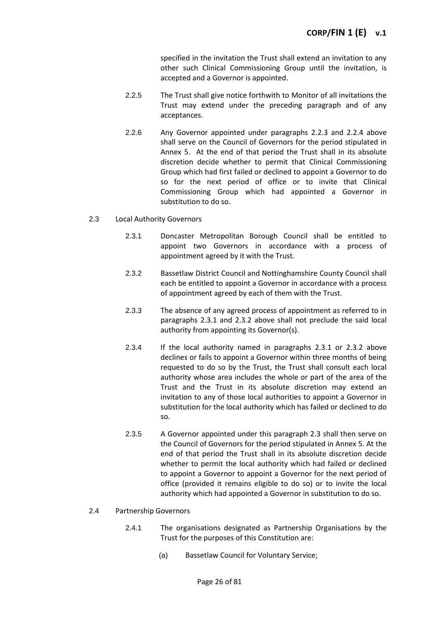specified in the invitation the Trust shall extend an invitation to any other such Clinical Commissioning Group until the invitation, is accepted and a Governor is appointed.

- 2.2.5 The Trust shall give notice forthwith to Monitor of all invitations the Trust may extend under the preceding paragraph and of any acceptances.
- 2.2.6 Any Governor appointed under paragraphs 2.2.3 and 2.2.4 above shall serve on the Council of Governors for the period stipulated in Annex 5. At the end of that period the Trust shall in its absolute discretion decide whether to permit that Clinical Commissioning Group which had first failed or declined to appoint a Governor to do so for the next period of office or to invite that Clinical Commissioning Group which had appointed a Governor in substitution to do so.

#### 2.3 Local Authority Governors

- 2.3.1 Doncaster Metropolitan Borough Council shall be entitled to appoint two Governors in accordance with a process of appointment agreed by it with the Trust.
- 2.3.2 Bassetlaw District Council and Nottinghamshire County Council shall each be entitled to appoint a Governor in accordance with a process of appointment agreed by each of them with the Trust.
- 2.3.3 The absence of any agreed process of appointment as referred to in paragraphs 2.3.1 and 2.3.2 above shall not preclude the said local authority from appointing its Governor(s).
- 2.3.4 If the local authority named in paragraphs 2.3.1 or 2.3.2 above declines or fails to appoint a Governor within three months of being requested to do so by the Trust, the Trust shall consult each local authority whose area includes the whole or part of the area of the Trust and the Trust in its absolute discretion may extend an invitation to any of those local authorities to appoint a Governor in substitution for the local authority which has failed or declined to do so.
- 2.3.5 A Governor appointed under this paragraph 2.3 shall then serve on the Council of Governors for the period stipulated in Annex 5. At the end of that period the Trust shall in its absolute discretion decide whether to permit the local authority which had failed or declined to appoint a Governor to appoint a Governor for the next period of office (provided it remains eligible to do so) or to invite the local authority which had appointed a Governor in substitution to do so.

#### 2.4 Partnership Governors

- 2.4.1 The organisations designated as Partnership Organisations by the Trust for the purposes of this Constitution are:
	- (a) Bassetlaw Council for Voluntary Service;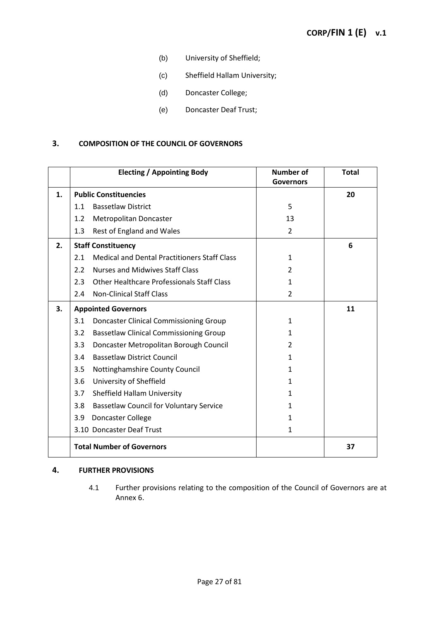- (b) University of Sheffield;
- (c) Sheffield Hallam University;
- (d) Doncaster College;
- (e) Doncaster Deaf Trust;

#### **3. COMPOSITION OF THE COUNCIL OF GOVERNORS**

|    |                           | <b>Electing / Appointing Body</b>                   | <b>Number of</b><br><b>Governors</b> | <b>Total</b> |
|----|---------------------------|-----------------------------------------------------|--------------------------------------|--------------|
| 1. |                           | <b>Public Constituencies</b>                        |                                      | 20           |
|    | 1.1                       | <b>Bassetlaw District</b>                           | 5                                    |              |
|    | 1.2                       | <b>Metropolitan Doncaster</b>                       | 13                                   |              |
|    | 1.3                       | Rest of England and Wales                           | $\overline{2}$                       |              |
| 2. | <b>Staff Constituency</b> |                                                     |                                      | 6            |
|    | 2.1                       | <b>Medical and Dental Practitioners Staff Class</b> | 1                                    |              |
|    | 2.2                       | <b>Nurses and Midwives Staff Class</b>              | $\overline{2}$                       |              |
|    | 2.3                       | <b>Other Healthcare Professionals Staff Class</b>   | 1                                    |              |
|    | 2.4                       | <b>Non-Clinical Staff Class</b>                     | $\overline{2}$                       |              |
| 3. |                           | <b>Appointed Governors</b>                          |                                      | 11           |
|    | 3.1                       | <b>Doncaster Clinical Commissioning Group</b>       | 1                                    |              |
|    | 3.2                       | <b>Bassetlaw Clinical Commissioning Group</b>       | 1                                    |              |
|    | 3.3                       | Doncaster Metropolitan Borough Council              | 2                                    |              |
|    | 3.4                       | <b>Bassetlaw District Council</b>                   | 1.                                   |              |
|    | 3.5                       | Nottinghamshire County Council                      | 1                                    |              |
|    | 3.6                       | University of Sheffield                             | 1                                    |              |
|    | 3.7                       | Sheffield Hallam University                         | 1                                    |              |
|    | 3.8                       | <b>Bassetlaw Council for Voluntary Service</b>      | 1.                                   |              |
|    | 3.9                       | Doncaster College                                   | 1                                    |              |
|    |                           | 3.10 Doncaster Deaf Trust                           | $\mathbf{1}$                         |              |
|    |                           | <b>Total Number of Governors</b>                    |                                      | 37           |

#### **4. FURTHER PROVISIONS**

4.1 Further provisions relating to the composition of the Council of Governors are at Annex 6.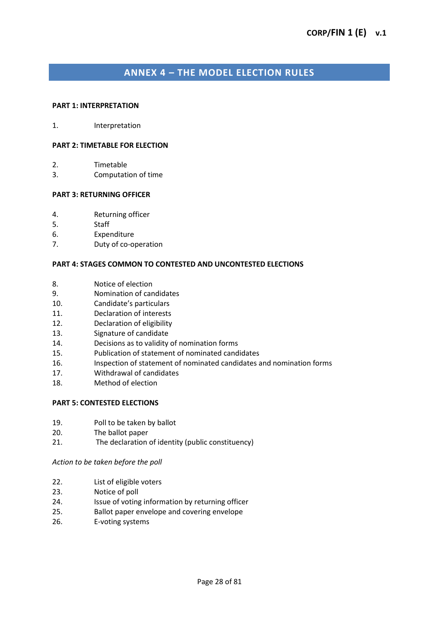## **ANNEX 4 – THE MODEL ELECTION RULES**

#### <span id="page-27-0"></span>**PART 1: INTERPRETATION**

1. Interpretation

#### **PART 2: TIMETABLE FOR ELECTION**

- 2. Timetable
- 3. Computation of time

#### **PART 3: RETURNING OFFICER**

- 4. Returning officer
- 5. Staff
- 6. Expenditure
- 7. Duty of co-operation

#### **PART 4: STAGES COMMON TO CONTESTED AND UNCONTESTED ELECTIONS**

- 8. Notice of election
- 9. Nomination of candidates
- 10. Candidate's particulars
- 11. Declaration of interests
- 12. Declaration of eligibility
- 13. Signature of candidate
- 14. Decisions as to validity of nomination forms
- 15. Publication of statement of nominated candidates
- 16. Inspection of statement of nominated candidates and nomination forms
- 17. Withdrawal of candidates
- 18. Method of election

#### **PART 5: CONTESTED ELECTIONS**

- 19. Poll to be taken by ballot
- 20. The ballot paper
- 21. The declaration of identity (public constituency)

#### *Action to be taken before the poll*

- 22. List of eligible voters
- 23. Notice of poll
- 24. Issue of voting information by returning officer
- 25. Ballot paper envelope and covering envelope
- 26. E-voting systems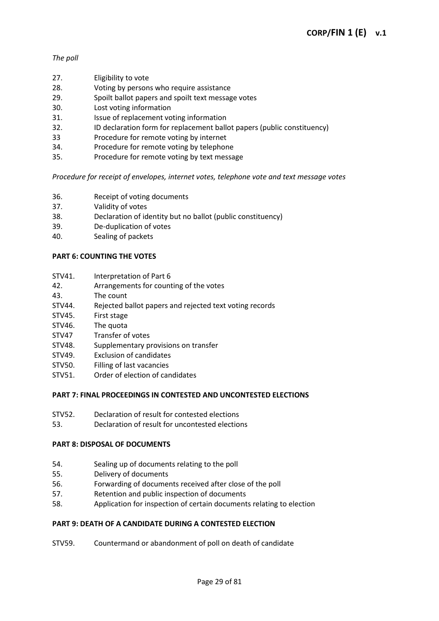## *The poll*

- 27. Eligibility to vote
- 28. Voting by persons who require assistance
- 29. Spoilt ballot papers and spoilt text message votes
- 30. Lost voting information
- 31. Issue of replacement voting information
- 32. ID declaration form for replacement ballot papers (public constituency)
- 33 Procedure for remote voting by internet
- 34. Procedure for remote voting by telephone
- 35. Procedure for remote voting by text message

## *Procedure for receipt of envelopes, internet votes, telephone vote and text message votes*

- 36. Receipt of voting documents
- 37. Validity of votes
- 38. Declaration of identity but no ballot (public constituency)
- 39. De-duplication of votes
- 40. Sealing of packets

## **PART 6: COUNTING THE VOTES**

- STV41. Interpretation of Part 6
- 42. Arrangements for counting of the votes
- 43. The count
- STV44. Rejected ballot papers and rejected text voting records
- STV45. First stage
- STV46. The quota
- STV47 Transfer of votes
- STV48. Supplementary provisions on transfer
- STV49. Exclusion of candidates
- STV50. Filling of last vacancies
- STV51. Order of election of candidates

## **PART 7: FINAL PROCEEDINGS IN CONTESTED AND UNCONTESTED ELECTIONS**

- STV52. Declaration of result for contested elections
- 53. Declaration of result for uncontested elections

## **PART 8: DISPOSAL OF DOCUMENTS**

- 54. Sealing up of documents relating to the poll
- 55. Delivery of documents
- 56. Forwarding of documents received after close of the poll
- 57. Retention and public inspection of documents
- 58. Application for inspection of certain documents relating to election

## **PART 9: DEATH OF A CANDIDATE DURING A CONTESTED ELECTION**

STV59. Countermand or abandonment of poll on death of candidate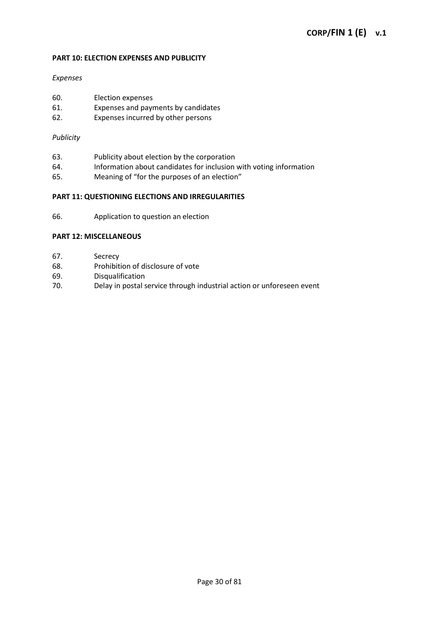#### **PART 10: ELECTION EXPENSES AND PUBLICITY**

#### *Expenses*

- 60. Election expenses
- 61. Expenses and payments by candidates<br>62. Expenses incurred by other persons
- Expenses incurred by other persons

#### *Publicity*

- 63. Publicity about election by the corporation
- 64. Information about candidates for inclusion with voting information
- 65. Meaning of "for the purposes of an election"

#### **PART 11: QUESTIONING ELECTIONS AND IRREGULARITIES**

66. Application to question an election

#### **PART 12: MISCELLANEOUS**

- 67. Secrecy
- 68. Prohibition of disclosure of vote
- 69. Disqualification
- 70. Delay in postal service through industrial action or unforeseen event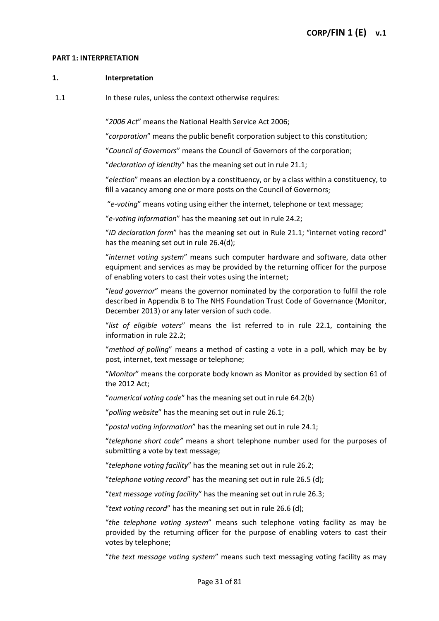#### **PART 1: INTERPRETATION**

#### **1. Interpretation**

1.1 In these rules, unless the context otherwise requires:

"*2006 Act*" means the National Health Service Act 2006;

"*corporation*" means the public benefit corporation subject to this constitution;

"*Council of Governors*" means the Council of Governors of the corporation;

"*declaration of identity*" has the meaning set out in rule 21.1;

"*election*" means an election by a constituency, or by a class within a constituency, to fill a vacancy among one or more posts on the Council of Governors;

"*e-voting*" means voting using either the internet, telephone or text message;

"*e-voting information*" has the meaning set out in rule 24.2;

"*ID declaration form*" has the meaning set out in Rule 21.1; "internet voting record" has the meaning set out in rule 26.4(d);

"*internet voting system*" means such computer hardware and software, data other equipment and services as may be provided by the returning officer for the purpose of enabling voters to cast their votes using the internet;

"*lead governor*" means the governor nominated by the corporation to fulfil the role described in Appendix B to The NHS Foundation Trust Code of Governance (Monitor, December 2013) or any later version of such code.

"*list of eligible voters*" means the list referred to in rule 22.1, containing the information in rule 22.2;

"*method of polling*" means a method of casting a vote in a poll, which may be by post, internet, text message or telephone;

"*Monitor*" means the corporate body known as Monitor as provided by section 61 of the 2012 Act;

"*numerical voting code*" has the meaning set out in rule 64.2(b)

"*polling website*" has the meaning set out in rule 26.1;

"*postal voting information*" has the meaning set out in rule 24.1;

"*telephone short code"* means a short telephone number used for the purposes of submitting a vote by text message;

"*telephone voting facility*" has the meaning set out in rule 26.2;

"*telephone voting record*" has the meaning set out in rule 26.5 (d);

"*text message voting facility*" has the meaning set out in rule 26.3;

"*text voting record*" has the meaning set out in rule 26.6 (d);

"*the telephone voting system*" means such telephone voting facility as may be provided by the returning officer for the purpose of enabling voters to cast their votes by telephone;

"*the text message voting system*" means such text messaging voting facility as may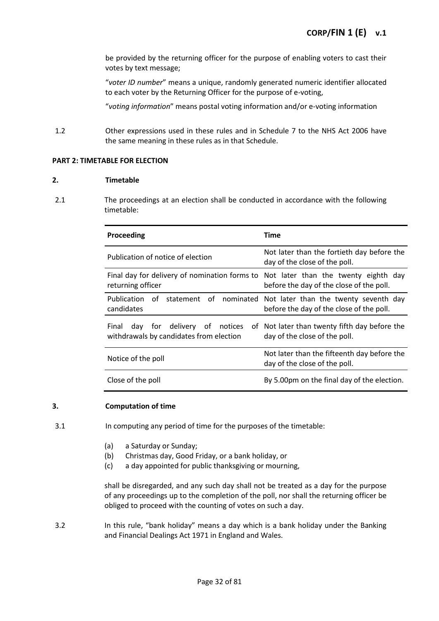be provided by the returning officer for the purpose of enabling voters to cast their votes by text message;

"*voter ID number*" means a unique, randomly generated numeric identifier allocated to each voter by the Returning Officer for the purpose of e-voting,

"*voting information*" means postal voting information and/or e-voting information

1.2 Other expressions used in these rules and in Schedule 7 to the NHS Act 2006 have the same meaning in these rules as in that Schedule.

#### **PART 2: TIMETABLE FOR ELECTION**

#### **2. Timetable**

2.1 The proceedings at an election shall be conducted in accordance with the following timetable:

| Proceeding                                                                                              | Time                                                                                        |  |
|---------------------------------------------------------------------------------------------------------|---------------------------------------------------------------------------------------------|--|
| Publication of notice of election                                                                       | Not later than the fortieth day before the<br>day of the close of the poll.                 |  |
| Final day for delivery of nomination forms to Not later than the twenty eighth day<br>returning officer | before the day of the close of the poll.                                                    |  |
| Publication of statement of<br>candidates                                                               | nominated Not later than the twenty seventh day<br>before the day of the close of the poll. |  |
| day for delivery of notices<br>Final<br>withdrawals by candidates from election                         | of Not later than twenty fifth day before the<br>day of the close of the poll.              |  |
| Notice of the poll                                                                                      | Not later than the fifteenth day before the<br>day of the close of the poll.                |  |
| Close of the poll                                                                                       | By 5.00pm on the final day of the election.                                                 |  |

#### **3. Computation of time**

- 3.1 In computing any period of time for the purposes of the timetable:
	- (a) a Saturday or Sunday;
	- (b) Christmas day, Good Friday, or a bank holiday, or
	- (c) a day appointed for public thanksgiving or mourning,

shall be disregarded, and any such day shall not be treated as a day for the purpose of any proceedings up to the completion of the poll, nor shall the returning officer be obliged to proceed with the counting of votes on such a day.

3.2 In this rule, "bank holiday" means a day which is a bank holiday under the Banking and Financial Dealings Act 1971 in England and Wales.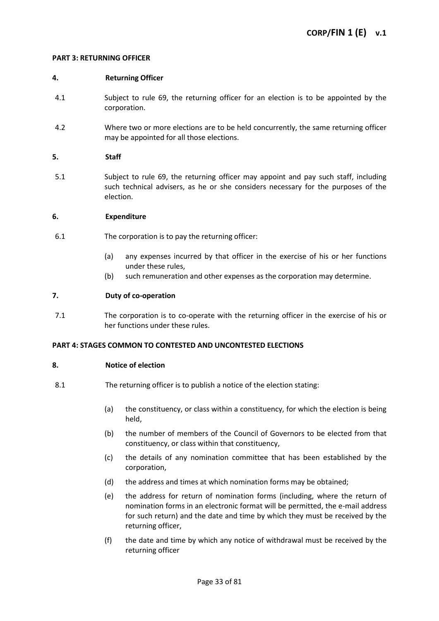#### **PART 3: RETURNING OFFICER**

#### **4. Returning Officer**

- 4.1 Subject to rule 69, the returning officer for an election is to be appointed by the corporation.
- 4.2 Where two or more elections are to be held concurrently, the same returning officer may be appointed for all those elections.

#### **5. Staff**

5.1 Subject to rule 69, the returning officer may appoint and pay such staff, including such technical advisers, as he or she considers necessary for the purposes of the election.

#### **6. Expenditure**

- 6.1 The corporation is to pay the returning officer:
	- (a) any expenses incurred by that officer in the exercise of his or her functions under these rules,
	- (b) such remuneration and other expenses as the corporation may determine.

#### **7. Duty of co-operation**

7.1 The corporation is to co-operate with the returning officer in the exercise of his or her functions under these rules.

#### **PART 4: STAGES COMMON TO CONTESTED AND UNCONTESTED ELECTIONS**

#### **8. Notice of election**

- 8.1 The returning officer is to publish a notice of the election stating:
	- (a) the constituency, or class within a constituency, for which the election is being held,
	- (b) the number of members of the Council of Governors to be elected from that constituency, or class within that constituency,
	- (c) the details of any nomination committee that has been established by the corporation,
	- (d) the address and times at which nomination forms may be obtained;
	- (e) the address for return of nomination forms (including, where the return of nomination forms in an electronic format will be permitted, the e-mail address for such return) and the date and time by which they must be received by the returning officer,
	- (f) the date and time by which any notice of withdrawal must be received by the returning officer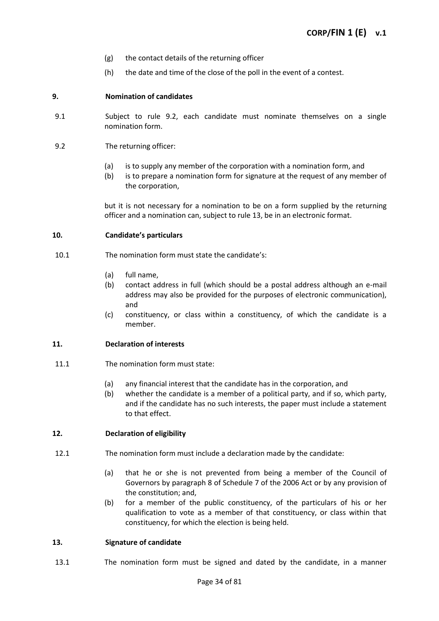- (g) the contact details of the returning officer
- (h) the date and time of the close of the poll in the event of a contest.

#### **9. Nomination of candidates**

- 9.1 Subject to rule 9.2, each candidate must nominate themselves on a single nomination form.
- 9.2 The returning officer:
	- (a) is to supply any member of the corporation with a nomination form, and
	- (b) is to prepare a nomination form for signature at the request of any member of the corporation,

but it is not necessary for a nomination to be on a form supplied by the returning officer and a nomination can, subject to rule 13, be in an electronic format.

#### **10. Candidate's particulars**

- 10.1 The nomination form must state the candidate's:
	- (a) full name,
	- (b) contact address in full (which should be a postal address although an e-mail address may also be provided for the purposes of electronic communication), and
	- (c) constituency, or class within a constituency, of which the candidate is a member.

#### **11. Declaration of interests**

- 11.1 The nomination form must state:
	- (a) any financial interest that the candidate has in the corporation, and
	- (b) whether the candidate is a member of a political party, and if so, which party, and if the candidate has no such interests, the paper must include a statement to that effect.

### **12. Declaration of eligibility**

- 12.1 The nomination form must include a declaration made by the candidate:
	- (a) that he or she is not prevented from being a member of the Council of Governors by paragraph 8 of Schedule 7 of the 2006 Act or by any provision of the constitution; and,
	- (b) for a member of the public constituency, of the particulars of his or her qualification to vote as a member of that constituency, or class within that constituency, for which the election is being held.

#### **13. Signature of candidate**

13.1 The nomination form must be signed and dated by the candidate, in a manner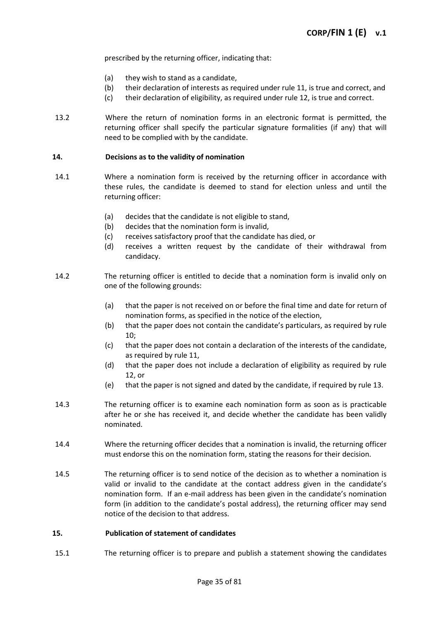prescribed by the returning officer, indicating that:

- (a) they wish to stand as a candidate,
- (b) their declaration of interests as required under rule 11, is true and correct, and
- (c) their declaration of eligibility, as required under rule 12, is true and correct.
- 13.2 Where the return of nomination forms in an electronic format is permitted, the returning officer shall specify the particular signature formalities (if any) that will need to be complied with by the candidate.

#### **14. Decisions as to the validity of nomination**

- 14.1 Where a nomination form is received by the returning officer in accordance with these rules, the candidate is deemed to stand for election unless and until the returning officer:
	- (a) decides that the candidate is not eligible to stand,
	- (b) decides that the nomination form is invalid,
	- (c) receives satisfactory proof that the candidate has died, or
	- (d) receives a written request by the candidate of their withdrawal from candidacy.
- 14.2 The returning officer is entitled to decide that a nomination form is invalid only on one of the following grounds:
	- (a) that the paper is not received on or before the final time and date for return of nomination forms, as specified in the notice of the election,
	- (b) that the paper does not contain the candidate's particulars, as required by rule 10;
	- (c) that the paper does not contain a declaration of the interests of the candidate, as required by rule 11,
	- (d) that the paper does not include a declaration of eligibility as required by rule 12, or
	- (e) that the paper is not signed and dated by the candidate, if required by rule 13.
- 14.3 The returning officer is to examine each nomination form as soon as is practicable after he or she has received it, and decide whether the candidate has been validly nominated.
- 14.4 Where the returning officer decides that a nomination is invalid, the returning officer must endorse this on the nomination form, stating the reasons for their decision.
- 14.5 The returning officer is to send notice of the decision as to whether a nomination is valid or invalid to the candidate at the contact address given in the candidate's nomination form. If an e-mail address has been given in the candidate's nomination form (in addition to the candidate's postal address), the returning officer may send notice of the decision to that address.

#### **15. Publication of statement of candidates**

15.1 The returning officer is to prepare and publish a statement showing the candidates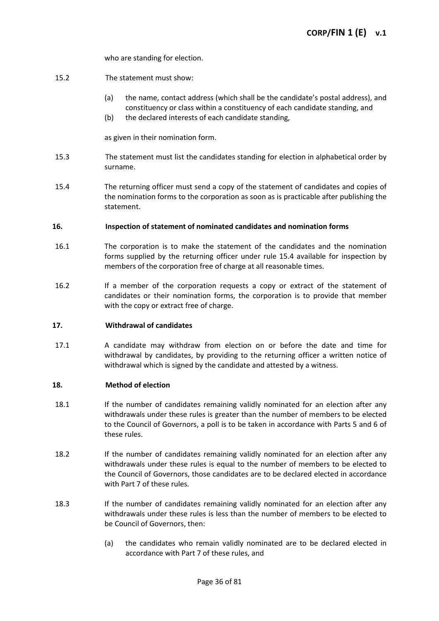who are standing for election.

- 15.2 The statement must show:
	- (a) the name, contact address (which shall be the candidate's postal address), and constituency or class within a constituency of each candidate standing, and
	- (b) the declared interests of each candidate standing,

as given in their nomination form.

- 15.3 The statement must list the candidates standing for election in alphabetical order by surname.
- 15.4 The returning officer must send a copy of the statement of candidates and copies of the nomination forms to the corporation as soon as is practicable after publishing the statement.

#### **16. Inspection of statement of nominated candidates and nomination forms**

- 16.1 The corporation is to make the statement of the candidates and the nomination forms supplied by the returning officer under rule 15.4 available for inspection by members of the corporation free of charge at all reasonable times.
- 16.2 If a member of the corporation requests a copy or extract of the statement of candidates or their nomination forms, the corporation is to provide that member with the copy or extract free of charge.

#### **17. Withdrawal of candidates**

17.1 A candidate may withdraw from election on or before the date and time for withdrawal by candidates, by providing to the returning officer a written notice of withdrawal which is signed by the candidate and attested by a witness.

#### **18. Method of election**

- 18.1 If the number of candidates remaining validly nominated for an election after any withdrawals under these rules is greater than the number of members to be elected to the Council of Governors, a poll is to be taken in accordance with Parts 5 and 6 of these rules.
- 18.2 If the number of candidates remaining validly nominated for an election after any withdrawals under these rules is equal to the number of members to be elected to the Council of Governors, those candidates are to be declared elected in accordance with Part 7 of these rules.
- 18.3 If the number of candidates remaining validly nominated for an election after any withdrawals under these rules is less than the number of members to be elected to be Council of Governors, then:
	- (a) the candidates who remain validly nominated are to be declared elected in accordance with Part 7 of these rules, and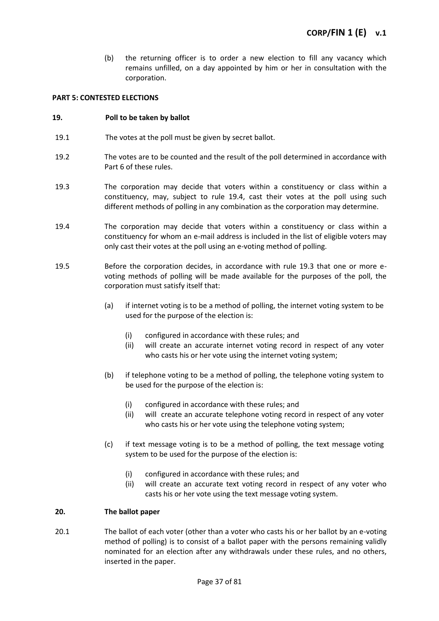(b) the returning officer is to order a new election to fill any vacancy which remains unfilled, on a day appointed by him or her in consultation with the corporation.

### **PART 5: CONTESTED ELECTIONS**

### **19. Poll to be taken by ballot**

- 19.1 The votes at the poll must be given by secret ballot.
- 19.2 The votes are to be counted and the result of the poll determined in accordance with Part 6 of these rules.
- 19.3 The corporation may decide that voters within a constituency or class within a constituency, may, subject to rule 19.4, cast their votes at the poll using such different methods of polling in any combination as the corporation may determine.
- 19.4 The corporation may decide that voters within a constituency or class within a constituency for whom an e-mail address is included in the list of eligible voters may only cast their votes at the poll using an e-voting method of polling.
- 19.5 Before the corporation decides, in accordance with rule 19.3 that one or more evoting methods of polling will be made available for the purposes of the poll, the corporation must satisfy itself that:
	- (a) if internet voting is to be a method of polling, the internet voting system to be used for the purpose of the election is:
		- (i) configured in accordance with these rules; and
		- (ii) will create an accurate internet voting record in respect of any voter who casts his or her vote using the internet voting system;
	- (b) if telephone voting to be a method of polling, the telephone voting system to be used for the purpose of the election is:
		- (i) configured in accordance with these rules; and
		- (ii) will create an accurate telephone voting record in respect of any voter who casts his or her vote using the telephone voting system;
	- (c) if text message voting is to be a method of polling, the text message voting system to be used for the purpose of the election is:
		- (i) configured in accordance with these rules; and
		- (ii) will create an accurate text voting record in respect of any voter who casts his or her vote using the text message voting system.

### **20. The ballot paper**

20.1 The ballot of each voter (other than a voter who casts his or her ballot by an e-voting method of polling) is to consist of a ballot paper with the persons remaining validly nominated for an election after any withdrawals under these rules, and no others, inserted in the paper.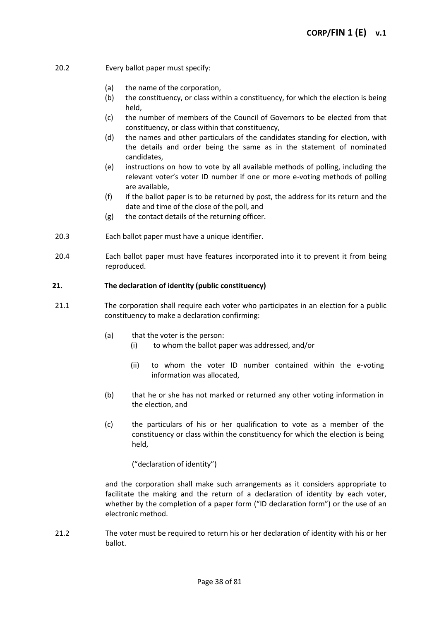- 20.2 Every ballot paper must specify:
	- (a) the name of the corporation,
	- (b) the constituency, or class within a constituency, for which the election is being held,
	- (c) the number of members of the Council of Governors to be elected from that constituency, or class within that constituency,
	- (d) the names and other particulars of the candidates standing for election, with the details and order being the same as in the statement of nominated candidates,
	- (e) instructions on how to vote by all available methods of polling, including the relevant voter's voter ID number if one or more e-voting methods of polling are available,
	- (f) if the ballot paper is to be returned by post, the address for its return and the date and time of the close of the poll, and
	- (g) the contact details of the returning officer.
- 20.3 Each ballot paper must have a unique identifier.
- 20.4 Each ballot paper must have features incorporated into it to prevent it from being reproduced.

### **21. The declaration of identity (public constituency)**

- 21.1 The corporation shall require each voter who participates in an election for a public constituency to make a declaration confirming:
	- (a) that the voter is the person:
		- (i) to whom the ballot paper was addressed, and/or
		- (ii) to whom the voter ID number contained within the e-voting information was allocated,
	- (b) that he or she has not marked or returned any other voting information in the election, and
	- (c) the particulars of his or her qualification to vote as a member of the constituency or class within the constituency for which the election is being held,

("declaration of identity")

and the corporation shall make such arrangements as it considers appropriate to facilitate the making and the return of a declaration of identity by each voter, whether by the completion of a paper form ("ID declaration form") or the use of an electronic method.

21.2 The voter must be required to return his or her declaration of identity with his or her ballot.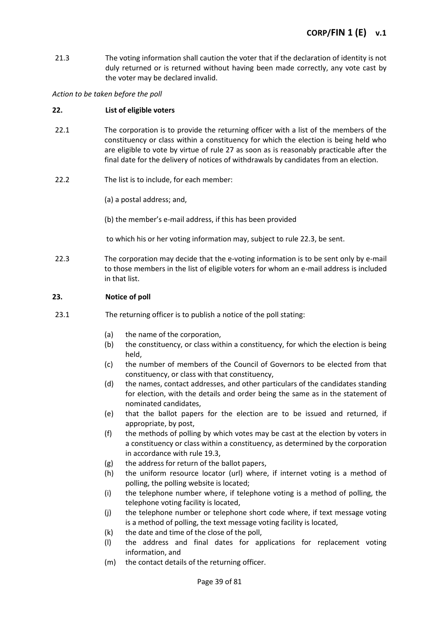21.3 The voting information shall caution the voter that if the declaration of identity is not duly returned or is returned without having been made correctly, any vote cast by the voter may be declared invalid.

*Action to be taken before the poll*

# **22. List of eligible voters**

- 22.1 The corporation is to provide the returning officer with a list of the members of the constituency or class within a constituency for which the election is being held who are eligible to vote by virtue of rule 27 as soon as is reasonably practicable after the final date for the delivery of notices of withdrawals by candidates from an election.
- 22.2 The list is to include, for each member:

(a) a postal address; and,

(b) the member's e-mail address, if this has been provided

to which his or her voting information may, subject to rule 22.3, be sent.

22.3 The corporation may decide that the e-voting information is to be sent only by e-mail to those members in the list of eligible voters for whom an e-mail address is included in that list.

# **23. Notice of poll**

- 23.1 The returning officer is to publish a notice of the poll stating:
	- (a) the name of the corporation,
	- (b) the constituency, or class within a constituency, for which the election is being held,
	- (c) the number of members of the Council of Governors to be elected from that constituency, or class with that constituency,
	- (d) the names, contact addresses, and other particulars of the candidates standing for election, with the details and order being the same as in the statement of nominated candidates,
	- (e) that the ballot papers for the election are to be issued and returned, if appropriate, by post,
	- (f) the methods of polling by which votes may be cast at the election by voters in a constituency or class within a constituency, as determined by the corporation in accordance with rule 19.3,
	- (g) the address for return of the ballot papers,
	- (h) the uniform resource locator (url) where, if internet voting is a method of polling, the polling website is located;
	- (i) the telephone number where, if telephone voting is a method of polling, the telephone voting facility is located,
	- (j) the telephone number or telephone short code where, if text message voting is a method of polling, the text message voting facility is located,
	- (k) the date and time of the close of the poll,
	- (l) the address and final dates for applications for replacement voting information, and
	- (m) the contact details of the returning officer.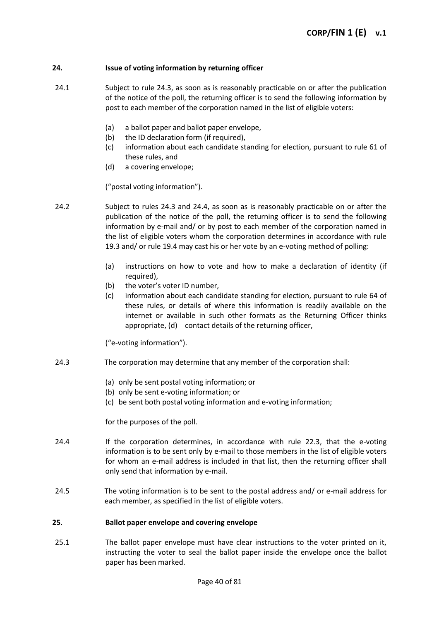### **24. Issue of voting information by returning officer**

- 24.1 Subject to rule 24.3, as soon as is reasonably practicable on or after the publication of the notice of the poll, the returning officer is to send the following information by post to each member of the corporation named in the list of eligible voters:
	- (a) a ballot paper and ballot paper envelope,
	- (b) the ID declaration form (if required),
	- (c) information about each candidate standing for election, pursuant to rule 61 of these rules, and
	- (d) a covering envelope;

("postal voting information").

- 24.2 Subject to rules 24.3 and 24.4, as soon as is reasonably practicable on or after the publication of the notice of the poll, the returning officer is to send the following information by e-mail and/ or by post to each member of the corporation named in the list of eligible voters whom the corporation determines in accordance with rule 19.3 and/ or rule 19.4 may cast his or her vote by an e-voting method of polling:
	- (a) instructions on how to vote and how to make a declaration of identity (if required),
	- (b) the voter's voter ID number,
	- (c) information about each candidate standing for election, pursuant to rule 64 of these rules, or details of where this information is readily available on the internet or available in such other formats as the Returning Officer thinks appropriate, (d) contact details of the returning officer,

("e-voting information").

- 24.3 The corporation may determine that any member of the corporation shall:
	- (a) only be sent postal voting information; or
	- (b) only be sent e-voting information; or
	- (c) be sent both postal voting information and e-voting information;

for the purposes of the poll.

- 24.4 If the corporation determines, in accordance with rule 22.3, that the e-voting information is to be sent only by e-mail to those members in the list of eligible voters for whom an e-mail address is included in that list, then the returning officer shall only send that information by e-mail.
- 24.5 The voting information is to be sent to the postal address and/ or e-mail address for each member, as specified in the list of eligible voters.

### **25. Ballot paper envelope and covering envelope**

25.1 The ballot paper envelope must have clear instructions to the voter printed on it, instructing the voter to seal the ballot paper inside the envelope once the ballot paper has been marked.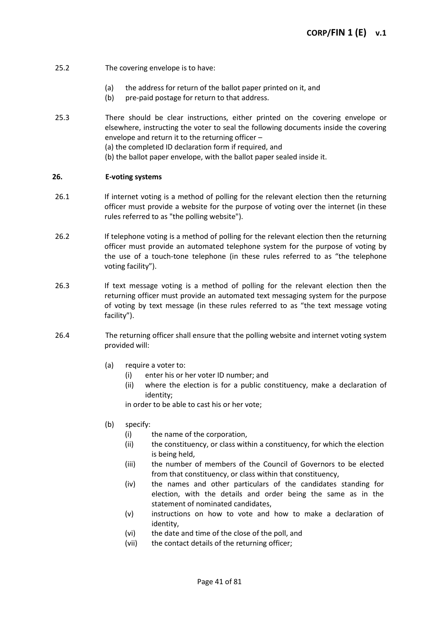# 25.2 The covering envelope is to have:

- (a) the address for return of the ballot paper printed on it, and
- (b) pre-paid postage for return to that address.
- 25.3 There should be clear instructions, either printed on the covering envelope or elsewhere, instructing the voter to seal the following documents inside the covering envelope and return it to the returning officer – (a) the completed ID declaration form if required, and
	- (b) the ballot paper envelope, with the ballot paper sealed inside it.

### **26. E-voting systems**

- 26.1 If internet voting is a method of polling for the relevant election then the returning officer must provide a website for the purpose of voting over the internet (in these rules referred to as "the polling website").
- 26.2 If telephone voting is a method of polling for the relevant election then the returning officer must provide an automated telephone system for the purpose of voting by the use of a touch-tone telephone (in these rules referred to as "the telephone voting facility").
- 26.3 If text message voting is a method of polling for the relevant election then the returning officer must provide an automated text messaging system for the purpose of voting by text message (in these rules referred to as "the text message voting facility").
- 26.4 The returning officer shall ensure that the polling website and internet voting system provided will:
	- (a) require a voter to:
		- (i) enter his or her voter ID number; and
		- (ii) where the election is for a public constituency, make a declaration of identity;

in order to be able to cast his or her vote;

- (b) specify:
	- (i) the name of the corporation,
	- (ii) the constituency, or class within a constituency, for which the election is being held,
	- (iii) the number of members of the Council of Governors to be elected from that constituency, or class within that constituency,
	- (iv) the names and other particulars of the candidates standing for election, with the details and order being the same as in the statement of nominated candidates,
	- (v) instructions on how to vote and how to make a declaration of identity,
	- (vi) the date and time of the close of the poll, and
	- (vii) the contact details of the returning officer;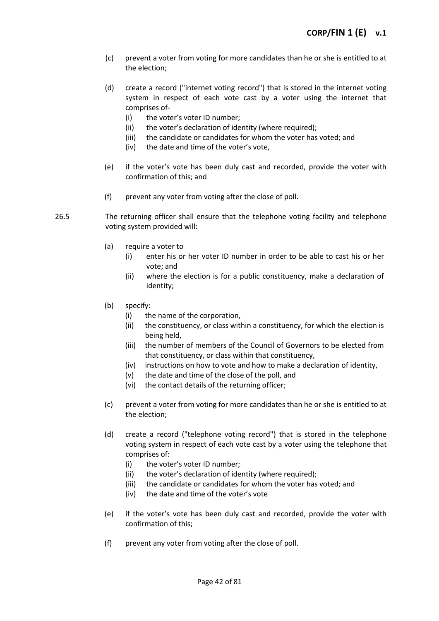- (c) prevent a voter from voting for more candidates than he or she is entitled to at the election;
- (d) create a record ("internet voting record") that is stored in the internet voting system in respect of each vote cast by a voter using the internet that comprises of-
	- (i) the voter's voter ID number;
	- (ii) the voter's declaration of identity (where required);
	- (iii) the candidate or candidates for whom the voter has voted; and
	- (iv) the date and time of the voter's vote,
- (e) if the voter's vote has been duly cast and recorded, provide the voter with confirmation of this; and
- (f) prevent any voter from voting after the close of poll.
- 26.5 The returning officer shall ensure that the telephone voting facility and telephone voting system provided will:
	- (a) require a voter to
		- (i) enter his or her voter ID number in order to be able to cast his or her vote; and
		- (ii) where the election is for a public constituency, make a declaration of identity;
	- (b) specify:
		- (i) the name of the corporation,
		- (ii) the constituency, or class within a constituency, for which the election is being held,
		- (iii) the number of members of the Council of Governors to be elected from that constituency, or class within that constituency,
		- (iv) instructions on how to vote and how to make a declaration of identity,
		- (v) the date and time of the close of the poll, and
		- (vi) the contact details of the returning officer;
	- (c) prevent a voter from voting for more candidates than he or she is entitled to at the election;
	- (d) create a record ("telephone voting record") that is stored in the telephone voting system in respect of each vote cast by a voter using the telephone that comprises of:
		- (i) the voter's voter ID number;
		- (ii) the voter's declaration of identity (where required);
		- (iii) the candidate or candidates for whom the voter has voted; and
		- (iv) the date and time of the voter's vote
	- (e) if the voter's vote has been duly cast and recorded, provide the voter with confirmation of this;
	- (f) prevent any voter from voting after the close of poll.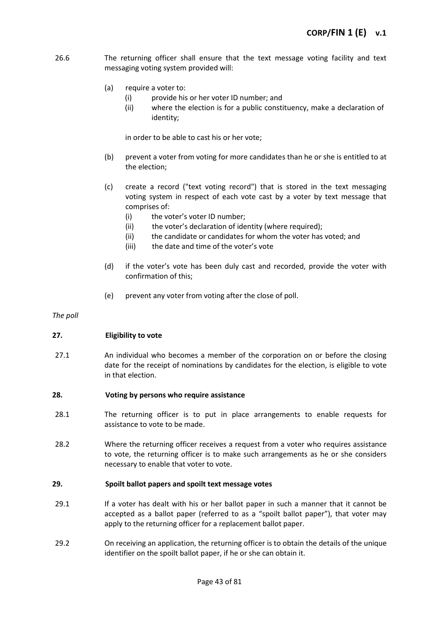- 26.6 The returning officer shall ensure that the text message voting facility and text messaging voting system provided will:
	- (a) require a voter to:
		- (i) provide his or her voter ID number; and
		- (ii) where the election is for a public constituency, make a declaration of identity;

in order to be able to cast his or her vote;

- (b) prevent a voter from voting for more candidates than he or she is entitled to at the election;
- (c) create a record ("text voting record") that is stored in the text messaging voting system in respect of each vote cast by a voter by text message that comprises of:
	- (i) the voter's voter ID number;
	- (ii) the voter's declaration of identity (where required);
	- (ii) the candidate or candidates for whom the voter has voted; and
	- (iii) the date and time of the voter's vote
- (d) if the voter's vote has been duly cast and recorded, provide the voter with confirmation of this;
- (e) prevent any voter from voting after the close of poll.

*The poll*

### **27. Eligibility to vote**

27.1 An individual who becomes a member of the corporation on or before the closing date for the receipt of nominations by candidates for the election, is eligible to vote in that election.

### **28. Voting by persons who require assistance**

- 28.1 The returning officer is to put in place arrangements to enable requests for assistance to vote to be made.
- 28.2 Where the returning officer receives a request from a voter who requires assistance to vote, the returning officer is to make such arrangements as he or she considers necessary to enable that voter to vote.

### **29. Spoilt ballot papers and spoilt text message votes**

- 29.1 If a voter has dealt with his or her ballot paper in such a manner that it cannot be accepted as a ballot paper (referred to as a "spoilt ballot paper"), that voter may apply to the returning officer for a replacement ballot paper.
- 29.2 On receiving an application, the returning officer is to obtain the details of the unique identifier on the spoilt ballot paper, if he or she can obtain it.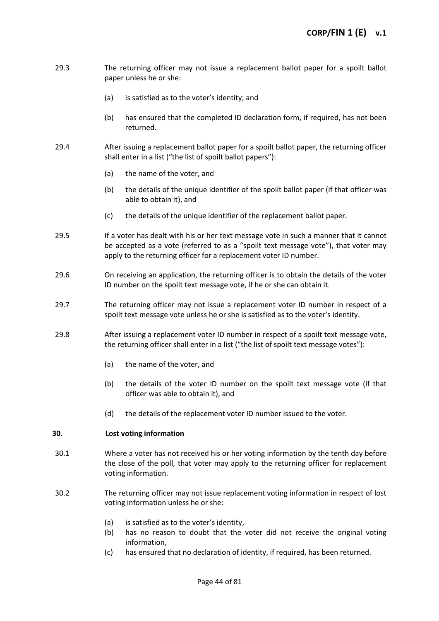- 29.3 The returning officer may not issue a replacement ballot paper for a spoilt ballot paper unless he or she:
	- (a) is satisfied as to the voter's identity; and
	- (b) has ensured that the completed ID declaration form, if required, has not been returned.
- 29.4 After issuing a replacement ballot paper for a spoilt ballot paper, the returning officer shall enter in a list ("the list of spoilt ballot papers"):
	- (a) the name of the voter, and
	- (b) the details of the unique identifier of the spoilt ballot paper (if that officer was able to obtain it), and
	- (c) the details of the unique identifier of the replacement ballot paper.
- 29.5 If a voter has dealt with his or her text message vote in such a manner that it cannot be accepted as a vote (referred to as a "spoilt text message vote"), that voter may apply to the returning officer for a replacement voter ID number.
- 29.6 On receiving an application, the returning officer is to obtain the details of the voter ID number on the spoilt text message vote, if he or she can obtain it.
- 29.7 The returning officer may not issue a replacement voter ID number in respect of a spoilt text message vote unless he or she is satisfied as to the voter's identity.
- 29.8 After issuing a replacement voter ID number in respect of a spoilt text message vote, the returning officer shall enter in a list ("the list of spoilt text message votes"):
	- (a) the name of the voter, and
	- (b) the details of the voter ID number on the spoilt text message vote (if that officer was able to obtain it), and
	- (d) the details of the replacement voter ID number issued to the voter.

# **30. Lost voting information**

- 30.1 Where a voter has not received his or her voting information by the tenth day before the close of the poll, that voter may apply to the returning officer for replacement voting information.
- 30.2 The returning officer may not issue replacement voting information in respect of lost voting information unless he or she:
	- (a) is satisfied as to the voter's identity,
	- (b) has no reason to doubt that the voter did not receive the original voting information,
	- (c) has ensured that no declaration of identity, if required, has been returned.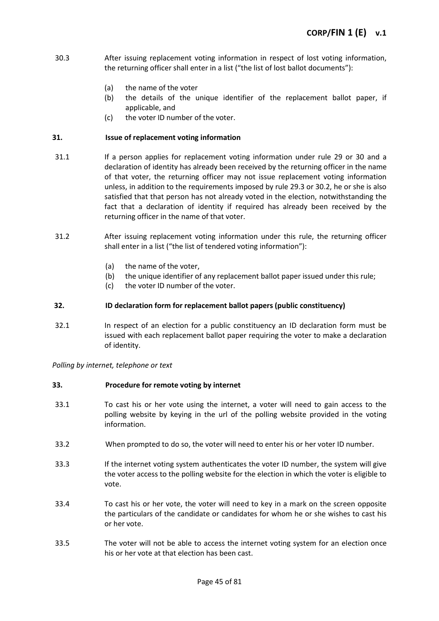- 30.3 After issuing replacement voting information in respect of lost voting information, the returning officer shall enter in a list ("the list of lost ballot documents"):
	- (a) the name of the voter
	- (b) the details of the unique identifier of the replacement ballot paper, if applicable, and
	- (c) the voter ID number of the voter.

### **31. Issue of replacement voting information**

- 31.1 If a person applies for replacement voting information under rule 29 or 30 and a declaration of identity has already been received by the returning officer in the name of that voter, the returning officer may not issue replacement voting information unless, in addition to the requirements imposed by rule 29.3 or 30.2, he or she is also satisfied that that person has not already voted in the election, notwithstanding the fact that a declaration of identity if required has already been received by the returning officer in the name of that voter.
- 31.2 After issuing replacement voting information under this rule, the returning officer shall enter in a list ("the list of tendered voting information"):
	- (a) the name of the voter,
	- (b) the unique identifier of any replacement ballot paper issued under this rule;
	- (c) the voter ID number of the voter.

### **32. ID declaration form for replacement ballot papers (public constituency)**

32.1 In respect of an election for a public constituency an ID declaration form must be issued with each replacement ballot paper requiring the voter to make a declaration of identity.

*Polling by internet, telephone or text*

### **33. Procedure for remote voting by internet**

- 33.1 To cast his or her vote using the internet, a voter will need to gain access to the polling website by keying in the url of the polling website provided in the voting information.
- 33.2 When prompted to do so, the voter will need to enter his or her voter ID number.
- 33.3 If the internet voting system authenticates the voter ID number, the system will give the voter access to the polling website for the election in which the voter is eligible to vote.
- 33.4 To cast his or her vote, the voter will need to key in a mark on the screen opposite the particulars of the candidate or candidates for whom he or she wishes to cast his or her vote.
- 33.5 The voter will not be able to access the internet voting system for an election once his or her vote at that election has been cast.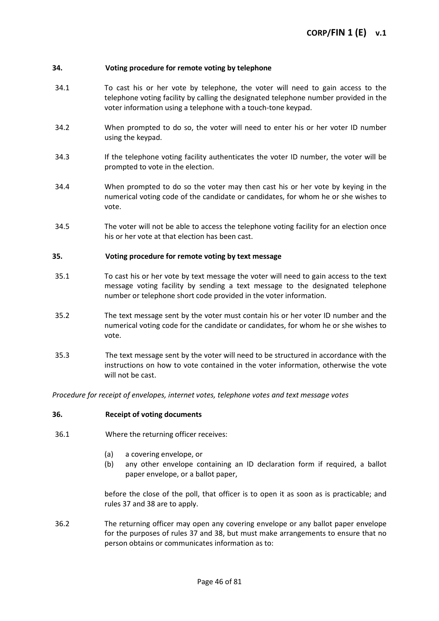### **34. Voting procedure for remote voting by telephone**

- 34.1 To cast his or her vote by telephone, the voter will need to gain access to the telephone voting facility by calling the designated telephone number provided in the voter information using a telephone with a touch-tone keypad.
- 34.2 When prompted to do so, the voter will need to enter his or her voter ID number using the keypad.
- 34.3 If the telephone voting facility authenticates the voter ID number, the voter will be prompted to vote in the election.
- 34.4 When prompted to do so the voter may then cast his or her vote by keying in the numerical voting code of the candidate or candidates, for whom he or she wishes to vote.
- 34.5 The voter will not be able to access the telephone voting facility for an election once his or her vote at that election has been cast.

### **35. Voting procedure for remote voting by text message**

- 35.1 To cast his or her vote by text message the voter will need to gain access to the text message voting facility by sending a text message to the designated telephone number or telephone short code provided in the voter information.
- 35.2 The text message sent by the voter must contain his or her voter ID number and the numerical voting code for the candidate or candidates, for whom he or she wishes to vote.
- 35.3 The text message sent by the voter will need to be structured in accordance with the instructions on how to vote contained in the voter information, otherwise the vote will not be cast.

*Procedure for receipt of envelopes, internet votes, telephone votes and text message votes*

#### **36. Receipt of voting documents**

- 36.1 Where the returning officer receives:
	- (a) a covering envelope, or
	- (b) any other envelope containing an ID declaration form if required, a ballot paper envelope, or a ballot paper,

before the close of the poll, that officer is to open it as soon as is practicable; and rules 37 and 38 are to apply.

36.2 The returning officer may open any covering envelope or any ballot paper envelope for the purposes of rules 37 and 38, but must make arrangements to ensure that no person obtains or communicates information as to: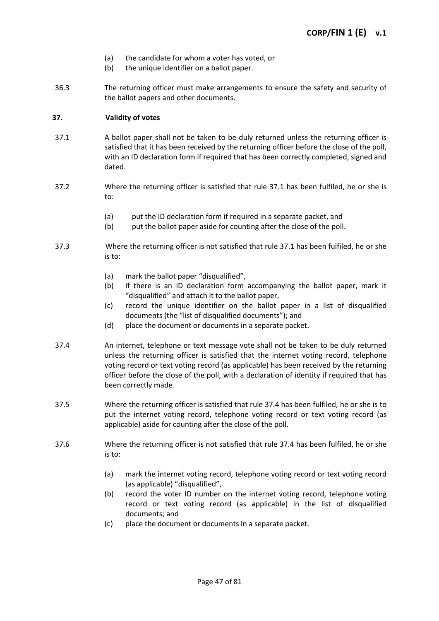- (a) the candidate for whom a voter has voted, or
- (b) the unique identifier on a ballot paper.
- 36.3 The returning officer must make arrangements to ensure the safety and security of the ballot papers and other documents.

# **37. Validity of votes**

- 37.1 A ballot paper shall not be taken to be duly returned unless the returning officer is satisfied that it has been received by the returning officer before the close of the poll, with an ID declaration form if required that has been correctly completed, signed and dated.
- 37.2 Where the returning officer is satisfied that rule 37.1 has been fulfiled, he or she is to:
	- (a) put the ID declaration form if required in a separate packet, and
	- (b) put the ballot paper aside for counting after the close of the poll.
- 37.3 Where the returning officer is not satisfied that rule 37.1 has been fulfiled, he or she is to:
	- (a) mark the ballot paper "disqualified",
	- (b) if there is an ID declaration form accompanying the ballot paper, mark it "disqualified" and attach it to the ballot paper,
	- (c) record the unique identifier on the ballot paper in a list of disqualified documents (the "list of disqualified documents"); and
	- (d) place the document or documents in a separate packet.
- 37.4 An internet, telephone or text message vote shall not be taken to be duly returned unless the returning officer is satisfied that the internet voting record, telephone voting record or text voting record (as applicable) has been received by the returning officer before the close of the poll, with a declaration of identity if required that has been correctly made.
- 37.5 Where the returning officer is satisfied that rule 37.4 has been fulfiled, he or she is to put the internet voting record, telephone voting record or text voting record (as applicable) aside for counting after the close of the poll.
- 37.6 Where the returning officer is not satisfied that rule 37.4 has been fulfiled, he or she is to:
	- (a) mark the internet voting record, telephone voting record or text voting record (as applicable) "disqualified",
	- (b) record the voter ID number on the internet voting record, telephone voting record or text voting record (as applicable) in the list of disqualified documents; and
	- (c) place the document or documents in a separate packet.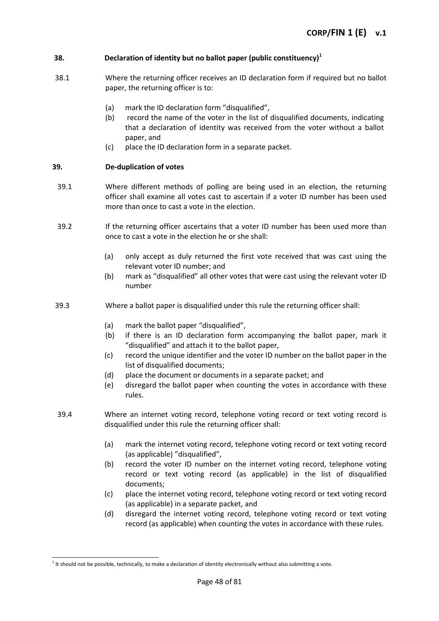# **38. Declaration of identity but no ballot paper (public constituency)<sup>1</sup>**

- 38.1 Where the returning officer receives an ID declaration form if required but no ballot paper, the returning officer is to:
	- (a) mark the ID declaration form "disqualified",
	- (b) record the name of the voter in the list of disqualified documents, indicating that a declaration of identity was received from the voter without a ballot paper, and
	- (c) place the ID declaration form in a separate packet.

# **39. De-duplication of votes**

- 39.1 Where different methods of polling are being used in an election, the returning officer shall examine all votes cast to ascertain if a voter ID number has been used more than once to cast a vote in the election.
- 39.2 If the returning officer ascertains that a voter ID number has been used more than once to cast a vote in the election he or she shall:
	- (a) only accept as duly returned the first vote received that was cast using the relevant voter ID number; and
	- (b) mark as "disqualified" all other votes that were cast using the relevant voter ID number
- 39.3 Where a ballot paper is disqualified under this rule the returning officer shall:
	- (a) mark the ballot paper "disqualified",
	- (b) if there is an ID declaration form accompanying the ballot paper, mark it "disqualified" and attach it to the ballot paper,
	- (c) record the unique identifier and the voter ID number on the ballot paper in the list of disqualified documents;
	- (d) place the document or documents in a separate packet; and
	- (e) disregard the ballot paper when counting the votes in accordance with these rules.
- 39.4 Where an internet voting record, telephone voting record or text voting record is disqualified under this rule the returning officer shall:
	- (a) mark the internet voting record, telephone voting record or text voting record (as applicable) "disqualified",
	- (b) record the voter ID number on the internet voting record, telephone voting record or text voting record (as applicable) in the list of disqualified documents;
	- (c) place the internet voting record, telephone voting record or text voting record (as applicable) in a separate packet, and
	- (d) disregard the internet voting record, telephone voting record or text voting record (as applicable) when counting the votes in accordance with these rules.

l

 $1$  It should not be possible, technically, to make a declaration of identity electronically without also submitting a vote.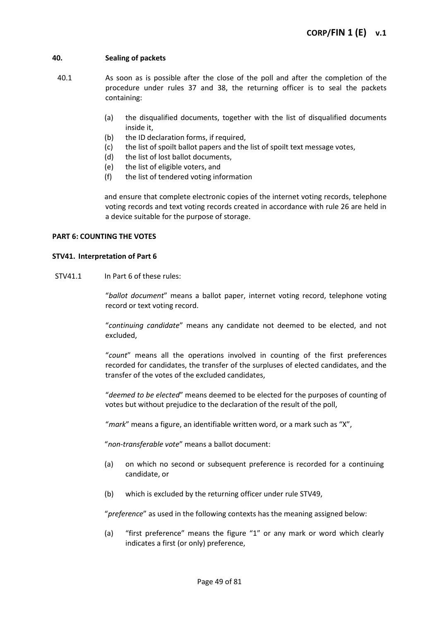# **40. Sealing of packets**

- 40.1 As soon as is possible after the close of the poll and after the completion of the procedure under rules 37 and 38, the returning officer is to seal the packets containing:
	- (a) the disqualified documents, together with the list of disqualified documents inside it,
	- (b) the ID declaration forms, if required,
	- (c) the list of spoilt ballot papers and the list of spoilt text message votes,
	- (d) the list of lost ballot documents,
	- (e) the list of eligible voters, and
	- (f) the list of tendered voting information

and ensure that complete electronic copies of the internet voting records, telephone voting records and text voting records created in accordance with rule 26 are held in a device suitable for the purpose of storage.

#### **PART 6: COUNTING THE VOTES**

#### **STV41. Interpretation of Part 6**

STV41.1 In Part 6 of these rules:

"*ballot document*" means a ballot paper, internet voting record, telephone voting record or text voting record.

"*continuing candidate*" means any candidate not deemed to be elected, and not excluded,

"*count*" means all the operations involved in counting of the first preferences recorded for candidates, the transfer of the surpluses of elected candidates, and the transfer of the votes of the excluded candidates,

"*deemed to be elected*" means deemed to be elected for the purposes of counting of votes but without prejudice to the declaration of the result of the poll,

"*mark*" means a figure, an identifiable written word, or a mark such as "X",

"*non-transferable vote*" means a ballot document:

- (a) on which no second or subsequent preference is recorded for a continuing candidate, or
- (b) which is excluded by the returning officer under rule STV49,

"*preference*" as used in the following contexts has the meaning assigned below:

(a) "first preference" means the figure "1" or any mark or word which clearly indicates a first (or only) preference,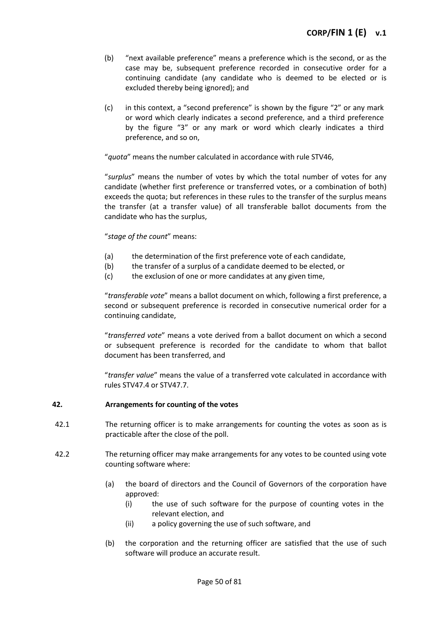- (b) "next available preference" means a preference which is the second, or as the case may be, subsequent preference recorded in consecutive order for a continuing candidate (any candidate who is deemed to be elected or is excluded thereby being ignored); and
- (c) in this context, a "second preference" is shown by the figure "2" or any mark or word which clearly indicates a second preference, and a third preference by the figure "3" or any mark or word which clearly indicates a third preference, and so on,

"*quota*" means the number calculated in accordance with rule STV46,

"*surplus*" means the number of votes by which the total number of votes for any candidate (whether first preference or transferred votes, or a combination of both) exceeds the quota; but references in these rules to the transfer of the surplus means the transfer (at a transfer value) of all transferable ballot documents from the candidate who has the surplus,

# "*stage of the count*" means:

- (a) the determination of the first preference vote of each candidate,
- (b) the transfer of a surplus of a candidate deemed to be elected, or
- (c) the exclusion of one or more candidates at any given time,

"*transferable vote*" means a ballot document on which, following a first preference, a second or subsequent preference is recorded in consecutive numerical order for a continuing candidate,

"*transferred vote*" means a vote derived from a ballot document on which a second or subsequent preference is recorded for the candidate to whom that ballot document has been transferred, and

"*transfer value*" means the value of a transferred vote calculated in accordance with rules STV47.4 or STV47.7.

### **42. Arrangements for counting of the votes**

- 42.1 The returning officer is to make arrangements for counting the votes as soon as is practicable after the close of the poll.
- 42.2 The returning officer may make arrangements for any votes to be counted using vote counting software where:
	- (a) the board of directors and the Council of Governors of the corporation have approved:
		- (i) the use of such software for the purpose of counting votes in the relevant election, and
		- (ii) a policy governing the use of such software, and
	- (b) the corporation and the returning officer are satisfied that the use of such software will produce an accurate result.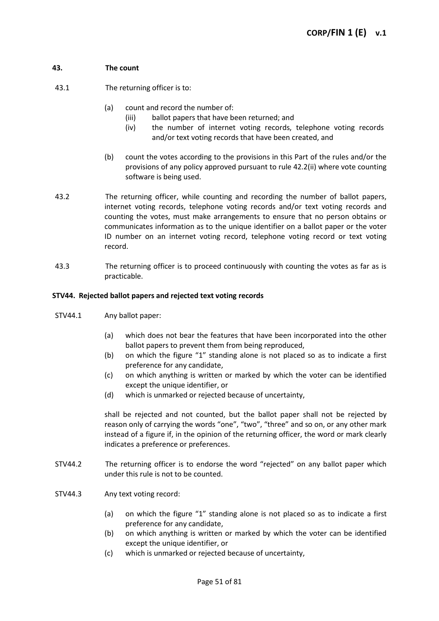# **43. The count**

43.1 The returning officer is to:

- (a) count and record the number of:
	- (iii) ballot papers that have been returned; and
	- (iv) the number of internet voting records, telephone voting records and/or text voting records that have been created, and
- (b) count the votes according to the provisions in this Part of the rules and/or the provisions of any policy approved pursuant to rule 42.2(ii) where vote counting software is being used.
- 43.2 The returning officer, while counting and recording the number of ballot papers, internet voting records, telephone voting records and/or text voting records and counting the votes, must make arrangements to ensure that no person obtains or communicates information as to the unique identifier on a ballot paper or the voter ID number on an internet voting record, telephone voting record or text voting record.
- 43.3 The returning officer is to proceed continuously with counting the votes as far as is practicable.

# **STV44. Rejected ballot papers and rejected text voting records**

- STV44.1 Any ballot paper:
	- (a) which does not bear the features that have been incorporated into the other ballot papers to prevent them from being reproduced,
	- (b) on which the figure "1" standing alone is not placed so as to indicate a first preference for any candidate,
	- (c) on which anything is written or marked by which the voter can be identified except the unique identifier, or
	- (d) which is unmarked or rejected because of uncertainty,

shall be rejected and not counted, but the ballot paper shall not be rejected by reason only of carrying the words "one", "two", "three" and so on, or any other mark instead of a figure if, in the opinion of the returning officer, the word or mark clearly indicates a preference or preferences.

- STV44.2 The returning officer is to endorse the word "rejected" on any ballot paper which under this rule is not to be counted.
- STV44.3 Any text voting record:
	- (a) on which the figure "1" standing alone is not placed so as to indicate a first preference for any candidate,
	- (b) on which anything is written or marked by which the voter can be identified except the unique identifier, or
	- (c) which is unmarked or rejected because of uncertainty,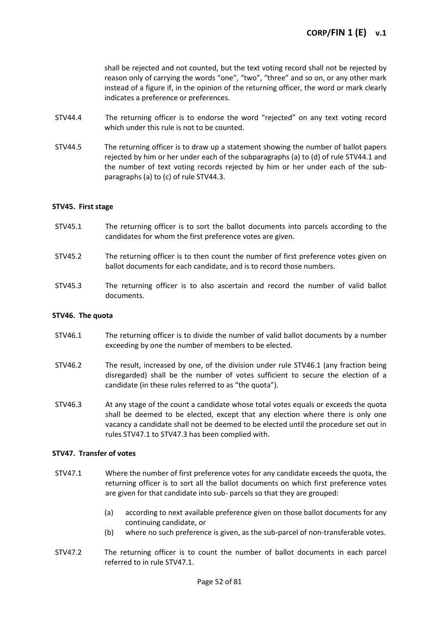shall be rejected and not counted, but the text voting record shall not be rejected by reason only of carrying the words "one", "two", "three" and so on, or any other mark instead of a figure if, in the opinion of the returning officer, the word or mark clearly indicates a preference or preferences.

- STV44.4 The returning officer is to endorse the word "rejected" on any text voting record which under this rule is not to be counted.
- STV44.5 The returning officer is to draw up a statement showing the number of ballot papers rejected by him or her under each of the subparagraphs (a) to (d) of rule STV44.1 and the number of text voting records rejected by him or her under each of the subparagraphs (a) to (c) of rule STV44.3.

### **STV45. First stage**

- STV45.1 The returning officer is to sort the ballot documents into parcels according to the candidates for whom the first preference votes are given.
- STV45.2 The returning officer is to then count the number of first preference votes given on ballot documents for each candidate, and is to record those numbers.
- STV45.3 The returning officer is to also ascertain and record the number of valid ballot documents.

### **STV46. The quota**

- STV46.1 The returning officer is to divide the number of valid ballot documents by a number exceeding by one the number of members to be elected.
- STV46.2 The result, increased by one, of the division under rule STV46.1 (any fraction being disregarded) shall be the number of votes sufficient to secure the election of a candidate (in these rules referred to as "the quota").
- STV46.3 At any stage of the count a candidate whose total votes equals or exceeds the quota shall be deemed to be elected, except that any election where there is only one vacancy a candidate shall not be deemed to be elected until the procedure set out in rules STV47.1 to STV47.3 has been complied with.

### **STV47. Transfer of votes**

- STV47.1 Where the number of first preference votes for any candidate exceeds the quota, the returning officer is to sort all the ballot documents on which first preference votes are given for that candidate into sub- parcels so that they are grouped:
	- (a) according to next available preference given on those ballot documents for any continuing candidate, or
	- (b) where no such preference is given, as the sub-parcel of non-transferable votes.
- STV47.2 The returning officer is to count the number of ballot documents in each parcel referred to in rule STV47.1.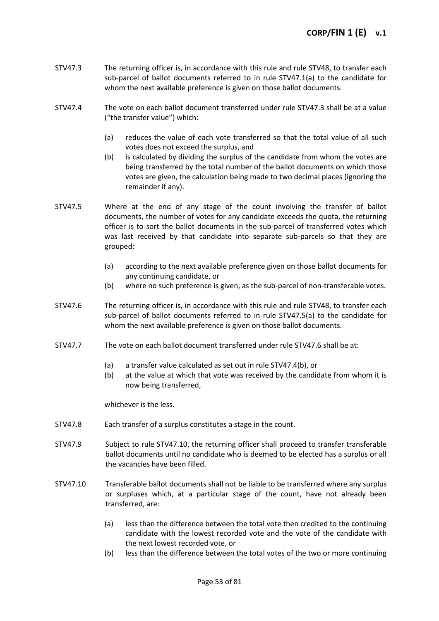- STV47.3 The returning officer is, in accordance with this rule and rule STV48, to transfer each sub-parcel of ballot documents referred to in rule STV47.1(a) to the candidate for whom the next available preference is given on those ballot documents.
- STV47.4 The vote on each ballot document transferred under rule STV47.3 shall be at a value ("the transfer value") which:
	- (a) reduces the value of each vote transferred so that the total value of all such votes does not exceed the surplus, and
	- (b) is calculated by dividing the surplus of the candidate from whom the votes are being transferred by the total number of the ballot documents on which those votes are given, the calculation being made to two decimal places (ignoring the remainder if any).
- STV47.5 Where at the end of any stage of the count involving the transfer of ballot documents, the number of votes for any candidate exceeds the quota, the returning officer is to sort the ballot documents in the sub-parcel of transferred votes which was last received by that candidate into separate sub-parcels so that they are grouped:
	- (a) according to the next available preference given on those ballot documents for any continuing candidate, or
	- (b) where no such preference is given, as the sub-parcel of non-transferable votes.
- STV47.6 The returning officer is, in accordance with this rule and rule STV48, to transfer each sub-parcel of ballot documents referred to in rule STV47.5(a) to the candidate for whom the next available preference is given on those ballot documents.
- STV47.7 The vote on each ballot document transferred under rule STV47.6 shall be at:
	- (a) a transfer value calculated as set out in rule STV47.4(b), or
	- (b) at the value at which that vote was received by the candidate from whom it is now being transferred,

whichever is the less.

- STV47.8 Each transfer of a surplus constitutes a stage in the count.
- STV47.9 Subject to rule STV47.10, the returning officer shall proceed to transfer transferable ballot documents until no candidate who is deemed to be elected has a surplus or all the vacancies have been filled.
- STV47.10 Transferable ballot documents shall not be liable to be transferred where any surplus or surpluses which, at a particular stage of the count, have not already been transferred, are:
	- (a) less than the difference between the total vote then credited to the continuing candidate with the lowest recorded vote and the vote of the candidate with the next lowest recorded vote, or
	- (b) less than the difference between the total votes of the two or more continuing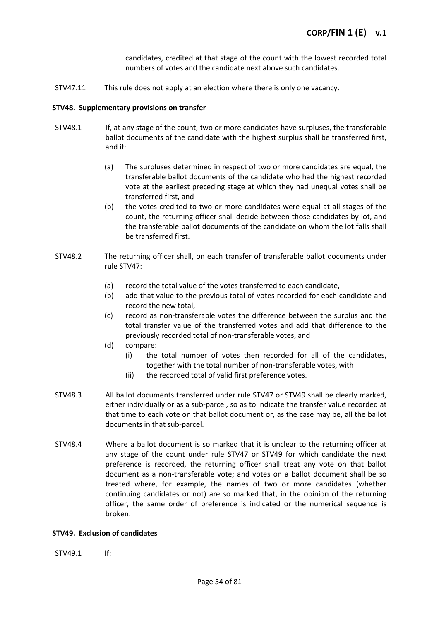candidates, credited at that stage of the count with the lowest recorded total numbers of votes and the candidate next above such candidates.

STV47.11 This rule does not apply at an election where there is only one vacancy.

#### **STV48. Supplementary provisions on transfer**

- STV48.1 If, at any stage of the count, two or more candidates have surpluses, the transferable ballot documents of the candidate with the highest surplus shall be transferred first, and if:
	- (a) The surpluses determined in respect of two or more candidates are equal, the transferable ballot documents of the candidate who had the highest recorded vote at the earliest preceding stage at which they had unequal votes shall be transferred first, and
	- (b) the votes credited to two or more candidates were equal at all stages of the count, the returning officer shall decide between those candidates by lot, and the transferable ballot documents of the candidate on whom the lot falls shall be transferred first.
- STV48.2 The returning officer shall, on each transfer of transferable ballot documents under rule STV47:
	- (a) record the total value of the votes transferred to each candidate,
	- (b) add that value to the previous total of votes recorded for each candidate and record the new total,
	- (c) record as non-transferable votes the difference between the surplus and the total transfer value of the transferred votes and add that difference to the previously recorded total of non-transferable votes, and
	- (d) compare:
		- (i) the total number of votes then recorded for all of the candidates, together with the total number of non-transferable votes, with
		- (ii) the recorded total of valid first preference votes.
- STV48.3 All ballot documents transferred under rule STV47 or STV49 shall be clearly marked, either individually or as a sub-parcel, so as to indicate the transfer value recorded at that time to each vote on that ballot document or, as the case may be, all the ballot documents in that sub-parcel.
- STV48.4 Where a ballot document is so marked that it is unclear to the returning officer at any stage of the count under rule STV47 or STV49 for which candidate the next preference is recorded, the returning officer shall treat any vote on that ballot document as a non-transferable vote; and votes on a ballot document shall be so treated where, for example, the names of two or more candidates (whether continuing candidates or not) are so marked that, in the opinion of the returning officer, the same order of preference is indicated or the numerical sequence is broken.

### **STV49. Exclusion of candidates**

STV49.1 If: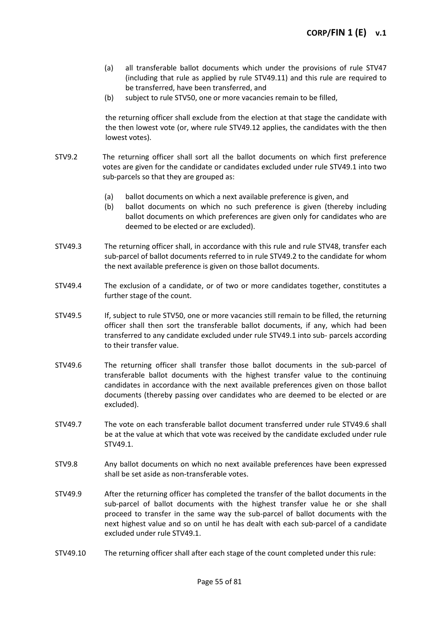- (a) all transferable ballot documents which under the provisions of rule STV47 (including that rule as applied by rule STV49.11) and this rule are required to be transferred, have been transferred, and
- (b) subject to rule STV50, one or more vacancies remain to be filled,

the returning officer shall exclude from the election at that stage the candidate with the then lowest vote (or, where rule STV49.12 applies, the candidates with the then lowest votes).

- STV9.2 The returning officer shall sort all the ballot documents on which first preference votes are given for the candidate or candidates excluded under rule STV49.1 into two sub-parcels so that they are grouped as:
	- (a) ballot documents on which a next available preference is given, and
	- (b) ballot documents on which no such preference is given (thereby including ballot documents on which preferences are given only for candidates who are deemed to be elected or are excluded).
- STV49.3 The returning officer shall, in accordance with this rule and rule STV48, transfer each sub-parcel of ballot documents referred to in rule STV49.2 to the candidate for whom the next available preference is given on those ballot documents.
- STV49.4 The exclusion of a candidate, or of two or more candidates together, constitutes a further stage of the count.
- STV49.5 If, subject to rule STV50, one or more vacancies still remain to be filled, the returning officer shall then sort the transferable ballot documents, if any, which had been transferred to any candidate excluded under rule STV49.1 into sub- parcels according to their transfer value.
- STV49.6 The returning officer shall transfer those ballot documents in the sub-parcel of transferable ballot documents with the highest transfer value to the continuing candidates in accordance with the next available preferences given on those ballot documents (thereby passing over candidates who are deemed to be elected or are excluded).
- STV49.7 The vote on each transferable ballot document transferred under rule STV49.6 shall be at the value at which that vote was received by the candidate excluded under rule STV49.1.
- STV9.8 Any ballot documents on which no next available preferences have been expressed shall be set aside as non-transferable votes.
- STV49.9 After the returning officer has completed the transfer of the ballot documents in the sub-parcel of ballot documents with the highest transfer value he or she shall proceed to transfer in the same way the sub-parcel of ballot documents with the next highest value and so on until he has dealt with each sub-parcel of a candidate excluded under rule STV49.1.
- STV49.10 The returning officer shall after each stage of the count completed under this rule: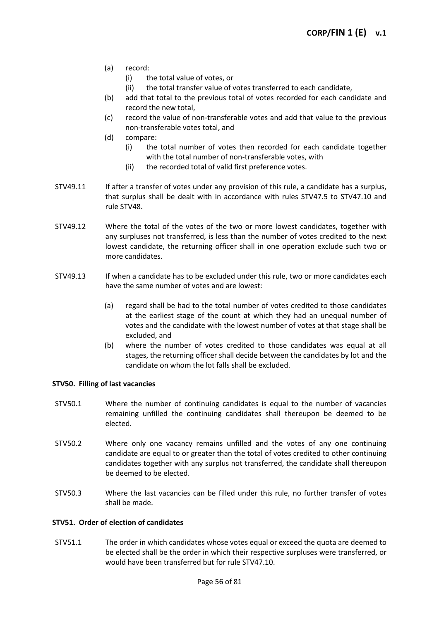- (a) record:
	- (i) the total value of votes, or
	- (ii) the total transfer value of votes transferred to each candidate,
- (b) add that total to the previous total of votes recorded for each candidate and record the new total,
- (c) record the value of non-transferable votes and add that value to the previous non-transferable votes total, and
- (d) compare:
	- (i) the total number of votes then recorded for each candidate together with the total number of non-transferable votes, with
	- (ii) the recorded total of valid first preference votes.
- STV49.11 If after a transfer of votes under any provision of this rule, a candidate has a surplus, that surplus shall be dealt with in accordance with rules STV47.5 to STV47.10 and rule STV48.
- STV49.12 Where the total of the votes of the two or more lowest candidates, together with any surpluses not transferred, is less than the number of votes credited to the next lowest candidate, the returning officer shall in one operation exclude such two or more candidates.
- STV49.13 If when a candidate has to be excluded under this rule, two or more candidates each have the same number of votes and are lowest:
	- (a) regard shall be had to the total number of votes credited to those candidates at the earliest stage of the count at which they had an unequal number of votes and the candidate with the lowest number of votes at that stage shall be excluded, and
	- (b) where the number of votes credited to those candidates was equal at all stages, the returning officer shall decide between the candidates by lot and the candidate on whom the lot falls shall be excluded.

### **STV50. Filling of last vacancies**

- STV50.1 Where the number of continuing candidates is equal to the number of vacancies remaining unfilled the continuing candidates shall thereupon be deemed to be elected.
- STV50.2 Where only one vacancy remains unfilled and the votes of any one continuing candidate are equal to or greater than the total of votes credited to other continuing candidates together with any surplus not transferred, the candidate shall thereupon be deemed to be elected.
- STV50.3 Where the last vacancies can be filled under this rule, no further transfer of votes shall be made.

# **STV51. Order of election of candidates**

STV51.1 The order in which candidates whose votes equal or exceed the quota are deemed to be elected shall be the order in which their respective surpluses were transferred, or would have been transferred but for rule STV47.10.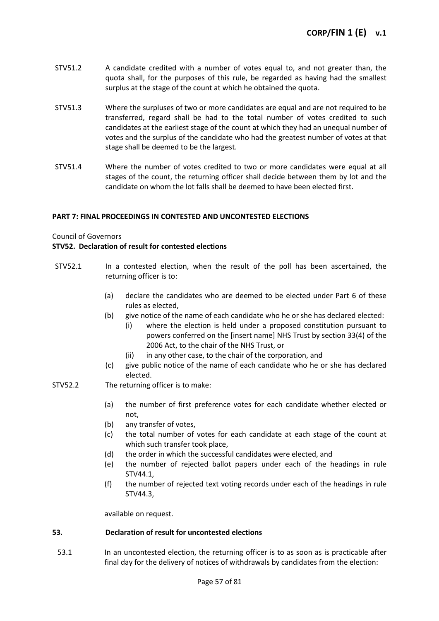- STV51.2 A candidate credited with a number of votes equal to, and not greater than, the quota shall, for the purposes of this rule, be regarded as having had the smallest surplus at the stage of the count at which he obtained the quota.
- STV51.3 Where the surpluses of two or more candidates are equal and are not required to be transferred, regard shall be had to the total number of votes credited to such candidates at the earliest stage of the count at which they had an unequal number of votes and the surplus of the candidate who had the greatest number of votes at that stage shall be deemed to be the largest.
- STV51.4 Where the number of votes credited to two or more candidates were equal at all stages of the count, the returning officer shall decide between them by lot and the candidate on whom the lot falls shall be deemed to have been elected first.

# **PART 7: FINAL PROCEEDINGS IN CONTESTED AND UNCONTESTED ELECTIONS**

Council of Governors

### **STV52. Declaration of result for contested elections**

- STV52.1 In a contested election, when the result of the poll has been ascertained, the returning officer is to:
	- (a) declare the candidates who are deemed to be elected under Part 6 of these rules as elected,
	- (b) give notice of the name of each candidate who he or she has declared elected:
		- (i) where the election is held under a proposed constitution pursuant to powers conferred on the [insert name] NHS Trust by section 33(4) of the 2006 Act, to the chair of the NHS Trust, or
		- (ii) in any other case, to the chair of the corporation, and
	- (c) give public notice of the name of each candidate who he or she has declared elected.
- STV52.2 The returning officer is to make:
	- (a) the number of first preference votes for each candidate whether elected or not,
	- (b) any transfer of votes,
	- (c) the total number of votes for each candidate at each stage of the count at which such transfer took place,
	- (d) the order in which the successful candidates were elected, and
	- (e) the number of rejected ballot papers under each of the headings in rule STV44.1,
	- (f) the number of rejected text voting records under each of the headings in rule STV44.3,

available on request.

### **53. Declaration of result for uncontested elections**

53.1 In an uncontested election, the returning officer is to as soon as is practicable after final day for the delivery of notices of withdrawals by candidates from the election: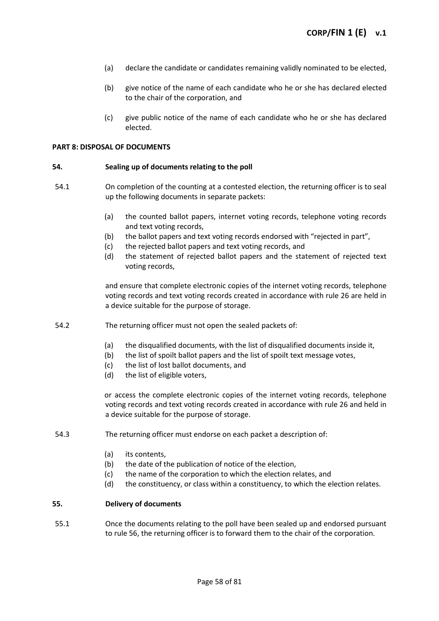- (a) declare the candidate or candidates remaining validly nominated to be elected,
- (b) give notice of the name of each candidate who he or she has declared elected to the chair of the corporation, and
- (c) give public notice of the name of each candidate who he or she has declared elected.

#### **PART 8: DISPOSAL OF DOCUMENTS**

#### **54. Sealing up of documents relating to the poll**

- 54.1 On completion of the counting at a contested election, the returning officer is to seal up the following documents in separate packets:
	- (a) the counted ballot papers, internet voting records, telephone voting records and text voting records,
	- (b) the ballot papers and text voting records endorsed with "rejected in part",
	- (c) the rejected ballot papers and text voting records, and
	- (d) the statement of rejected ballot papers and the statement of rejected text voting records,

and ensure that complete electronic copies of the internet voting records, telephone voting records and text voting records created in accordance with rule 26 are held in a device suitable for the purpose of storage.

- 54.2 The returning officer must not open the sealed packets of:
	- (a) the disqualified documents, with the list of disqualified documents inside it,
	- (b) the list of spoilt ballot papers and the list of spoilt text message votes,
	- (c) the list of lost ballot documents, and
	- (d) the list of eligible voters,

or access the complete electronic copies of the internet voting records, telephone voting records and text voting records created in accordance with rule 26 and held in a device suitable for the purpose of storage.

- 54.3 The returning officer must endorse on each packet a description of:
	- (a) its contents,
	- (b) the date of the publication of notice of the election,
	- (c) the name of the corporation to which the election relates, and
	- (d) the constituency, or class within a constituency, to which the election relates.

#### **55. Delivery of documents**

55.1 Once the documents relating to the poll have been sealed up and endorsed pursuant to rule 56, the returning officer is to forward them to the chair of the corporation.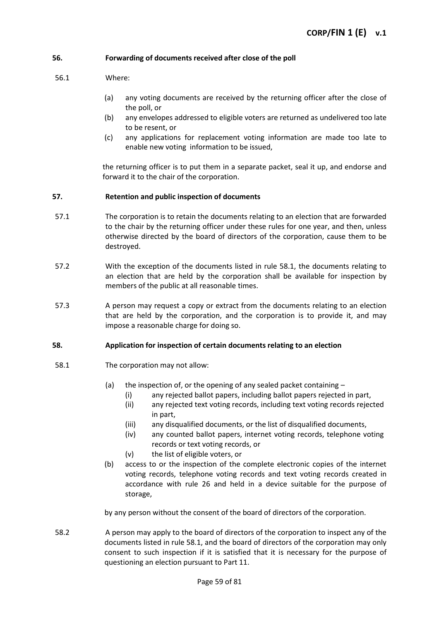### **56. Forwarding of documents received after close of the poll**

### 56.1 Where:

- (a) any voting documents are received by the returning officer after the close of the poll, or
- (b) any envelopes addressed to eligible voters are returned as undelivered too late to be resent, or
- (c) any applications for replacement voting information are made too late to enable new voting information to be issued,

the returning officer is to put them in a separate packet, seal it up, and endorse and forward it to the chair of the corporation.

#### **57. Retention and public inspection of documents**

- 57.1 The corporation is to retain the documents relating to an election that are forwarded to the chair by the returning officer under these rules for one year, and then, unless otherwise directed by the board of directors of the corporation, cause them to be destroyed.
- 57.2 With the exception of the documents listed in rule 58.1, the documents relating to an election that are held by the corporation shall be available for inspection by members of the public at all reasonable times.
- 57.3 A person may request a copy or extract from the documents relating to an election that are held by the corporation, and the corporation is to provide it, and may impose a reasonable charge for doing so.

### **58. Application for inspection of certain documents relating to an election**

- 58.1 The corporation may not allow:
	- (a) the inspection of, or the opening of any sealed packet containing  $-$ 
		- (i) any rejected ballot papers, including ballot papers rejected in part,
		- (ii) any rejected text voting records, including text voting records rejected in part,
		- (iii) any disqualified documents, or the list of disqualified documents,
		- (iv) any counted ballot papers, internet voting records, telephone voting records or text voting records, or
		- (v) the list of eligible voters, or
	- (b) access to or the inspection of the complete electronic copies of the internet voting records, telephone voting records and text voting records created in accordance with rule 26 and held in a device suitable for the purpose of storage,

by any person without the consent of the board of directors of the corporation.

58.2 A person may apply to the board of directors of the corporation to inspect any of the documents listed in rule 58.1, and the board of directors of the corporation may only consent to such inspection if it is satisfied that it is necessary for the purpose of questioning an election pursuant to Part 11.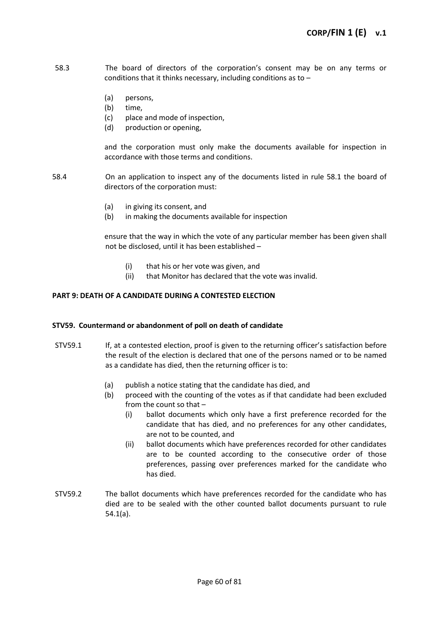- 58.3 The board of directors of the corporation's consent may be on any terms or conditions that it thinks necessary, including conditions as to –
	- (a) persons,
	- (b) time,
	- (c) place and mode of inspection,
	- (d) production or opening,

and the corporation must only make the documents available for inspection in accordance with those terms and conditions.

- 58.4 On an application to inspect any of the documents listed in rule 58.1 the board of directors of the corporation must:
	- (a) in giving its consent, and
	- (b) in making the documents available for inspection

ensure that the way in which the vote of any particular member has been given shall not be disclosed, until it has been established –

- (i) that his or her vote was given, and
- (ii) that Monitor has declared that the vote was invalid.

# **PART 9: DEATH OF A CANDIDATE DURING A CONTESTED ELECTION**

### **STV59. Countermand or abandonment of poll on death of candidate**

- STV59.1 If, at a contested election, proof is given to the returning officer's satisfaction before the result of the election is declared that one of the persons named or to be named as a candidate has died, then the returning officer is to:
	- (a) publish a notice stating that the candidate has died, and
	- (b) proceed with the counting of the votes as if that candidate had been excluded from the count so that –
		- (i) ballot documents which only have a first preference recorded for the candidate that has died, and no preferences for any other candidates, are not to be counted, and
		- (ii) ballot documents which have preferences recorded for other candidates are to be counted according to the consecutive order of those preferences, passing over preferences marked for the candidate who has died.
- STV59.2 The ballot documents which have preferences recorded for the candidate who has died are to be sealed with the other counted ballot documents pursuant to rule 54.1(a).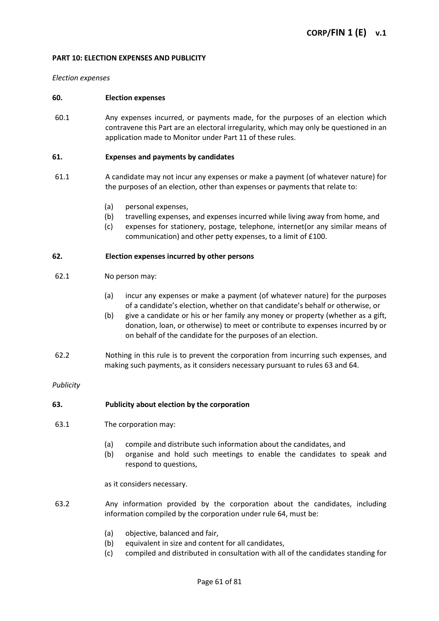#### **PART 10: ELECTION EXPENSES AND PUBLICITY**

#### *Election expenses*

#### **60. Election expenses**

60.1 Any expenses incurred, or payments made, for the purposes of an election which contravene this Part are an electoral irregularity, which may only be questioned in an application made to Monitor under Part 11 of these rules.

#### **61. Expenses and payments by candidates**

- 61.1 A candidate may not incur any expenses or make a payment (of whatever nature) for the purposes of an election, other than expenses or payments that relate to:
	- (a) personal expenses,
	- (b) travelling expenses, and expenses incurred while living away from home, and
	- (c) expenses for stationery, postage, telephone, internet(or any similar means of communication) and other petty expenses, to a limit of £100.

#### **62. Election expenses incurred by other persons**

#### 62.1 No person may:

- (a) incur any expenses or make a payment (of whatever nature) for the purposes of a candidate's election, whether on that candidate's behalf or otherwise, or
- (b) give a candidate or his or her family any money or property (whether as a gift, donation, loan, or otherwise) to meet or contribute to expenses incurred by or on behalf of the candidate for the purposes of an election.
- 62.2 Nothing in this rule is to prevent the corporation from incurring such expenses, and making such payments, as it considers necessary pursuant to rules 63 and 64.

### *Publicity*

### **63. Publicity about election by the corporation**

- 63.1 The corporation may:
	- (a) compile and distribute such information about the candidates, and
	- (b) organise and hold such meetings to enable the candidates to speak and respond to questions,

as it considers necessary.

- 63.2 Any information provided by the corporation about the candidates, including information compiled by the corporation under rule 64, must be:
	- (a) objective, balanced and fair,
	- (b) equivalent in size and content for all candidates,
	- (c) compiled and distributed in consultation with all of the candidates standing for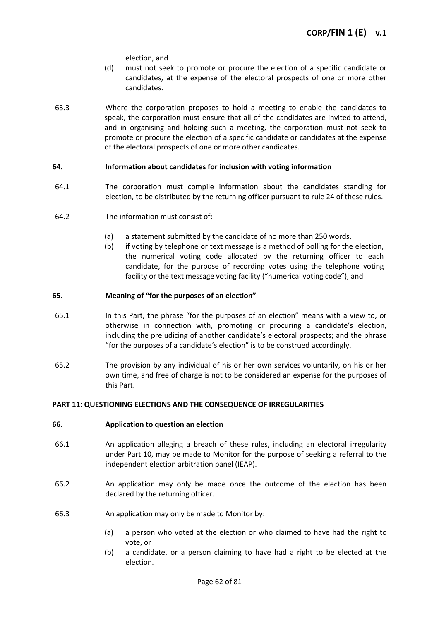election, and

- (d) must not seek to promote or procure the election of a specific candidate or candidates, at the expense of the electoral prospects of one or more other candidates.
- 63.3 Where the corporation proposes to hold a meeting to enable the candidates to speak, the corporation must ensure that all of the candidates are invited to attend, and in organising and holding such a meeting, the corporation must not seek to promote or procure the election of a specific candidate or candidates at the expense of the electoral prospects of one or more other candidates.

# **64. Information about candidates for inclusion with voting information**

- 64.1 The corporation must compile information about the candidates standing for election, to be distributed by the returning officer pursuant to rule 24 of these rules.
- 64.2 The information must consist of:
	- (a) a statement submitted by the candidate of no more than 250 words,
	- (b) if voting by telephone or text message is a method of polling for the election, the numerical voting code allocated by the returning officer to each candidate, for the purpose of recording votes using the telephone voting facility or the text message voting facility ("numerical voting code"), and

# **65. Meaning of "for the purposes of an election"**

- 65.1 In this Part, the phrase "for the purposes of an election" means with a view to, or otherwise in connection with, promoting or procuring a candidate's election, including the prejudicing of another candidate's electoral prospects; and the phrase "for the purposes of a candidate's election" is to be construed accordingly.
- 65.2 The provision by any individual of his or her own services voluntarily, on his or her own time, and free of charge is not to be considered an expense for the purposes of this Part.

### **PART 11: QUESTIONING ELECTIONS AND THE CONSEQUENCE OF IRREGULARITIES**

### **66. Application to question an election**

- 66.1 An application alleging a breach of these rules, including an electoral irregularity under Part 10, may be made to Monitor for the purpose of seeking a referral to the independent election arbitration panel (IEAP).
- 66.2 An application may only be made once the outcome of the election has been declared by the returning officer.
- 66.3 An application may only be made to Monitor by:
	- (a) a person who voted at the election or who claimed to have had the right to vote, or
	- (b) a candidate, or a person claiming to have had a right to be elected at the election.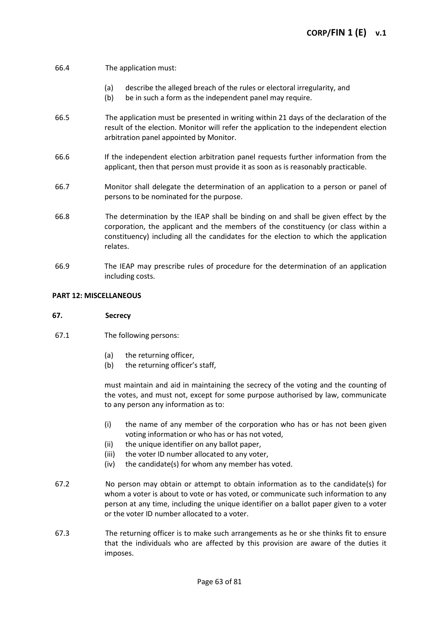# 66.4 The application must:

- (a) describe the alleged breach of the rules or electoral irregularity, and
- (b) be in such a form as the independent panel may require.
- 66.5 The application must be presented in writing within 21 days of the declaration of the result of the election. Monitor will refer the application to the independent election arbitration panel appointed by Monitor.
- 66.6 If the independent election arbitration panel requests further information from the applicant, then that person must provide it as soon as is reasonably practicable.
- 66.7 Monitor shall delegate the determination of an application to a person or panel of persons to be nominated for the purpose.
- 66.8 The determination by the IEAP shall be binding on and shall be given effect by the corporation, the applicant and the members of the constituency (or class within a constituency) including all the candidates for the election to which the application relates.
- 66.9 The IEAP may prescribe rules of procedure for the determination of an application including costs.

#### **PART 12: MISCELLANEOUS**

### **67. Secrecy**

- 67.1 The following persons:
	- (a) the returning officer,
	- (b) the returning officer's staff,

must maintain and aid in maintaining the secrecy of the voting and the counting of the votes, and must not, except for some purpose authorised by law, communicate to any person any information as to:

- (i) the name of any member of the corporation who has or has not been given voting information or who has or has not voted,
- (ii) the unique identifier on any ballot paper,
- (iii) the voter ID number allocated to any voter,
- (iv) the candidate(s) for whom any member has voted.
- 67.2 No person may obtain or attempt to obtain information as to the candidate(s) for whom a voter is about to vote or has voted, or communicate such information to any person at any time, including the unique identifier on a ballot paper given to a voter or the voter ID number allocated to a voter.
- 67.3 The returning officer is to make such arrangements as he or she thinks fit to ensure that the individuals who are affected by this provision are aware of the duties it imposes.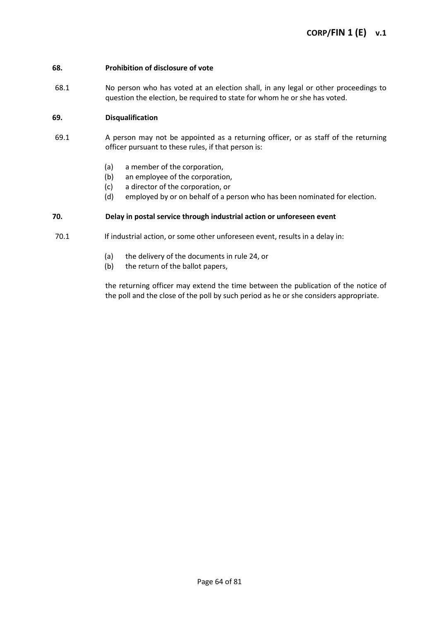### **68. Prohibition of disclosure of vote**

68.1 No person who has voted at an election shall, in any legal or other proceedings to question the election, be required to state for whom he or she has voted.

# **69. Disqualification**

- 69.1 A person may not be appointed as a returning officer, or as staff of the returning officer pursuant to these rules, if that person is:
	- (a) a member of the corporation,
	- (b) an employee of the corporation,
	- (c) a director of the corporation, or
	- (d) employed by or on behalf of a person who has been nominated for election.

# **70. Delay in postal service through industrial action or unforeseen event**

- 70.1 If industrial action, or some other unforeseen event, results in a delay in:
	- (a) the delivery of the documents in rule 24, or
	- (b) the return of the ballot papers,

the returning officer may extend the time between the publication of the notice of the poll and the close of the poll by such period as he or she considers appropriate.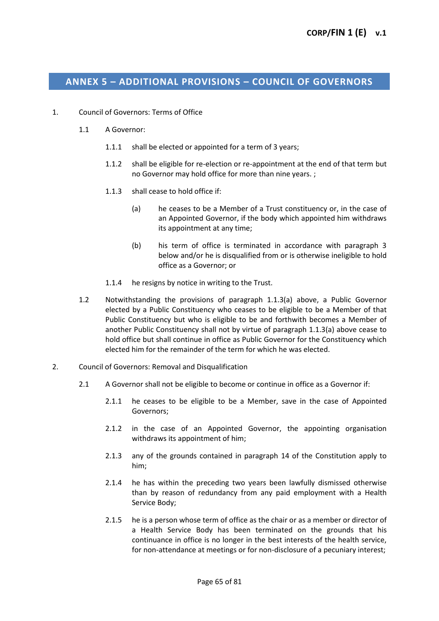# **ANNEX 5 – ADDITIONAL PROVISIONS – COUNCIL OF GOVERNORS**

- 1. Council of Governors: Terms of Office
	- 1.1 A Governor:
		- 1.1.1 shall be elected or appointed for a term of 3 years;
		- 1.1.2 shall be eligible for re-election or re-appointment at the end of that term but no Governor may hold office for more than nine years. ;
		- 1.1.3 shall cease to hold office if:
			- (a) he ceases to be a Member of a Trust constituency or, in the case of an Appointed Governor, if the body which appointed him withdraws its appointment at any time;
			- (b) his term of office is terminated in accordance with paragraph 3 below and/or he is disqualified from or is otherwise ineligible to hold office as a Governor; or
		- 1.1.4 he resigns by notice in writing to the Trust.
	- 1.2 Notwithstanding the provisions of paragraph 1.1.3(a) above, a Public Governor elected by a Public Constituency who ceases to be eligible to be a Member of that Public Constituency but who is eligible to be and forthwith becomes a Member of another Public Constituency shall not by virtue of paragraph 1.1.3(a) above cease to hold office but shall continue in office as Public Governor for the Constituency which elected him for the remainder of the term for which he was elected.
- 2. Council of Governors: Removal and Disqualification
	- 2.1 A Governor shall not be eligible to become or continue in office as a Governor if:
		- 2.1.1 he ceases to be eligible to be a Member, save in the case of Appointed Governors;
		- 2.1.2 in the case of an Appointed Governor, the appointing organisation withdraws its appointment of him;
		- 2.1.3 any of the grounds contained in paragraph 14 of the Constitution apply to him;
		- 2.1.4 he has within the preceding two years been lawfully dismissed otherwise than by reason of redundancy from any paid employment with a Health Service Body;
		- 2.1.5 he is a person whose term of office as the chair or as a member or director of a Health Service Body has been terminated on the grounds that his continuance in office is no longer in the best interests of the health service, for non-attendance at meetings or for non-disclosure of a pecuniary interest;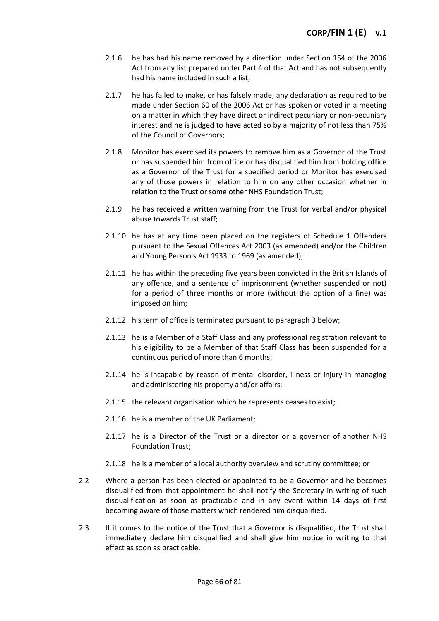- 2.1.6 he has had his name removed by a direction under Section 154 of the 2006 Act from any list prepared under Part 4 of that Act and has not subsequently had his name included in such a list;
- 2.1.7 he has failed to make, or has falsely made, any declaration as required to be made under Section 60 of the 2006 Act or has spoken or voted in a meeting on a matter in which they have direct or indirect pecuniary or non-pecuniary interest and he is judged to have acted so by a majority of not less than 75% of the Council of Governors;
- 2.1.8 Monitor has exercised its powers to remove him as a Governor of the Trust or has suspended him from office or has disqualified him from holding office as a Governor of the Trust for a specified period or Monitor has exercised any of those powers in relation to him on any other occasion whether in relation to the Trust or some other NHS Foundation Trust;
- 2.1.9 he has received a written warning from the Trust for verbal and/or physical abuse towards Trust staff;
- 2.1.10 he has at any time been placed on the registers of Schedule 1 Offenders pursuant to the Sexual Offences Act 2003 (as amended) and/or the Children and Young Person's Act 1933 to 1969 (as amended);
- 2.1.11 he has within the preceding five years been convicted in the British Islands of any offence, and a sentence of imprisonment (whether suspended or not) for a period of three months or more (without the option of a fine) was imposed on him;
- 2.1.12 his term of office is terminated pursuant to paragraph 3 below;
- 2.1.13 he is a Member of a Staff Class and any professional registration relevant to his eligibility to be a Member of that Staff Class has been suspended for a continuous period of more than 6 months;
- 2.1.14 he is incapable by reason of mental disorder, illness or injury in managing and administering his property and/or affairs;
- 2.1.15 the relevant organisation which he represents ceases to exist;
- 2.1.16 he is a member of the UK Parliament;
- 2.1.17 he is a Director of the Trust or a director or a governor of another NHS Foundation Trust;
- 2.1.18 he is a member of a local authority overview and scrutiny committee; or
- 2.2 Where a person has been elected or appointed to be a Governor and he becomes disqualified from that appointment he shall notify the Secretary in writing of such disqualification as soon as practicable and in any event within 14 days of first becoming aware of those matters which rendered him disqualified.
- 2.3 If it comes to the notice of the Trust that a Governor is disqualified, the Trust shall immediately declare him disqualified and shall give him notice in writing to that effect as soon as practicable.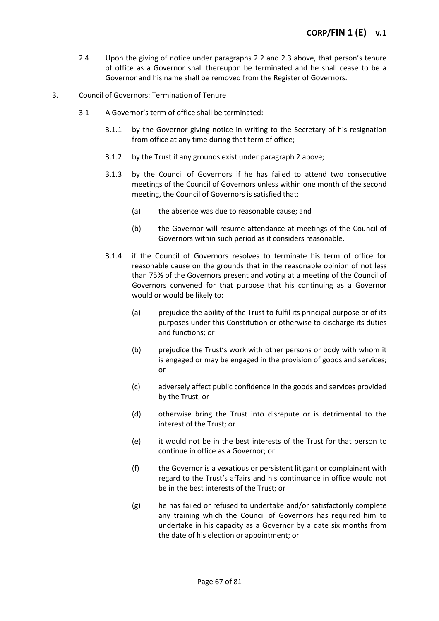- 2.4 Upon the giving of notice under paragraphs 2.2 and 2.3 above, that person's tenure of office as a Governor shall thereupon be terminated and he shall cease to be a Governor and his name shall be removed from the Register of Governors.
- 3. Council of Governors: Termination of Tenure
	- 3.1 A Governor's term of office shall be terminated:
		- 3.1.1 by the Governor giving notice in writing to the Secretary of his resignation from office at any time during that term of office;
		- 3.1.2 by the Trust if any grounds exist under paragraph 2 above;
		- 3.1.3 by the Council of Governors if he has failed to attend two consecutive meetings of the Council of Governors unless within one month of the second meeting, the Council of Governors is satisfied that:
			- (a) the absence was due to reasonable cause; and
			- (b) the Governor will resume attendance at meetings of the Council of Governors within such period as it considers reasonable.
		- 3.1.4 if the Council of Governors resolves to terminate his term of office for reasonable cause on the grounds that in the reasonable opinion of not less than 75% of the Governors present and voting at a meeting of the Council of Governors convened for that purpose that his continuing as a Governor would or would be likely to:
			- (a) prejudice the ability of the Trust to fulfil its principal purpose or of its purposes under this Constitution or otherwise to discharge its duties and functions; or
			- (b) prejudice the Trust's work with other persons or body with whom it is engaged or may be engaged in the provision of goods and services; or
			- (c) adversely affect public confidence in the goods and services provided by the Trust; or
			- (d) otherwise bring the Trust into disrepute or is detrimental to the interest of the Trust; or
			- (e) it would not be in the best interests of the Trust for that person to continue in office as a Governor; or
			- (f) the Governor is a vexatious or persistent litigant or complainant with regard to the Trust's affairs and his continuance in office would not be in the best interests of the Trust; or
			- (g) he has failed or refused to undertake and/or satisfactorily complete any training which the Council of Governors has required him to undertake in his capacity as a Governor by a date six months from the date of his election or appointment; or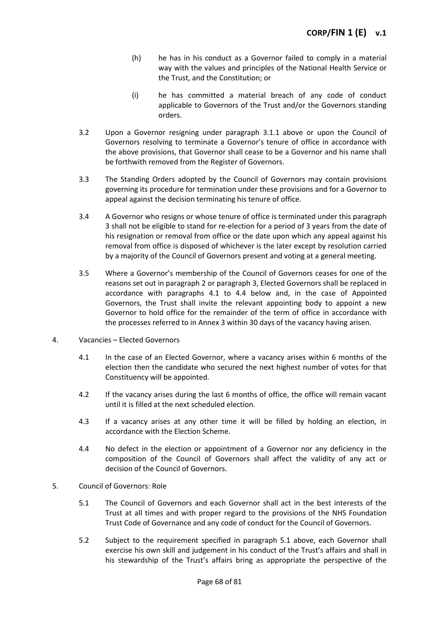- (h) he has in his conduct as a Governor failed to comply in a material way with the values and principles of the National Health Service or the Trust, and the Constitution; or
- (i) he has committed a material breach of any code of conduct applicable to Governors of the Trust and/or the Governors standing orders.
- 3.2 Upon a Governor resigning under paragraph 3.1.1 above or upon the Council of Governors resolving to terminate a Governor's tenure of office in accordance with the above provisions, that Governor shall cease to be a Governor and his name shall be forthwith removed from the Register of Governors.
- 3.3 The Standing Orders adopted by the Council of Governors may contain provisions governing its procedure for termination under these provisions and for a Governor to appeal against the decision terminating his tenure of office.
- 3.4 A Governor who resigns or whose tenure of office is terminated under this paragraph 3 shall not be eligible to stand for re-election for a period of 3 years from the date of his resignation or removal from office or the date upon which any appeal against his removal from office is disposed of whichever is the later except by resolution carried by a majority of the Council of Governors present and voting at a general meeting.
- 3.5 Where a Governor's membership of the Council of Governors ceases for one of the reasons set out in paragraph 2 or paragraph 3, Elected Governors shall be replaced in accordance with paragraphs 4.1 to 4.4 below and, in the case of Appointed Governors, the Trust shall invite the relevant appointing body to appoint a new Governor to hold office for the remainder of the term of office in accordance with the processes referred to in Annex 3 within 30 days of the vacancy having arisen.
- 4. Vacancies Elected Governors
	- 4.1 In the case of an Elected Governor, where a vacancy arises within 6 months of the election then the candidate who secured the next highest number of votes for that Constituency will be appointed.
	- 4.2 If the vacancy arises during the last 6 months of office, the office will remain vacant until it is filled at the next scheduled election.
	- 4.3 If a vacancy arises at any other time it will be filled by holding an election, in accordance with the Election Scheme.
	- 4.4 No defect in the election or appointment of a Governor nor any deficiency in the composition of the Council of Governors shall affect the validity of any act or decision of the Council of Governors.
- 5. Council of Governors: Role
	- 5.1 The Council of Governors and each Governor shall act in the best interests of the Trust at all times and with proper regard to the provisions of the NHS Foundation Trust Code of Governance and any code of conduct for the Council of Governors.
	- 5.2 Subject to the requirement specified in paragraph 5.1 above, each Governor shall exercise his own skill and judgement in his conduct of the Trust's affairs and shall in his stewardship of the Trust's affairs bring as appropriate the perspective of the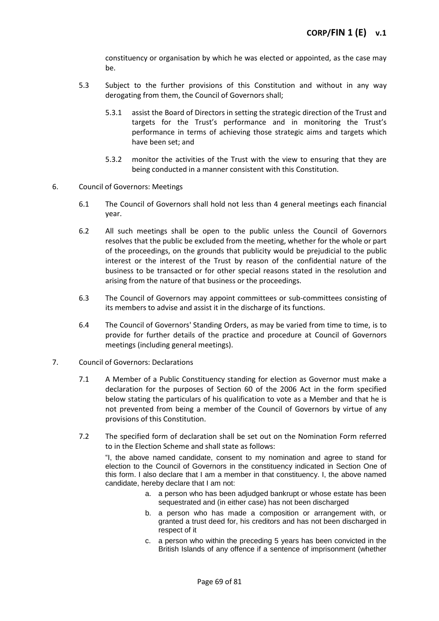constituency or organisation by which he was elected or appointed, as the case may be.

- 5.3 Subject to the further provisions of this Constitution and without in any way derogating from them, the Council of Governors shall;
	- 5.3.1 assist the Board of Directors in setting the strategic direction of the Trust and targets for the Trust's performance and in monitoring the Trust's performance in terms of achieving those strategic aims and targets which have been set; and
	- 5.3.2 monitor the activities of the Trust with the view to ensuring that they are being conducted in a manner consistent with this Constitution.
- 6. Council of Governors: Meetings
	- 6.1 The Council of Governors shall hold not less than 4 general meetings each financial year.
	- 6.2 All such meetings shall be open to the public unless the Council of Governors resolves that the public be excluded from the meeting, whether for the whole or part of the proceedings, on the grounds that publicity would be prejudicial to the public interest or the interest of the Trust by reason of the confidential nature of the business to be transacted or for other special reasons stated in the resolution and arising from the nature of that business or the proceedings.
	- 6.3 The Council of Governors may appoint committees or sub-committees consisting of its members to advise and assist it in the discharge of its functions.
	- 6.4 The Council of Governors' Standing Orders, as may be varied from time to time, is to provide for further details of the practice and procedure at Council of Governors meetings (including general meetings).
- 7. Council of Governors: Declarations
	- 7.1 A Member of a Public Constituency standing for election as Governor must make a declaration for the purposes of Section 60 of the 2006 Act in the form specified below stating the particulars of his qualification to vote as a Member and that he is not prevented from being a member of the Council of Governors by virtue of any provisions of this Constitution.
	- 7.2 The specified form of declaration shall be set out on the Nomination Form referred to in the Election Scheme and shall state as follows:

"I, the above named candidate, consent to my nomination and agree to stand for election to the Council of Governors in the constituency indicated in Section One of this form. I also declare that I am a member in that constituency. I, the above named candidate, hereby declare that I am not:

- a. a person who has been adjudged bankrupt or whose estate has been sequestrated and (in either case) has not been discharged
- b. a person who has made a composition or arrangement with, or granted a trust deed for, his creditors and has not been discharged in respect of it
- c. a person who within the preceding 5 years has been convicted in the British Islands of any offence if a sentence of imprisonment (whether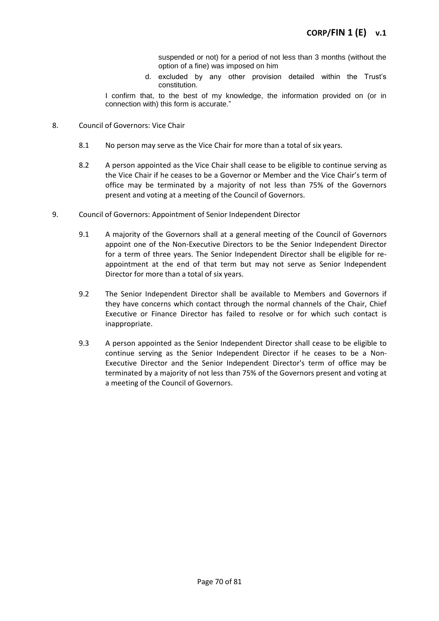suspended or not) for a period of not less than 3 months (without the option of a fine) was imposed on him

d. excluded by any other provision detailed within the Trust's constitution.

I confirm that, to the best of my knowledge, the information provided on (or in connection with) this form is accurate."

- 8. Council of Governors: Vice Chair
	- 8.1 No person may serve as the Vice Chair for more than a total of six years.
	- 8.2 A person appointed as the Vice Chair shall cease to be eligible to continue serving as the Vice Chair if he ceases to be a Governor or Member and the Vice Chair's term of office may be terminated by a majority of not less than 75% of the Governors present and voting at a meeting of the Council of Governors.
- 9. Council of Governors: Appointment of Senior Independent Director
	- 9.1 A majority of the Governors shall at a general meeting of the Council of Governors appoint one of the Non-Executive Directors to be the Senior Independent Director for a term of three years. The Senior Independent Director shall be eligible for reappointment at the end of that term but may not serve as Senior Independent Director for more than a total of six years.
	- 9.2 The Senior Independent Director shall be available to Members and Governors if they have concerns which contact through the normal channels of the Chair, Chief Executive or Finance Director has failed to resolve or for which such contact is inappropriate.
	- 9.3 A person appointed as the Senior Independent Director shall cease to be eligible to continue serving as the Senior Independent Director if he ceases to be a Non-Executive Director and the Senior Independent Director's term of office may be terminated by a majority of not less than 75% of the Governors present and voting at a meeting of the Council of Governors.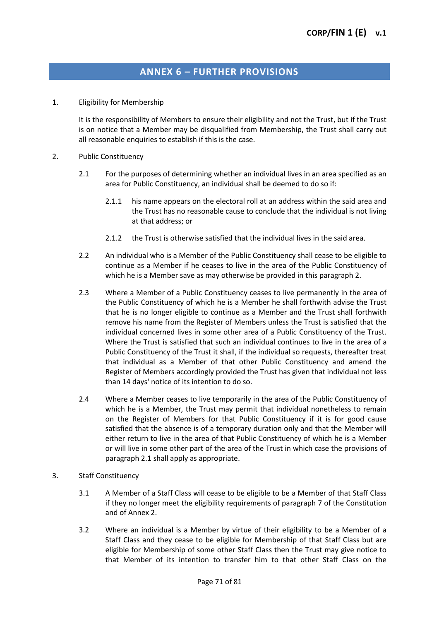# **ANNEX 6 – FURTHER PROVISIONS**

1. Eligibility for Membership

It is the responsibility of Members to ensure their eligibility and not the Trust, but if the Trust is on notice that a Member may be disqualified from Membership, the Trust shall carry out all reasonable enquiries to establish if this is the case.

- 2. Public Constituency
	- 2.1 For the purposes of determining whether an individual lives in an area specified as an area for Public Constituency, an individual shall be deemed to do so if:
		- 2.1.1 his name appears on the electoral roll at an address within the said area and the Trust has no reasonable cause to conclude that the individual is not living at that address; or
		- 2.1.2 the Trust is otherwise satisfied that the individual lives in the said area.
	- 2.2 An individual who is a Member of the Public Constituency shall cease to be eligible to continue as a Member if he ceases to live in the area of the Public Constituency of which he is a Member save as may otherwise be provided in this paragraph 2.
	- 2.3 Where a Member of a Public Constituency ceases to live permanently in the area of the Public Constituency of which he is a Member he shall forthwith advise the Trust that he is no longer eligible to continue as a Member and the Trust shall forthwith remove his name from the Register of Members unless the Trust is satisfied that the individual concerned lives in some other area of a Public Constituency of the Trust. Where the Trust is satisfied that such an individual continues to live in the area of a Public Constituency of the Trust it shall, if the individual so requests, thereafter treat that individual as a Member of that other Public Constituency and amend the Register of Members accordingly provided the Trust has given that individual not less than 14 days' notice of its intention to do so.
	- 2.4 Where a Member ceases to live temporarily in the area of the Public Constituency of which he is a Member, the Trust may permit that individual nonetheless to remain on the Register of Members for that Public Constituency if it is for good cause satisfied that the absence is of a temporary duration only and that the Member will either return to live in the area of that Public Constituency of which he is a Member or will live in some other part of the area of the Trust in which case the provisions of paragraph 2.1 shall apply as appropriate.
- 3. Staff Constituency
	- 3.1 A Member of a Staff Class will cease to be eligible to be a Member of that Staff Class if they no longer meet the eligibility requirements of paragraph 7 of the Constitution and of Annex 2.
	- 3.2 Where an individual is a Member by virtue of their eligibility to be a Member of a Staff Class and they cease to be eligible for Membership of that Staff Class but are eligible for Membership of some other Staff Class then the Trust may give notice to that Member of its intention to transfer him to that other Staff Class on the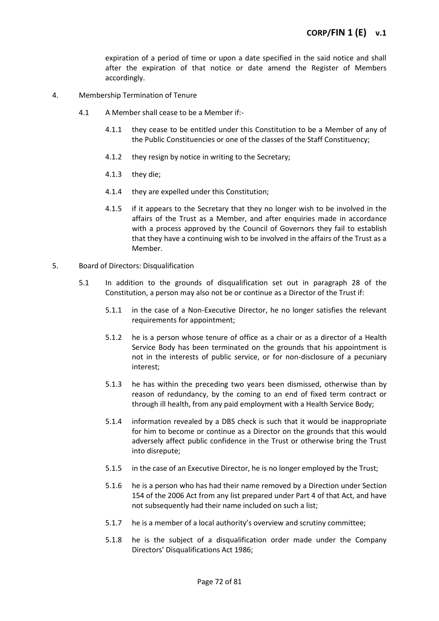expiration of a period of time or upon a date specified in the said notice and shall after the expiration of that notice or date amend the Register of Members accordingly.

- 4. Membership Termination of Tenure
	- 4.1 A Member shall cease to be a Member if:-
		- 4.1.1 they cease to be entitled under this Constitution to be a Member of any of the Public Constituencies or one of the classes of the Staff Constituency;
		- 4.1.2 they resign by notice in writing to the Secretary;
		- 4.1.3 they die;
		- 4.1.4 they are expelled under this Constitution;
		- 4.1.5 if it appears to the Secretary that they no longer wish to be involved in the affairs of the Trust as a Member, and after enquiries made in accordance with a process approved by the Council of Governors they fail to establish that they have a continuing wish to be involved in the affairs of the Trust as a Member.
- 5. Board of Directors: Disqualification
	- 5.1 In addition to the grounds of disqualification set out in paragraph 28 of the Constitution, a person may also not be or continue as a Director of the Trust if:
		- 5.1.1 in the case of a Non-Executive Director, he no longer satisfies the relevant requirements for appointment;
		- 5.1.2 he is a person whose tenure of office as a chair or as a director of a Health Service Body has been terminated on the grounds that his appointment is not in the interests of public service, or for non-disclosure of a pecuniary interest;
		- 5.1.3 he has within the preceding two years been dismissed, otherwise than by reason of redundancy, by the coming to an end of fixed term contract or through ill health, from any paid employment with a Health Service Body;
		- 5.1.4 information revealed by a DBS check is such that it would be inappropriate for him to become or continue as a Director on the grounds that this would adversely affect public confidence in the Trust or otherwise bring the Trust into disrepute;
		- 5.1.5 in the case of an Executive Director, he is no longer employed by the Trust;
		- 5.1.6 he is a person who has had their name removed by a Direction under Section 154 of the 2006 Act from any list prepared under Part 4 of that Act, and have not subsequently had their name included on such a list;
		- 5.1.7 he is a member of a local authority's overview and scrutiny committee;
		- 5.1.8 he is the subject of a disqualification order made under the Company Directors' Disqualifications Act 1986;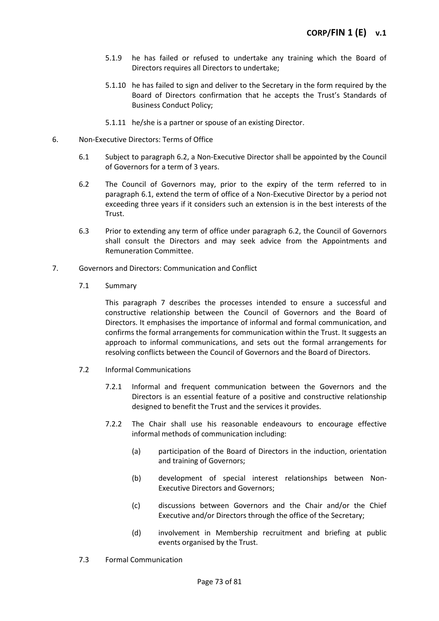- 5.1.9 he has failed or refused to undertake any training which the Board of Directors requires all Directors to undertake;
- 5.1.10 he has failed to sign and deliver to the Secretary in the form required by the Board of Directors confirmation that he accepts the Trust's Standards of Business Conduct Policy;
- 5.1.11 he/she is a partner or spouse of an existing Director.
- 6. Non-Executive Directors: Terms of Office
	- 6.1 Subject to paragraph 6.2, a Non-Executive Director shall be appointed by the Council of Governors for a term of 3 years.
	- 6.2 The Council of Governors may, prior to the expiry of the term referred to in paragraph 6.1, extend the term of office of a Non-Executive Director by a period not exceeding three years if it considers such an extension is in the best interests of the Trust.
	- 6.3 Prior to extending any term of office under paragraph 6.2, the Council of Governors shall consult the Directors and may seek advice from the Appointments and Remuneration Committee.
- 7. Governors and Directors: Communication and Conflict
	- 7.1 Summary

This paragraph 7 describes the processes intended to ensure a successful and constructive relationship between the Council of Governors and the Board of Directors. It emphasises the importance of informal and formal communication, and confirms the formal arrangements for communication within the Trust. It suggests an approach to informal communications, and sets out the formal arrangements for resolving conflicts between the Council of Governors and the Board of Directors.

- 7.2 Informal Communications
	- 7.2.1 Informal and frequent communication between the Governors and the Directors is an essential feature of a positive and constructive relationship designed to benefit the Trust and the services it provides.
	- 7.2.2 The Chair shall use his reasonable endeavours to encourage effective informal methods of communication including:
		- (a) participation of the Board of Directors in the induction, orientation and training of Governors;
		- (b) development of special interest relationships between Non-Executive Directors and Governors;
		- (c) discussions between Governors and the Chair and/or the Chief Executive and/or Directors through the office of the Secretary;
		- (d) involvement in Membership recruitment and briefing at public events organised by the Trust.
- 7.3 Formal Communication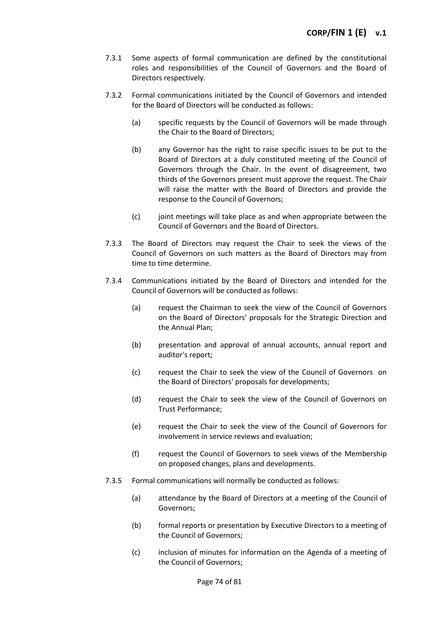- 7.3.1 Some aspects of formal communication are defined by the constitutional roles and responsibilities of the Council of Governors and the Board of Directors respectively.
- 7.3.2 Formal communications initiated by the Council of Governors and intended for the Board of Directors will be conducted as follows:
	- (a) specific requests by the Council of Governors will be made through the Chair to the Board of Directors;
	- (b) any Governor has the right to raise specific issues to be put to the Board of Directors at a duly constituted meeting of the Council of Governors through the Chair. In the event of disagreement, two thirds of the Governors present must approve the request. The Chair will raise the matter with the Board of Directors and provide the response to the Council of Governors;
	- (c) joint meetings will take place as and when appropriate between the Council of Governors and the Board of Directors.
- 7.3.3 The Board of Directors may request the Chair to seek the views of the Council of Governors on such matters as the Board of Directors may from time to time determine.
- 7.3.4 Communications initiated by the Board of Directors and intended for the Council of Governors will be conducted as follows:
	- (a) request the Chairman to seek the view of the Council of Governors on the Board of Directors' proposals for the Strategic Direction and the Annual Plan;
	- (b) presentation and approval of annual accounts, annual report and auditor's report;
	- (c) request the Chair to seek the view of the Council of Governors on the Board of Directors' proposals for developments;
	- (d) request the Chair to seek the view of the Council of Governors on Trust Performance;
	- (e) request the Chair to seek the view of the Council of Governors for involvement in service reviews and evaluation;
	- (f) request the Council of Governors to seek views of the Membership on proposed changes, plans and developments.
- 7.3.5 Formal communications will normally be conducted as follows:
	- (a) attendance by the Board of Directors at a meeting of the Council of Governors;
	- (b) formal reports or presentation by Executive Directors to a meeting of the Council of Governors;
	- (c) inclusion of minutes for information on the Agenda of a meeting of the Council of Governors;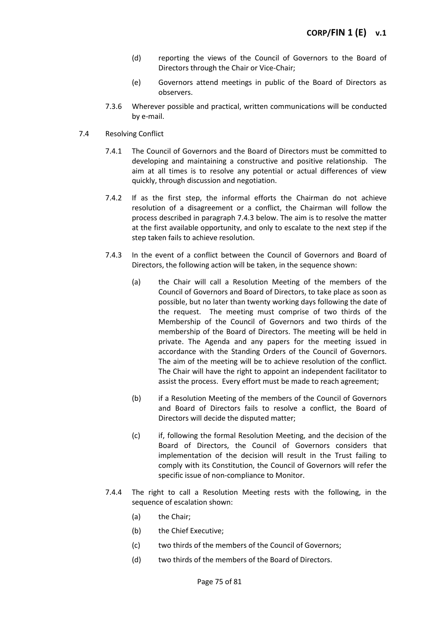- (d) reporting the views of the Council of Governors to the Board of Directors through the Chair or Vice-Chair;
- (e) Governors attend meetings in public of the Board of Directors as observers.
- 7.3.6 Wherever possible and practical, written communications will be conducted by e-mail.
- 7.4 Resolving Conflict
	- 7.4.1 The Council of Governors and the Board of Directors must be committed to developing and maintaining a constructive and positive relationship. The aim at all times is to resolve any potential or actual differences of view quickly, through discussion and negotiation.
	- 7.4.2 If as the first step, the informal efforts the Chairman do not achieve resolution of a disagreement or a conflict, the Chairman will follow the process described in paragraph 7.4.3 below. The aim is to resolve the matter at the first available opportunity, and only to escalate to the next step if the step taken fails to achieve resolution.
	- 7.4.3 In the event of a conflict between the Council of Governors and Board of Directors, the following action will be taken, in the sequence shown:
		- (a) the Chair will call a Resolution Meeting of the members of the Council of Governors and Board of Directors, to take place as soon as possible, but no later than twenty working days following the date of the request. The meeting must comprise of two thirds of the Membership of the Council of Governors and two thirds of the membership of the Board of Directors. The meeting will be held in private. The Agenda and any papers for the meeting issued in accordance with the Standing Orders of the Council of Governors. The aim of the meeting will be to achieve resolution of the conflict. The Chair will have the right to appoint an independent facilitator to assist the process. Every effort must be made to reach agreement;
		- (b) if a Resolution Meeting of the members of the Council of Governors and Board of Directors fails to resolve a conflict, the Board of Directors will decide the disputed matter;
		- (c) if, following the formal Resolution Meeting, and the decision of the Board of Directors, the Council of Governors considers that implementation of the decision will result in the Trust failing to comply with its Constitution, the Council of Governors will refer the specific issue of non-compliance to Monitor.
	- 7.4.4 The right to call a Resolution Meeting rests with the following, in the sequence of escalation shown:
		- (a) the Chair;
		- (b) the Chief Executive;
		- (c) two thirds of the members of the Council of Governors;
		- (d) two thirds of the members of the Board of Directors.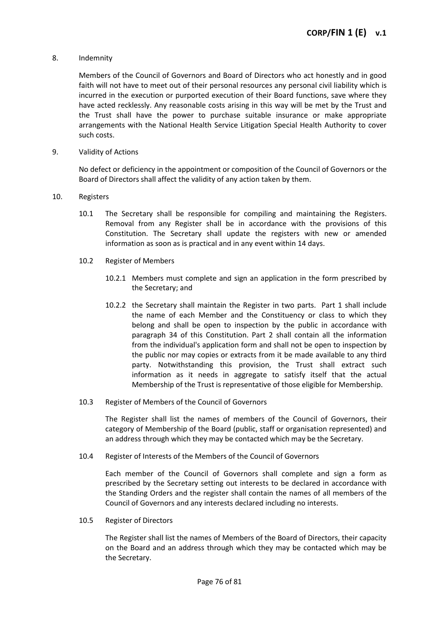### 8. Indemnity

Members of the Council of Governors and Board of Directors who act honestly and in good faith will not have to meet out of their personal resources any personal civil liability which is incurred in the execution or purported execution of their Board functions, save where they have acted recklessly. Any reasonable costs arising in this way will be met by the Trust and the Trust shall have the power to purchase suitable insurance or make appropriate arrangements with the National Health Service Litigation Special Health Authority to cover such costs.

9. Validity of Actions

No defect or deficiency in the appointment or composition of the Council of Governors or the Board of Directors shall affect the validity of any action taken by them.

- 10. Registers
	- 10.1 The Secretary shall be responsible for compiling and maintaining the Registers. Removal from any Register shall be in accordance with the provisions of this Constitution. The Secretary shall update the registers with new or amended information as soon as is practical and in any event within 14 days.
	- 10.2 Register of Members
		- 10.2.1 Members must complete and sign an application in the form prescribed by the Secretary; and
		- 10.2.2 the Secretary shall maintain the Register in two parts. Part 1 shall include the name of each Member and the Constituency or class to which they belong and shall be open to inspection by the public in accordance with paragraph 34 of this Constitution. Part 2 shall contain all the information from the individual's application form and shall not be open to inspection by the public nor may copies or extracts from it be made available to any third party. Notwithstanding this provision, the Trust shall extract such information as it needs in aggregate to satisfy itself that the actual Membership of the Trust is representative of those eligible for Membership.
	- 10.3 Register of Members of the Council of Governors

The Register shall list the names of members of the Council of Governors, their category of Membership of the Board (public, staff or organisation represented) and an address through which they may be contacted which may be the Secretary.

10.4 Register of Interests of the Members of the Council of Governors

Each member of the Council of Governors shall complete and sign a form as prescribed by the Secretary setting out interests to be declared in accordance with the Standing Orders and the register shall contain the names of all members of the Council of Governors and any interests declared including no interests.

10.5 Register of Directors

The Register shall list the names of Members of the Board of Directors, their capacity on the Board and an address through which they may be contacted which may be the Secretary.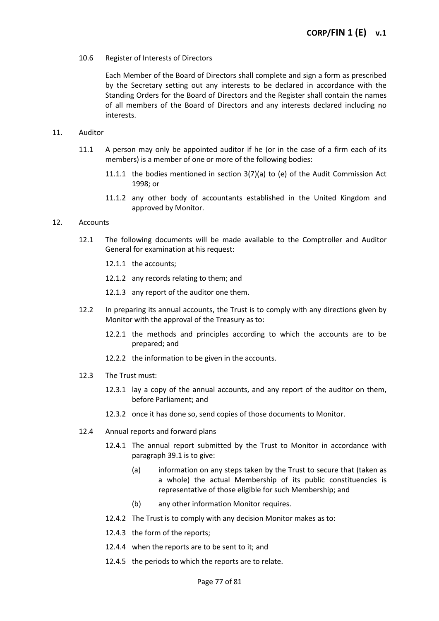10.6 Register of Interests of Directors

Each Member of the Board of Directors shall complete and sign a form as prescribed by the Secretary setting out any interests to be declared in accordance with the Standing Orders for the Board of Directors and the Register shall contain the names of all members of the Board of Directors and any interests declared including no interests.

### 11. Auditor

- 11.1 A person may only be appointed auditor if he (or in the case of a firm each of its members) is a member of one or more of the following bodies:
	- 11.1.1 the bodies mentioned in section  $3(7)(a)$  to (e) of the Audit Commission Act 1998; or
	- 11.1.2 any other body of accountants established in the United Kingdom and approved by Monitor.

## 12. Accounts

- 12.1 The following documents will be made available to the Comptroller and Auditor General for examination at his request:
	- 12.1.1 the accounts;
	- 12.1.2 any records relating to them; and
	- 12.1.3 any report of the auditor one them.
- 12.2 In preparing its annual accounts, the Trust is to comply with any directions given by Monitor with the approval of the Treasury as to:
	- 12.2.1 the methods and principles according to which the accounts are to be prepared; and
	- 12.2.2 the information to be given in the accounts.
- 12.3 The Trust must:
	- 12.3.1 lay a copy of the annual accounts, and any report of the auditor on them, before Parliament; and
	- 12.3.2 once it has done so, send copies of those documents to Monitor.
- 12.4 Annual reports and forward plans
	- 12.4.1 The annual report submitted by the Trust to Monitor in accordance with paragraph 39.1 is to give:
		- (a) information on any steps taken by the Trust to secure that (taken as a whole) the actual Membership of its public constituencies is representative of those eligible for such Membership; and
		- (b) any other information Monitor requires.
	- 12.4.2 The Trust is to comply with any decision Monitor makes as to:
	- 12.4.3 the form of the reports;
	- 12.4.4 when the reports are to be sent to it; and
	- 12.4.5 the periods to which the reports are to relate.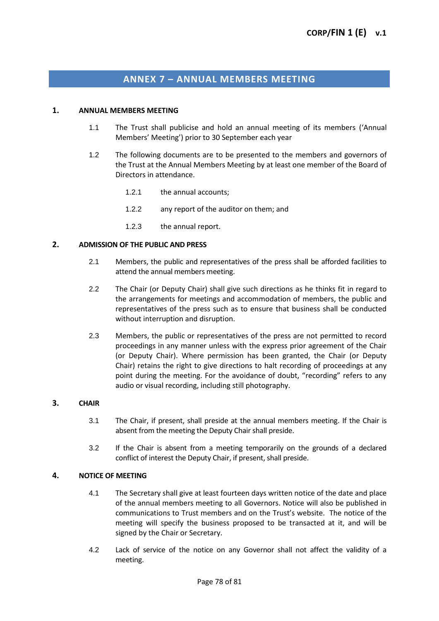# **ANNEX 7 – ANNUAL MEMBERS MEETING**

#### **1. ANNUAL MEMBERS MEETING**

- 1.1 The Trust shall publicise and hold an annual meeting of its members ('Annual Members' Meeting') prior to 30 September each year
- 1.2 The following documents are to be presented to the members and governors of the Trust at the Annual Members Meeting by at least one member of the Board of Directors in attendance.
	- 1.2.1 the annual accounts;
	- 1.2.2 any report of the auditor on them; and
	- 1.2.3 the annual report.

## **2. ADMISSION OF THE PUBLIC AND PRESS**

- 2.1 Members, the public and representatives of the press shall be afforded facilities to attend the annual members meeting.
- 2.2 The Chair (or Deputy Chair) shall give such directions as he thinks fit in regard to the arrangements for meetings and accommodation of members, the public and representatives of the press such as to ensure that business shall be conducted without interruption and disruption.
- 2.3 Members, the public or representatives of the press are not permitted to record proceedings in any manner unless with the express prior agreement of the Chair (or Deputy Chair). Where permission has been granted, the Chair (or Deputy Chair) retains the right to give directions to halt recording of proceedings at any point during the meeting. For the avoidance of doubt, "recording" refers to any audio or visual recording, including still photography.

#### **3. CHAIR**

- 3.1 The Chair, if present, shall preside at the annual members meeting. If the Chair is absent from the meeting the Deputy Chair shall preside.
- 3.2 If the Chair is absent from a meeting temporarily on the grounds of a declared conflict of interest the Deputy Chair, if present, shall preside.

#### **4. NOTICE OF MEETING**

- 4.1 The Secretary shall give at least fourteen days written notice of the date and place of the annual members meeting to all Governors. Notice will also be published in communications to Trust members and on the Trust's website. The notice of the meeting will specify the business proposed to be transacted at it, and will be signed by the Chair or Secretary.
- 4.2 Lack of service of the notice on any Governor shall not affect the validity of a meeting.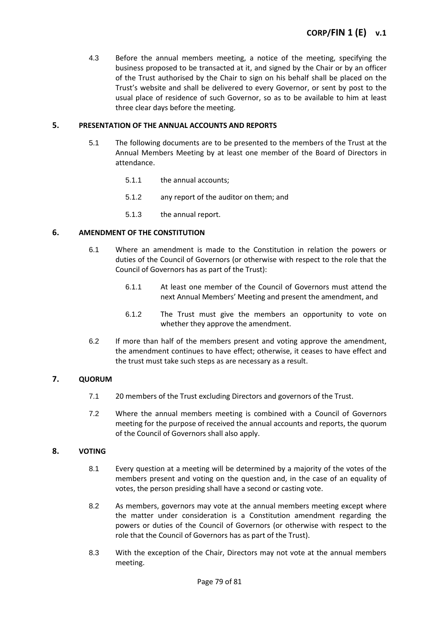4.3 Before the annual members meeting, a notice of the meeting, specifying the business proposed to be transacted at it, and signed by the Chair or by an officer of the Trust authorised by the Chair to sign on his behalf shall be placed on the Trust's website and shall be delivered to every Governor, or sent by post to the usual place of residence of such Governor, so as to be available to him at least three clear days before the meeting.

## **5. PRESENTATION OF THE ANNUAL ACCOUNTS AND REPORTS**

- 5.1 The following documents are to be presented to the members of the Trust at the Annual Members Meeting by at least one member of the Board of Directors in attendance.
	- 5.1.1 the annual accounts;
	- 5.1.2 any report of the auditor on them; and
	- 5.1.3 the annual report.

## **6. AMENDMENT OF THE CONSTITUTION**

- 6.1 Where an amendment is made to the Constitution in relation the powers or duties of the Council of Governors (or otherwise with respect to the role that the Council of Governors has as part of the Trust):
	- 6.1.1 At least one member of the Council of Governors must attend the next Annual Members' Meeting and present the amendment, and
	- 6.1.2 The Trust must give the members an opportunity to vote on whether they approve the amendment.
- 6.2 If more than half of the members present and voting approve the amendment, the amendment continues to have effect; otherwise, it ceases to have effect and the trust must take such steps as are necessary as a result.

#### **7. QUORUM**

- 7.1 20 members of the Trust excluding Directors and governors of the Trust.
- 7.2 Where the annual members meeting is combined with a Council of Governors meeting for the purpose of received the annual accounts and reports, the quorum of the Council of Governors shall also apply.

# **8. VOTING**

- 8.1 Every question at a meeting will be determined by a majority of the votes of the members present and voting on the question and, in the case of an equality of votes, the person presiding shall have a second or casting vote.
- 8.2 As members, governors may vote at the annual members meeting except where the matter under consideration is a Constitution amendment regarding the powers or duties of the Council of Governors (or otherwise with respect to the role that the Council of Governors has as part of the Trust).
- 8.3 With the exception of the Chair, Directors may not vote at the annual members meeting.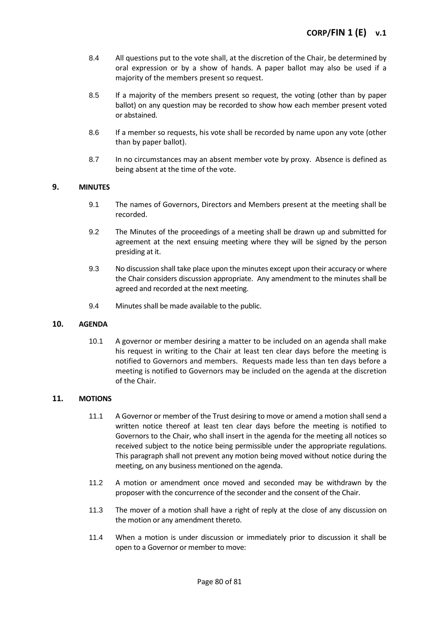- 8.4 All questions put to the vote shall, at the discretion of the Chair, be determined by oral expression or by a show of hands. A paper ballot may also be used if a majority of the members present so request.
- 8.5 If a majority of the members present so request, the voting (other than by paper ballot) on any question may be recorded to show how each member present voted or abstained.
- 8.6 If a member so requests, his vote shall be recorded by name upon any vote (other than by paper ballot).
- 8.7 In no circumstances may an absent member vote by proxy. Absence is defined as being absent at the time of the vote.

## **9. MINUTES**

- 9.1 The names of Governors, Directors and Members present at the meeting shall be recorded.
- 9.2 The Minutes of the proceedings of a meeting shall be drawn up and submitted for agreement at the next ensuing meeting where they will be signed by the person presiding at it.
- 9.3 No discussion shall take place upon the minutes except upon their accuracy or where the Chair considers discussion appropriate. Any amendment to the minutes shall be agreed and recorded at the next meeting.
- 9.4 Minutes shall be made available to the public.

#### **10. AGENDA**

10.1 A governor or member desiring a matter to be included on an agenda shall make his request in writing to the Chair at least ten clear days before the meeting is notified to Governors and members. Requests made less than ten days before a meeting is notified to Governors may be included on the agenda at the discretion of the Chair.

# **11. MOTIONS**

- 11.1 A Governor or member of the Trust desiring to move or amend a motion shall send a written notice thereof at least ten clear days before the meeting is notified to Governors to the Chair, who shall insert in the agenda for the meeting all notices so received subject to the notice being permissible under the appropriate regulations. This paragraph shall not prevent any motion being moved without notice during the meeting, on any business mentioned on the agenda.
- 11.2 A motion or amendment once moved and seconded may be withdrawn by the proposer with the concurrence of the seconder and the consent of the Chair.
- 11.3 The mover of a motion shall have a right of reply at the close of any discussion on the motion or any amendment thereto.
- 11.4 When a motion is under discussion or immediately prior to discussion it shall be open to a Governor or member to move: